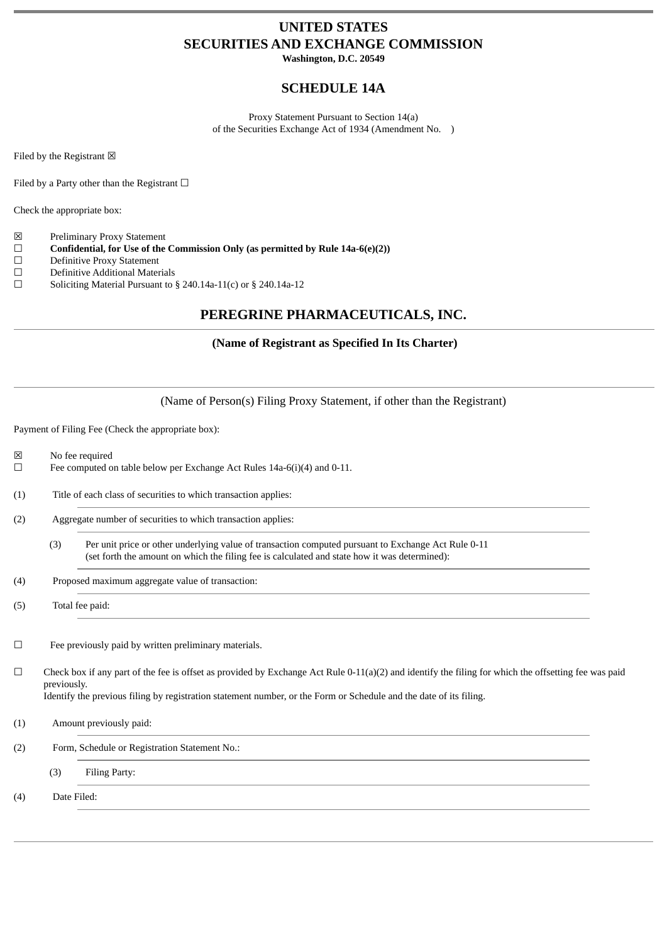# **UNITED STATES SECURITIES AND EXCHANGE COMMISSION**

**Washington, D.C. 20549**

# **SCHEDULE 14A**

Proxy Statement Pursuant to Section 14(a) of the Securities Exchange Act of 1934 (Amendment No. )

Filed by the Registrant  $\boxtimes$ 

Filed by a Party other than the Registrant  $\Box$ 

Check the appropriate box:

| ⊠ |  | Preliminary Proxy Statement |
|---|--|-----------------------------|
|---|--|-----------------------------|

- ☐ **Confidential, for Use of the Commission Only (as permitted by Rule 14a-6(e)(2))**
- ☐ Definitive Proxy Statement
- □ Definitive Additional Materials<br>□ Soliciting Material Pursuant to
- Soliciting Material Pursuant to § 240.14a-11(c) or § 240.14a-12

# **PEREGRINE PHARMACEUTICALS, INC.**

## **(Name of Registrant as Specified In Its Charter)**

(Name of Person(s) Filing Proxy Statement, if other than the Registrant)

Payment of Filing Fee (Check the appropriate box):

- ☒ No fee required
- $\Box$  Fee computed on table below per Exchange Act Rules 14a-6(i)(4) and 0-11.

(1) Title of each class of securities to which transaction applies:

(2) Aggregate number of securities to which transaction applies:

- (3) Per unit price or other underlying value of transaction computed pursuant to Exchange Act Rule 0-11 (set forth the amount on which the filing fee is calculated and state how it was determined):
- (4) Proposed maximum aggregate value of transaction:

(5) Total fee paid:

- ☐ Fee previously paid by written preliminary materials.
- $\Box$  Check box if any part of the fee is offset as provided by Exchange Act Rule 0-11(a)(2) and identify the filing for which the offsetting fee was paid previously. Identify the previous filing by registration statement number, or the Form or Schedule and the date of its filing.

(1) Amount previously paid:

- (2) Form, Schedule or Registration Statement No.:
	- (3) Filing Party:

(4) Date Filed:

- 
-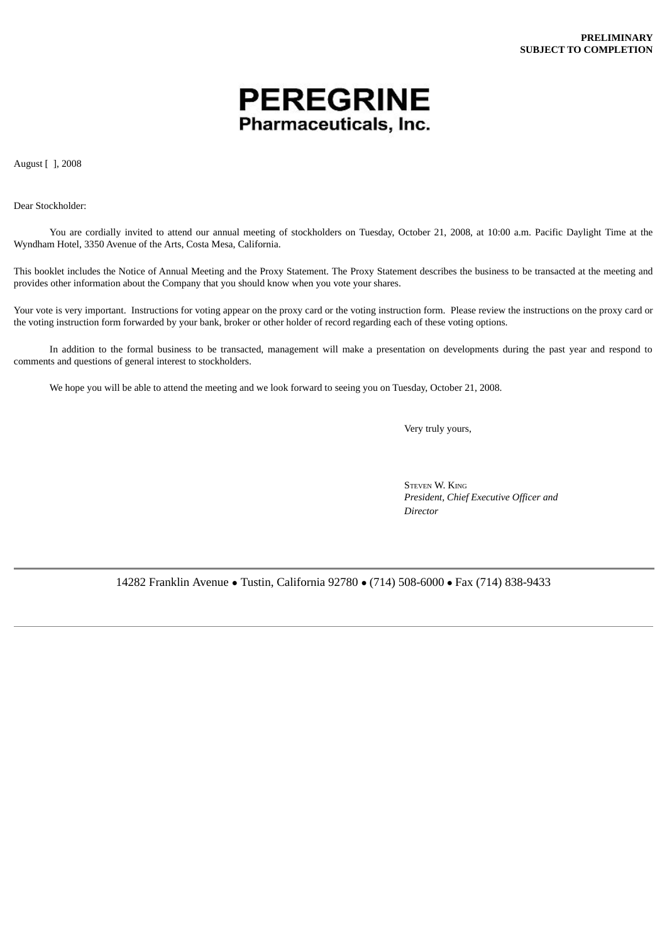

August [ ], 2008

Dear Stockholder:

You are cordially invited to attend our annual meeting of stockholders on Tuesday, October 21, 2008, at 10:00 a.m. Pacific Daylight Time at the Wyndham Hotel, 3350 Avenue of the Arts, Costa Mesa, California.

This booklet includes the Notice of Annual Meeting and the Proxy Statement. The Proxy Statement describes the business to be transacted at the meeting and provides other information about the Company that you should know when you vote your shares.

Your vote is very important. Instructions for voting appear on the proxy card or the voting instruction form. Please review the instructions on the proxy card or the voting instruction form forwarded by your bank, broker or other holder of record regarding each of these voting options.

In addition to the formal business to be transacted, management will make a presentation on developments during the past year and respond to comments and questions of general interest to stockholders.

We hope you will be able to attend the meeting and we look forward to seeing you on Tuesday, October 21, 2008.

Very truly yours,

STEVEN W. KING *President, Chief Executive Officer and Director*

14282 Franklin Avenue ● Tustin, California 92780 ● (714) 508-6000 ● Fax (714) 838-9433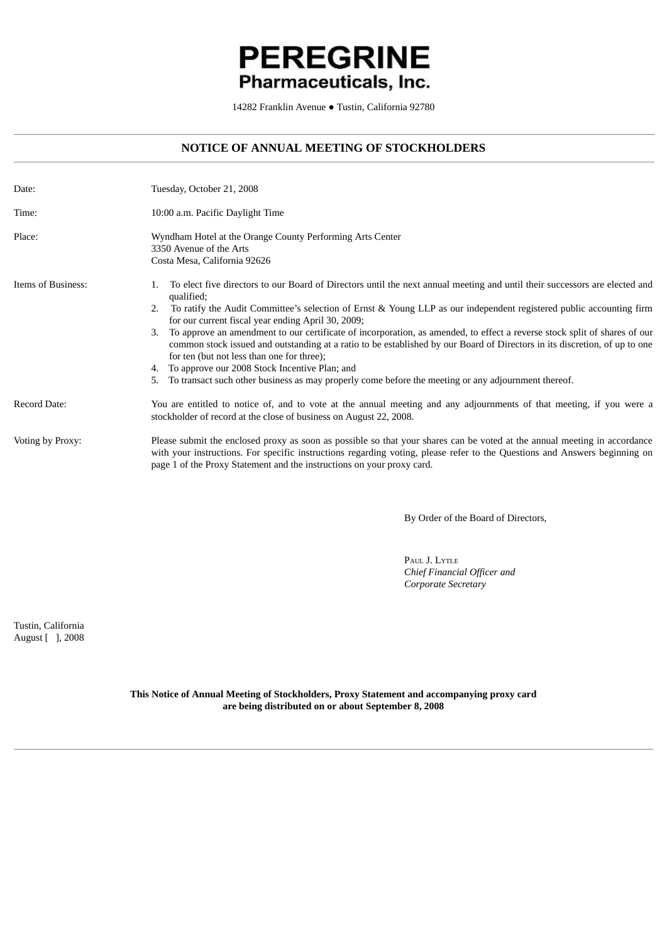# **PEREGRINE** Pharmaceuticals, Inc.

14282 Franklin Avenue ● Tustin, California 92780

## **NOTICE OF ANNUAL MEETING OF STOCKHOLDERS**

| Date:              | Tuesday, October 21, 2008                                                                                                                                                                                                                                                                                                                                                                                                                                                                                                                                                                                                                                                                                                                                                                                |
|--------------------|----------------------------------------------------------------------------------------------------------------------------------------------------------------------------------------------------------------------------------------------------------------------------------------------------------------------------------------------------------------------------------------------------------------------------------------------------------------------------------------------------------------------------------------------------------------------------------------------------------------------------------------------------------------------------------------------------------------------------------------------------------------------------------------------------------|
| Time:              | 10:00 a.m. Pacific Daylight Time                                                                                                                                                                                                                                                                                                                                                                                                                                                                                                                                                                                                                                                                                                                                                                         |
| Place:             | Wyndham Hotel at the Orange County Performing Arts Center<br>3350 Avenue of the Arts<br>Costa Mesa, California 92626                                                                                                                                                                                                                                                                                                                                                                                                                                                                                                                                                                                                                                                                                     |
| Items of Business: | To elect five directors to our Board of Directors until the next annual meeting and until their successors are elected and<br>qualified;<br>To ratify the Audit Committee's selection of Ernst & Young LLP as our independent registered public accounting firm<br>2.<br>for our current fiscal year ending April 30, 2009;<br>To approve an amendment to our certificate of incorporation, as amended, to effect a reverse stock split of shares of our<br>3.<br>common stock issued and outstanding at a ratio to be established by our Board of Directors in its discretion, of up to one<br>for ten (but not less than one for three);<br>To approve our 2008 Stock Incentive Plan; and<br>To transact such other business as may properly come before the meeting or any adjournment thereof.<br>5. |
| Record Date:       | You are entitled to notice of, and to vote at the annual meeting and any adjournments of that meeting, if you were a<br>stockholder of record at the close of business on August 22, 2008.                                                                                                                                                                                                                                                                                                                                                                                                                                                                                                                                                                                                               |
| Voting by Proxy:   | Please submit the enclosed proxy as soon as possible so that your shares can be voted at the annual meeting in accordance<br>with your instructions. For specific instructions regarding voting, please refer to the Questions and Answers beginning on<br>page 1 of the Proxy Statement and the instructions on your proxy card.                                                                                                                                                                                                                                                                                                                                                                                                                                                                        |

By Order of the Board of Directors,

PAUL J. LYTLE *Chief Financial Officer and Corporate Secretary*

Tustin, California August [ ], 2008

> **This Notice of Annual Meeting of Stockholders, Proxy Statement and accompanying proxy card are being distributed on or about September 8, 2008**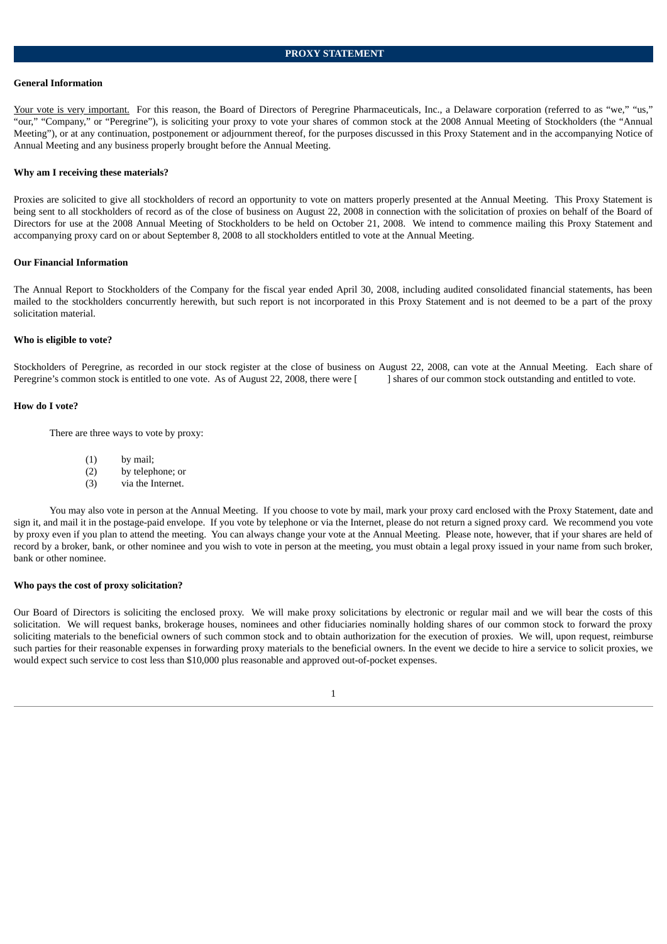#### **General Information**

Your vote is very important. For this reason, the Board of Directors of Peregrine Pharmaceuticals, Inc., a Delaware corporation (referred to as "we," "us," "our," "Company," or "Peregrine"), is soliciting your proxy to vote your shares of common stock at the 2008 Annual Meeting of Stockholders (the "Annual Meeting"), or at any continuation, postponement or adjournment thereof, for the purposes discussed in this Proxy Statement and in the accompanying Notice of Annual Meeting and any business properly brought before the Annual Meeting.

#### **Why am I receiving these materials?**

Proxies are solicited to give all stockholders of record an opportunity to vote on matters properly presented at the Annual Meeting. This Proxy Statement is being sent to all stockholders of record as of the close of business on August 22, 2008 in connection with the solicitation of proxies on behalf of the Board of Directors for use at the 2008 Annual Meeting of Stockholders to be held on October 21, 2008. We intend to commence mailing this Proxy Statement and accompanying proxy card on or about September 8, 2008 to all stockholders entitled to vote at the Annual Meeting.

#### **Our Financial Information**

The Annual Report to Stockholders of the Company for the fiscal year ended April 30, 2008, including audited consolidated financial statements, has been mailed to the stockholders concurrently herewith, but such report is not incorporated in this Proxy Statement and is not deemed to be a part of the proxy solicitation material.

#### **Who is eligible to vote?**

Stockholders of Peregrine, as recorded in our stock register at the close of business on August 22, 2008, can vote at the Annual Meeting. Each share of Peregrine's common stock is entitled to one vote. As of August 22, 2008, there were [ ] shares of our common stock outstanding and entitled to vote.

#### **How do I vote?**

There are three ways to vote by proxy:

- (1) by mail;
- (2) by telephone; or
- (3) via the Internet.

You may also vote in person at the Annual Meeting. If you choose to vote by mail, mark your proxy card enclosed with the Proxy Statement, date and sign it, and mail it in the postage-paid envelope. If you vote by telephone or via the Internet, please do not return a signed proxy card. We recommend you vote by proxy even if you plan to attend the meeting. You can always change your vote at the Annual Meeting. Please note, however, that if your shares are held of record by a broker, bank, or other nominee and you wish to vote in person at the meeting, you must obtain a legal proxy issued in your name from such broker, bank or other nominee.

#### **Who pays the cost of proxy solicitation?**

Our Board of Directors is soliciting the enclosed proxy. We will make proxy solicitations by electronic or regular mail and we will bear the costs of this solicitation. We will request banks, brokerage houses, nominees and other fiduciaries nominally holding shares of our common stock to forward the proxy soliciting materials to the beneficial owners of such common stock and to obtain authorization for the execution of proxies. We will, upon request, reimburse such parties for their reasonable expenses in forwarding proxy materials to the beneficial owners. In the event we decide to hire a service to solicit proxies, we would expect such service to cost less than \$10,000 plus reasonable and approved out-of-pocket expenses.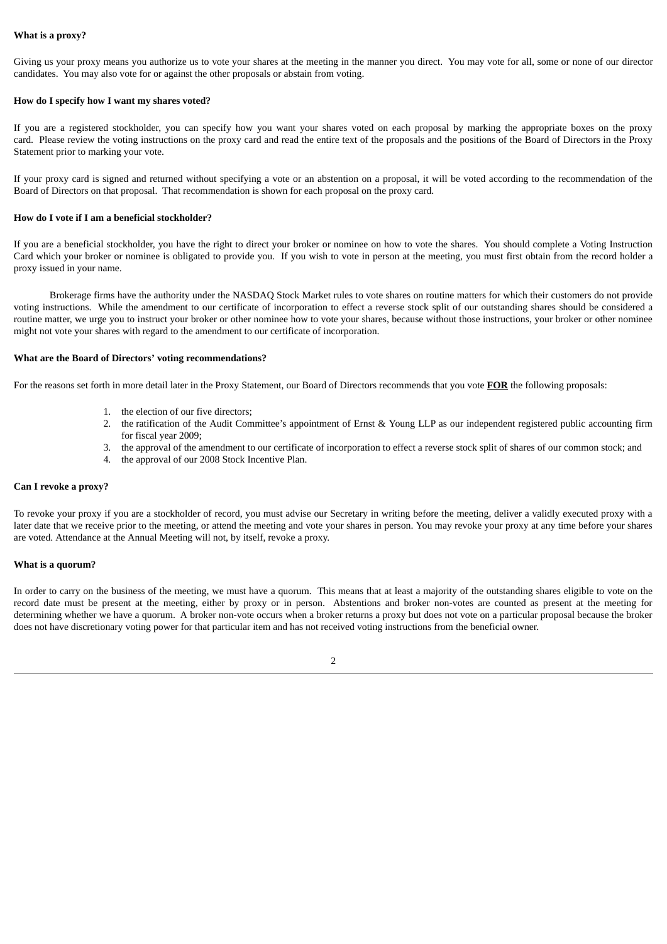## **What is a proxy?**

Giving us your proxy means you authorize us to vote your shares at the meeting in the manner you direct. You may vote for all, some or none of our director candidates. You may also vote for or against the other proposals or abstain from voting.

#### **How do I specify how I want my shares voted?**

If you are a registered stockholder, you can specify how you want your shares voted on each proposal by marking the appropriate boxes on the proxy card. Please review the voting instructions on the proxy card and read the entire text of the proposals and the positions of the Board of Directors in the Proxy Statement prior to marking your vote.

If your proxy card is signed and returned without specifying a vote or an abstention on a proposal, it will be voted according to the recommendation of the Board of Directors on that proposal. That recommendation is shown for each proposal on the proxy card.

#### **How do I vote if I am a beneficial stockholder?**

If you are a beneficial stockholder, you have the right to direct your broker or nominee on how to vote the shares. You should complete a Voting Instruction Card which your broker or nominee is obligated to provide you. If you wish to vote in person at the meeting, you must first obtain from the record holder a proxy issued in your name.

Brokerage firms have the authority under the NASDAQ Stock Market rules to vote shares on routine matters for which their customers do not provide voting instructions. While the amendment to our certificate of incorporation to effect a reverse stock split of our outstanding shares should be considered a routine matter, we urge you to instruct your broker or other nominee how to vote your shares, because without those instructions, your broker or other nominee might not vote your shares with regard to the amendment to our certificate of incorporation.

#### **What are the Board of Directors' voting recommendations?**

For the reasons set forth in more detail later in the Proxy Statement, our Board of Directors recommends that you vote **FOR** the following proposals:

- 1. the election of our five directors;
- 2. the ratification of the Audit Committee's appointment of Ernst & Young LLP as our independent registered public accounting firm for fiscal year 2009;
- 3. the approval of the amendment to our certificate of incorporation to effect a reverse stock split of shares of our common stock; and
- 4. the approval of our 2008 Stock Incentive Plan.

#### **Can I revoke a proxy?**

To revoke your proxy if you are a stockholder of record, you must advise our Secretary in writing before the meeting, deliver a validly executed proxy with a later date that we receive prior to the meeting, or attend the meeting and vote your shares in person. You may revoke your proxy at any time before your shares are voted. Attendance at the Annual Meeting will not, by itself, revoke a proxy.

#### **What is a quorum?**

In order to carry on the business of the meeting, we must have a quorum. This means that at least a majority of the outstanding shares eligible to vote on the record date must be present at the meeting, either by proxy or in person. Abstentions and broker non-votes are counted as present at the meeting for determining whether we have a quorum. A broker non-vote occurs when a broker returns a proxy but does not vote on a particular proposal because the broker does not have discretionary voting power for that particular item and has not received voting instructions from the beneficial owner.

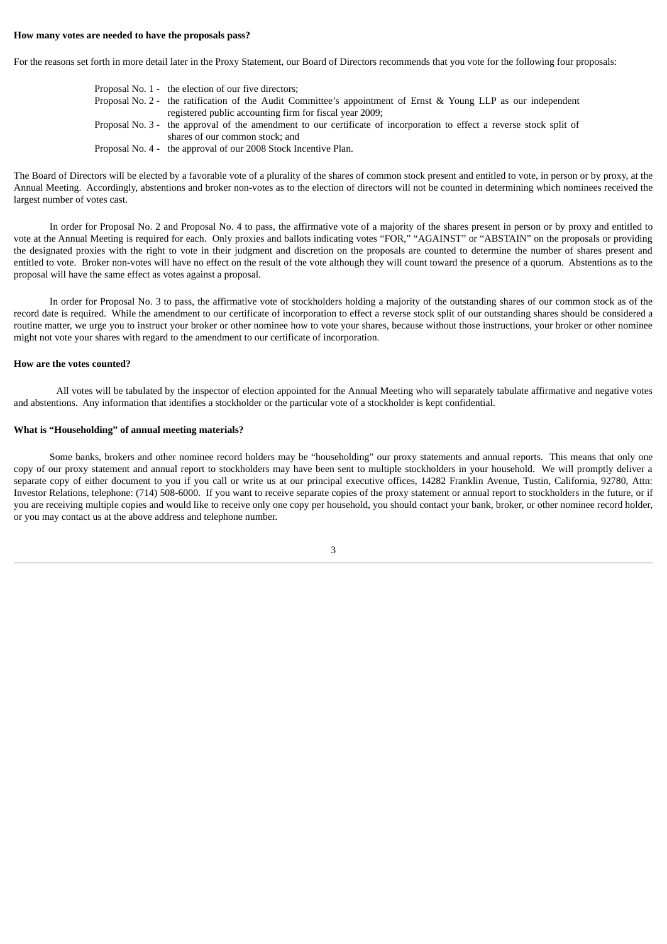#### **How many votes are needed to have the proposals pass?**

For the reasons set forth in more detail later in the Proxy Statement, our Board of Directors recommends that you vote for the following four proposals:

| Proposal No. 1 - the election of our five directors;                                                                  |
|-----------------------------------------------------------------------------------------------------------------------|
| Proposal No. 2 - the ratification of the Audit Committee's appointment of Ernst & Young LLP as our independent        |
| registered public accounting firm for fiscal year 2009;                                                               |
| Proposal No. 3 - the approval of the amendment to our certificate of incorporation to effect a reverse stock split of |
| shares of our common stock; and                                                                                       |
| Proposal No. 4 - the approval of our 2008 Stock Incentive Plan.                                                       |

The Board of Directors will be elected by a favorable vote of a plurality of the shares of common stock present and entitled to vote, in person or by proxy, at the Annual Meeting. Accordingly, abstentions and broker non-votes as to the election of directors will not be counted in determining which nominees received the largest number of votes cast.

In order for Proposal No. 2 and Proposal No. 4 to pass, the affirmative vote of a majority of the shares present in person or by proxy and entitled to vote at the Annual Meeting is required for each. Only proxies and ballots indicating votes "FOR," "AGAINST" or "ABSTAIN" on the proposals or providing the designated proxies with the right to vote in their judgment and discretion on the proposals are counted to determine the number of shares present and entitled to vote. Broker non-votes will have no effect on the result of the vote although they will count toward the presence of a quorum. Abstentions as to the proposal will have the same effect as votes against a proposal.

In order for Proposal No. 3 to pass, the affirmative vote of stockholders holding a majority of the outstanding shares of our common stock as of the record date is required. While the amendment to our certificate of incorporation to effect a reverse stock split of our outstanding shares should be considered a routine matter, we urge you to instruct your broker or other nominee how to vote your shares, because without those instructions, your broker or other nominee might not vote your shares with regard to the amendment to our certificate of incorporation.

#### **How are the votes counted?**

All votes will be tabulated by the inspector of election appointed for the Annual Meeting who will separately tabulate affirmative and negative votes and abstentions. Any information that identifies a stockholder or the particular vote of a stockholder is kept confidential.

#### **What is "Householding" of annual meeting materials?**

Some banks, brokers and other nominee record holders may be "householding" our proxy statements and annual reports. This means that only one copy of our proxy statement and annual report to stockholders may have been sent to multiple stockholders in your household. We will promptly deliver a separate copy of either document to you if you call or write us at our principal executive offices, 14282 Franklin Avenue, Tustin, California, 92780, Attn: Investor Relations, telephone: (714) 508-6000. If you want to receive separate copies of the proxy statement or annual report to stockholders in the future, or if you are receiving multiple copies and would like to receive only one copy per household, you should contact your bank, broker, or other nominee record holder, or you may contact us at the above address and telephone number.

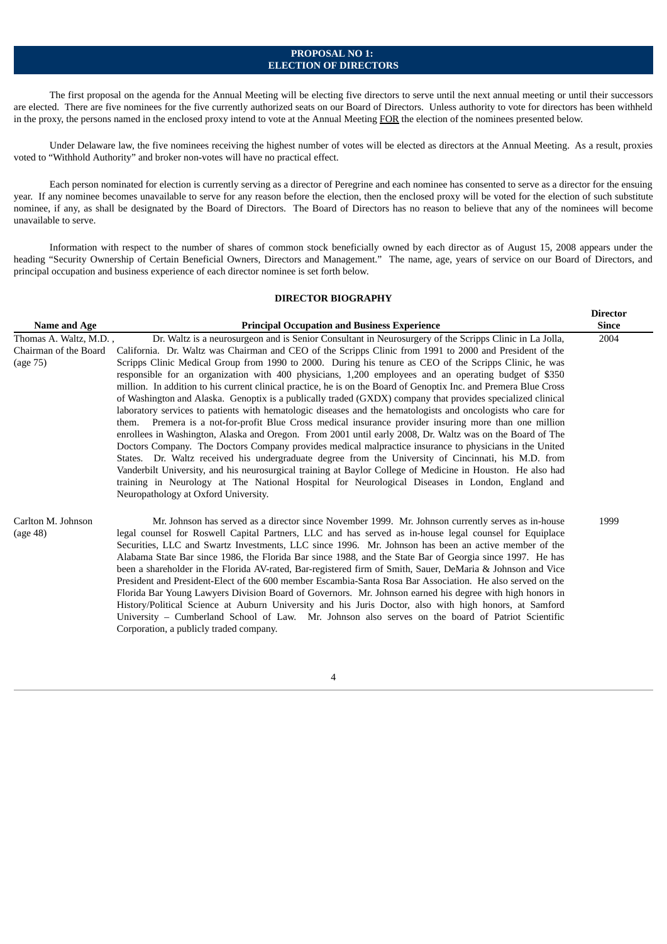## **PROPOSAL NO 1: ELECTION OF DIRECTORS**

The first proposal on the agenda for the Annual Meeting will be electing five directors to serve until the next annual meeting or until their successors are elected. There are five nominees for the five currently authorized seats on our Board of Directors. Unless authority to vote for directors has been withheld in the proxy, the persons named in the enclosed proxy intend to vote at the Annual Meeting FOR the election of the nominees presented below.

Under Delaware law, the five nominees receiving the highest number of votes will be elected as directors at the Annual Meeting. As a result, proxies voted to "Withhold Authority" and broker non-votes will have no practical effect.

Each person nominated for election is currently serving as a director of Peregrine and each nominee has consented to serve as a director for the ensuing year. If any nominee becomes unavailable to serve for any reason before the election, then the enclosed proxy will be voted for the election of such substitute nominee, if any, as shall be designated by the Board of Directors. The Board of Directors has no reason to believe that any of the nominees will become unavailable to serve.

Information with respect to the number of shares of common stock beneficially owned by each director as of August 15, 2008 appears under the heading "Security Ownership of Certain Beneficial Owners, Directors and Management." The name, age, years of service on our Board of Directors, and principal occupation and business experience of each director nominee is set forth below.

## **DIRECTOR BIOGRAPHY**

**Director**

| Name and Age                                                | <b>Principal Occupation and Business Experience</b>                                                                                                                                                                                                                                                                                                                                                                                                                                                                                                                                                                                                                                                                                                                                                                                                                                                                                                                                                                                                                                                                                                                                                                                                                                                                                                                                                                                                                                           | <b>Since</b> |
|-------------------------------------------------------------|-----------------------------------------------------------------------------------------------------------------------------------------------------------------------------------------------------------------------------------------------------------------------------------------------------------------------------------------------------------------------------------------------------------------------------------------------------------------------------------------------------------------------------------------------------------------------------------------------------------------------------------------------------------------------------------------------------------------------------------------------------------------------------------------------------------------------------------------------------------------------------------------------------------------------------------------------------------------------------------------------------------------------------------------------------------------------------------------------------------------------------------------------------------------------------------------------------------------------------------------------------------------------------------------------------------------------------------------------------------------------------------------------------------------------------------------------------------------------------------------------|--------------|
| Thomas A. Waltz, M.D.,<br>Chairman of the Board<br>(age 75) | Dr. Waltz is a neurosurgeon and is Senior Consultant in Neurosurgery of the Scripps Clinic in La Jolla,<br>California. Dr. Waltz was Chairman and CEO of the Scripps Clinic from 1991 to 2000 and President of the<br>Scripps Clinic Medical Group from 1990 to 2000. During his tenure as CEO of the Scripps Clinic, he was<br>responsible for an organization with 400 physicians, 1,200 employees and an operating budget of \$350<br>million. In addition to his current clinical practice, he is on the Board of Genoptix Inc. and Premera Blue Cross<br>of Washington and Alaska. Genoptix is a publically traded (GXDX) company that provides specialized clinical<br>laboratory services to patients with hematologic diseases and the hematologists and oncologists who care for<br>them. Premera is a not-for-profit Blue Cross medical insurance provider insuring more than one million<br>enrollees in Washington, Alaska and Oregon. From 2001 until early 2008, Dr. Waltz was on the Board of The<br>Doctors Company. The Doctors Company provides medical malpractice insurance to physicians in the United<br>States. Dr. Waltz received his undergraduate degree from the University of Cincinnati, his M.D. from<br>Vanderbilt University, and his neurosurgical training at Baylor College of Medicine in Houston. He also had<br>training in Neurology at The National Hospital for Neurological Diseases in London, England and<br>Neuropathology at Oxford University. | 2004         |
| Carlton M. Johnson<br>(age 48)                              | Mr. Johnson has served as a director since November 1999. Mr. Johnson currently serves as in-house<br>legal counsel for Roswell Capital Partners, LLC and has served as in-house legal counsel for Equiplace<br>Securities, LLC and Swartz Investments, LLC since 1996. Mr. Johnson has been an active member of the<br>Alabama State Bar since 1986, the Florida Bar since 1988, and the State Bar of Georgia since 1997. He has<br>been a shareholder in the Florida AV-rated, Bar-registered firm of Smith, Sauer, DeMaria & Johnson and Vice<br>President and President-Elect of the 600 member Escambia-Santa Rosa Bar Association. He also served on the<br>Florida Bar Young Lawyers Division Board of Governors. Mr. Johnson earned his degree with high honors in<br>History/Political Science at Auburn University and his Juris Doctor, also with high honors, at Samford<br>University - Cumberland School of Law. Mr. Johnson also serves on the board of Patriot Scientific<br>Corporation, a publicly traded company.                                                                                                                                                                                                                                                                                                                                                                                                                                                          | 1999         |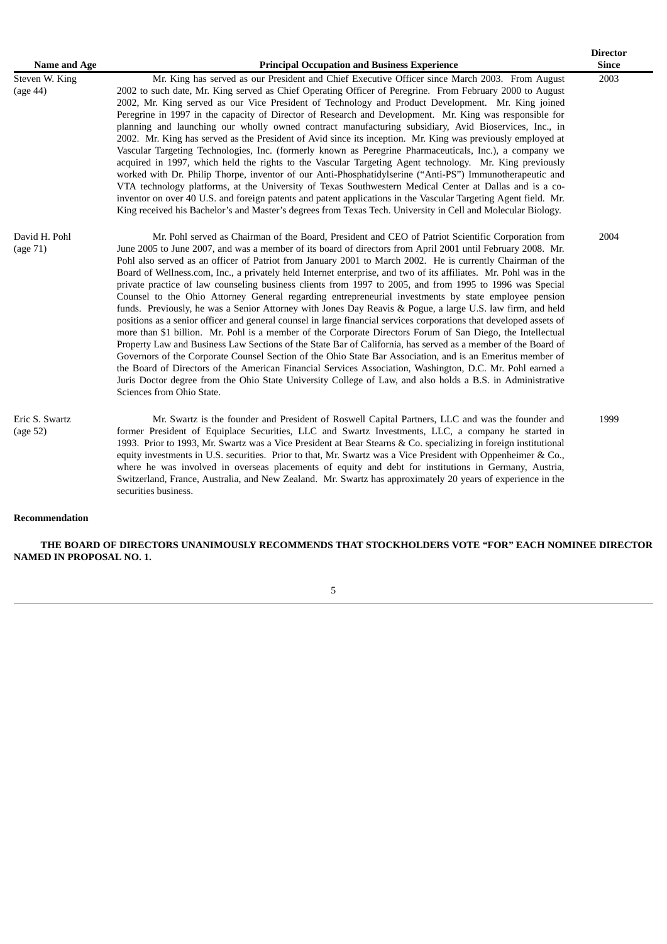| <b>Name and Age</b>        | <b>Principal Occupation and Business Experience</b>                                                                                                                                                                                                                                                                                                                                                                                                                                                                                                                                                                                                                                                                                                                                                                                                                                                                                                                                                                                                                                                                                                                                                                                                                                                                                                                                                                                                                                                                 | <b>Director</b><br><b>Since</b> |
|----------------------------|---------------------------------------------------------------------------------------------------------------------------------------------------------------------------------------------------------------------------------------------------------------------------------------------------------------------------------------------------------------------------------------------------------------------------------------------------------------------------------------------------------------------------------------------------------------------------------------------------------------------------------------------------------------------------------------------------------------------------------------------------------------------------------------------------------------------------------------------------------------------------------------------------------------------------------------------------------------------------------------------------------------------------------------------------------------------------------------------------------------------------------------------------------------------------------------------------------------------------------------------------------------------------------------------------------------------------------------------------------------------------------------------------------------------------------------------------------------------------------------------------------------------|---------------------------------|
| Steven W. King<br>(age 44) | Mr. King has served as our President and Chief Executive Officer since March 2003. From August<br>2002 to such date, Mr. King served as Chief Operating Officer of Peregrine. From February 2000 to August<br>2002, Mr. King served as our Vice President of Technology and Product Development. Mr. King joined<br>Peregrine in 1997 in the capacity of Director of Research and Development. Mr. King was responsible for<br>planning and launching our wholly owned contract manufacturing subsidiary, Avid Bioservices, Inc., in<br>2002. Mr. King has served as the President of Avid since its inception. Mr. King was previously employed at<br>Vascular Targeting Technologies, Inc. (formerly known as Peregrine Pharmaceuticals, Inc.), a company we<br>acquired in 1997, which held the rights to the Vascular Targeting Agent technology. Mr. King previously<br>worked with Dr. Philip Thorpe, inventor of our Anti-Phosphatidylserine ("Anti-PS") Immunotherapeutic and<br>VTA technology platforms, at the University of Texas Southwestern Medical Center at Dallas and is a co-<br>inventor on over 40 U.S. and foreign patents and patent applications in the Vascular Targeting Agent field. Mr.<br>King received his Bachelor's and Master's degrees from Texas Tech. University in Cell and Molecular Biology.                                                                                                                                                                                 | 2003                            |
| David H. Pohl<br>(age 71)  | Mr. Pohl served as Chairman of the Board, President and CEO of Patriot Scientific Corporation from<br>June 2005 to June 2007, and was a member of its board of directors from April 2001 until February 2008. Mr.<br>Pohl also served as an officer of Patriot from January 2001 to March 2002. He is currently Chairman of the<br>Board of Wellness.com, Inc., a privately held Internet enterprise, and two of its affiliates. Mr. Pohl was in the<br>private practice of law counseling business clients from 1997 to 2005, and from 1995 to 1996 was Special<br>Counsel to the Ohio Attorney General regarding entrepreneurial investments by state employee pension<br>funds. Previously, he was a Senior Attorney with Jones Day Reavis & Pogue, a large U.S. law firm, and held<br>positions as a senior officer and general counsel in large financial services corporations that developed assets of<br>more than \$1 billion. Mr. Pohl is a member of the Corporate Directors Forum of San Diego, the Intellectual<br>Property Law and Business Law Sections of the State Bar of California, has served as a member of the Board of<br>Governors of the Corporate Counsel Section of the Ohio State Bar Association, and is an Emeritus member of<br>the Board of Directors of the American Financial Services Association, Washington, D.C. Mr. Pohl earned a<br>Juris Doctor degree from the Ohio State University College of Law, and also holds a B.S. in Administrative<br>Sciences from Ohio State. | 2004                            |
| Eric S. Swartz<br>(age 52) | Mr. Swartz is the founder and President of Roswell Capital Partners, LLC and was the founder and<br>former President of Equiplace Securities, LLC and Swartz Investments, LLC, a company he started in<br>1993. Prior to 1993, Mr. Swartz was a Vice President at Bear Stearns & Co. specializing in foreign institutional<br>equity investments in U.S. securities. Prior to that, Mr. Swartz was a Vice President with Oppenheimer & Co.,<br>where he was involved in overseas placements of equity and debt for institutions in Germany, Austria,<br>Switzerland, France, Australia, and New Zealand. Mr. Swartz has approximately 20 years of experience in the<br>securities business.                                                                                                                                                                                                                                                                                                                                                                                                                                                                                                                                                                                                                                                                                                                                                                                                                         | 1999                            |
| Recommendation             |                                                                                                                                                                                                                                                                                                                                                                                                                                                                                                                                                                                                                                                                                                                                                                                                                                                                                                                                                                                                                                                                                                                                                                                                                                                                                                                                                                                                                                                                                                                     |                                 |
|                            | THE BOARD OF DIRECTORS UNANIMOUSLY RECOMMENDS THAT STOCKHOLDERS VOTE "FOR" EACH NOMINEE DIRECTOR                                                                                                                                                                                                                                                                                                                                                                                                                                                                                                                                                                                                                                                                                                                                                                                                                                                                                                                                                                                                                                                                                                                                                                                                                                                                                                                                                                                                                    |                                 |

## 5

**NAMED IN PROPOSAL NO. 1.**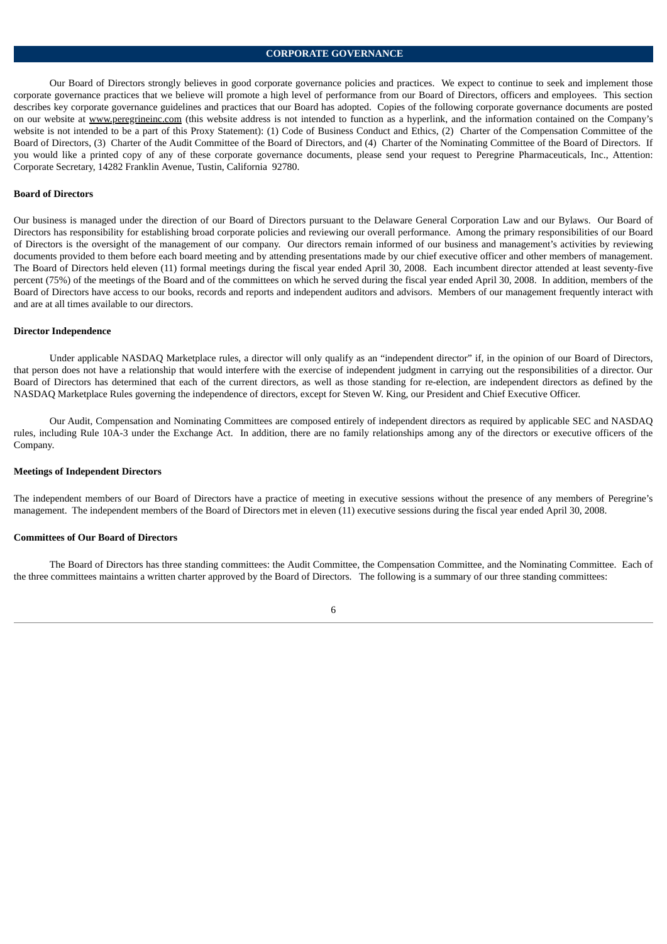## **CORPORATE GOVERNANCE**

Our Board of Directors strongly believes in good corporate governance policies and practices. We expect to continue to seek and implement those corporate governance practices that we believe will promote a high level of performance from our Board of Directors, officers and employees. This section describes key corporate governance guidelines and practices that our Board has adopted. Copies of the following corporate governance documents are posted on our website at www.peregrineinc.com (this website address is not intended to function as a hyperlink, and the information contained on the Company's website is not intended to be a part of this Proxy Statement): (1) Code of Business Conduct and Ethics, (2) Charter of the Compensation Committee of the Board of Directors, (3) Charter of the Audit Committee of the Board of Directors, and (4) Charter of the Nominating Committee of the Board of Directors. If you would like a printed copy of any of these corporate governance documents, please send your request to Peregrine Pharmaceuticals, Inc., Attention: Corporate Secretary, 14282 Franklin Avenue, Tustin, California 92780.

#### **Board of Directors**

Our business is managed under the direction of our Board of Directors pursuant to the Delaware General Corporation Law and our Bylaws. Our Board of Directors has responsibility for establishing broad corporate policies and reviewing our overall performance. Among the primary responsibilities of our Board of Directors is the oversight of the management of our company. Our directors remain informed of our business and management's activities by reviewing documents provided to them before each board meeting and by attending presentations made by our chief executive officer and other members of management. The Board of Directors held eleven (11) formal meetings during the fiscal year ended April 30, 2008. Each incumbent director attended at least seventy-five percent (75%) of the meetings of the Board and of the committees on which he served during the fiscal year ended April 30, 2008. In addition, members of the Board of Directors have access to our books, records and reports and independent auditors and advisors. Members of our management frequently interact with and are at all times available to our directors.

#### **Director Independence**

Under applicable NASDAQ Marketplace rules, a director will only qualify as an "independent director" if, in the opinion of our Board of Directors, that person does not have a relationship that would interfere with the exercise of independent judgment in carrying out the responsibilities of a director. Our Board of Directors has determined that each of the current directors, as well as those standing for re-election, are independent directors as defined by the NASDAQ Marketplace Rules governing the independence of directors, except for Steven W. King, our President and Chief Executive Officer.

Our Audit, Compensation and Nominating Committees are composed entirely of independent directors as required by applicable SEC and NASDAQ rules, including Rule 10A-3 under the Exchange Act. In addition, there are no family relationships among any of the directors or executive officers of the Company.

### **Meetings of Independent Directors**

The independent members of our Board of Directors have a practice of meeting in executive sessions without the presence of any members of Peregrine's management. The independent members of the Board of Directors met in eleven (11) executive sessions during the fiscal year ended April 30, 2008.

#### **Committees of Our Board of Directors**

The Board of Directors has three standing committees: the Audit Committee, the Compensation Committee, and the Nominating Committee. Each of the three committees maintains a written charter approved by the Board of Directors. The following is a summary of our three standing committees:

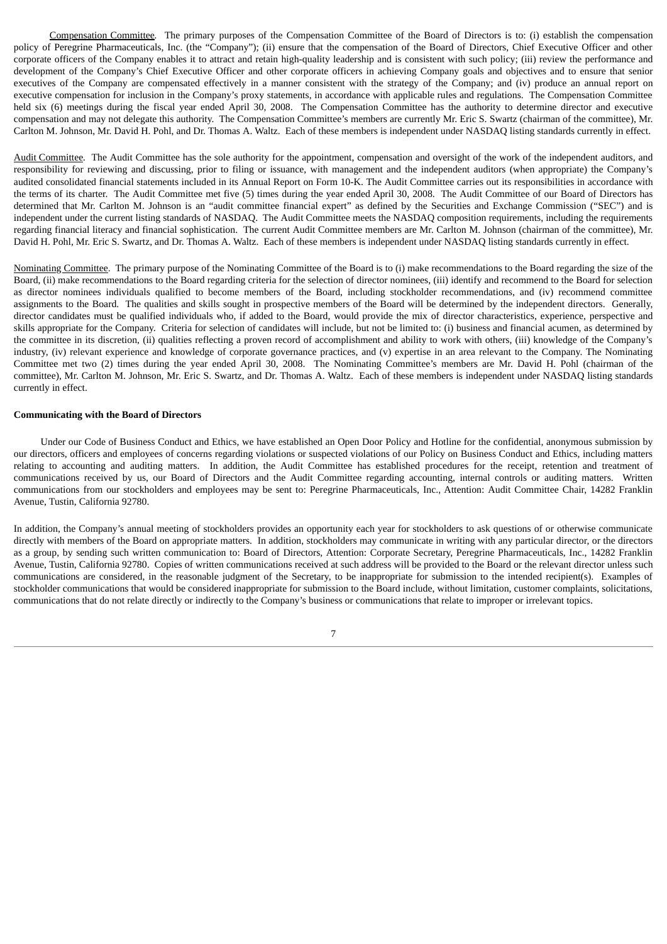Compensation Committee*.* The primary purposes of the Compensation Committee of the Board of Directors is to: (i) establish the compensation policy of Peregrine Pharmaceuticals, Inc. (the "Company"); (ii) ensure that the compensation of the Board of Directors, Chief Executive Officer and other corporate officers of the Company enables it to attract and retain high-quality leadership and is consistent with such policy; (iii) review the performance and development of the Company's Chief Executive Officer and other corporate officers in achieving Company goals and objectives and to ensure that senior executives of the Company are compensated effectively in a manner consistent with the strategy of the Company; and (iv) produce an annual report on executive compensation for inclusion in the Company's proxy statements, in accordance with applicable rules and regulations. The Compensation Committee held six (6) meetings during the fiscal year ended April 30, 2008. The Compensation Committee has the authority to determine director and executive compensation and may not delegate this authority. The Compensation Committee's members are currently Mr. Eric S. Swartz (chairman of the committee), Mr. Carlton M. Johnson, Mr. David H. Pohl, and Dr. Thomas A. Waltz. Each of these members is independent under NASDAQ listing standards currently in effect.

Audit Committee*.* The Audit Committee has the sole authority for the appointment, compensation and oversight of the work of the independent auditors, and responsibility for reviewing and discussing, prior to filing or issuance, with management and the independent auditors (when appropriate) the Company's audited consolidated financial statements included in its Annual Report on Form 10-K. The Audit Committee carries out its responsibilities in accordance with the terms of its charter. The Audit Committee met five (5) times during the year ended April 30, 2008. The Audit Committee of our Board of Directors has determined that Mr. Carlton M. Johnson is an "audit committee financial expert" as defined by the Securities and Exchange Commission ("SEC") and is independent under the current listing standards of NASDAQ. The Audit Committee meets the NASDAQ composition requirements, including the requirements regarding financial literacy and financial sophistication. The current Audit Committee members are Mr. Carlton M. Johnson (chairman of the committee), Mr. David H. Pohl, Mr. Eric S. Swartz, and Dr. Thomas A. Waltz. Each of these members is independent under NASDAQ listing standards currently in effect.

Nominating Committee. The primary purpose of the Nominating Committee of the Board is to (i) make recommendations to the Board regarding the size of the Board, (ii) make recommendations to the Board regarding criteria for the selection of director nominees, (iii) identify and recommend to the Board for selection as director nominees individuals qualified to become members of the Board, including stockholder recommendations, and (iv) recommend committee assignments to the Board. The qualities and skills sought in prospective members of the Board will be determined by the independent directors. Generally, director candidates must be qualified individuals who, if added to the Board, would provide the mix of director characteristics, experience, perspective and skills appropriate for the Company. Criteria for selection of candidates will include, but not be limited to: (i) business and financial acumen, as determined by the committee in its discretion, (ii) qualities reflecting a proven record of accomplishment and ability to work with others, (iii) knowledge of the Company's industry, (iv) relevant experience and knowledge of corporate governance practices, and (v) expertise in an area relevant to the Company. The Nominating Committee met two (2) times during the year ended April 30, 2008. The Nominating Committee's members are Mr. David H. Pohl (chairman of the committee), Mr. Carlton M. Johnson, Mr. Eric S. Swartz, and Dr. Thomas A. Waltz. Each of these members is independent under NASDAQ listing standards currently in effect.

#### **Communicating with the Board of Directors**

Under our Code of Business Conduct and Ethics, we have established an Open Door Policy and Hotline for the confidential, anonymous submission by our directors, officers and employees of concerns regarding violations or suspected violations of our Policy on Business Conduct and Ethics, including matters relating to accounting and auditing matters. In addition, the Audit Committee has established procedures for the receipt, retention and treatment of communications received by us, our Board of Directors and the Audit Committee regarding accounting, internal controls or auditing matters. Written communications from our stockholders and employees may be sent to: Peregrine Pharmaceuticals, Inc., Attention: Audit Committee Chair, 14282 Franklin Avenue, Tustin, California 92780.

In addition, the Company's annual meeting of stockholders provides an opportunity each year for stockholders to ask questions of or otherwise communicate directly with members of the Board on appropriate matters. In addition, stockholders may communicate in writing with any particular director, or the directors as a group, by sending such written communication to: Board of Directors, Attention: Corporate Secretary, Peregrine Pharmaceuticals, Inc., 14282 Franklin Avenue, Tustin, California 92780. Copies of written communications received at such address will be provided to the Board or the relevant director unless such communications are considered, in the reasonable judgment of the Secretary, to be inappropriate for submission to the intended recipient(s). Examples of stockholder communications that would be considered inappropriate for submission to the Board include, without limitation, customer complaints, solicitations, communications that do not relate directly or indirectly to the Company's business or communications that relate to improper or irrelevant topics.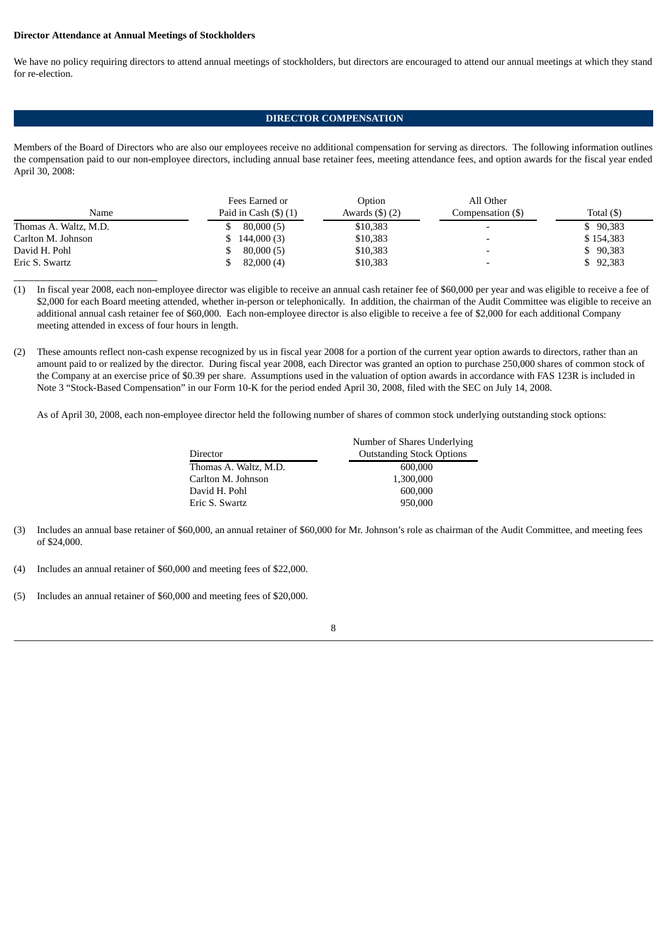## **Director Attendance at Annual Meetings of Stockholders**

\_\_\_\_\_\_\_\_\_\_\_\_\_\_\_\_\_\_\_\_\_\_\_\_

We have no policy requiring directors to attend annual meetings of stockholders, but directors are encouraged to attend our annual meetings at which they stand for re-election.

## **DIRECTOR COMPENSATION**

Members of the Board of Directors who are also our employees receive no additional compensation for serving as directors. The following information outlines the compensation paid to our non-employee directors, including annual base retainer fees, meeting attendance fees, and option awards for the fiscal year ended April 30, 2008:

|                       | Fees Earned or           | Option                  | All Other         |             |
|-----------------------|--------------------------|-------------------------|-------------------|-------------|
| Name                  | Paid in Cash $($ ) $(1)$ | Awards $($ \$ $)$ $(2)$ | Compensation (\$) | Total $($ ) |
| Thomas A. Waltz, M.D. | 80,000(5)                | \$10,383                |                   | \$90,383    |
| Carlton M. Johnson    | 144,000 (3)              | \$10,383                |                   | \$154.383   |
| David H. Pohl         | 80,000(5)                | \$10,383                |                   | \$90,383    |
| Eric S. Swartz        | 82,000(4)                | \$10,383                |                   | \$92,383    |

(1) In fiscal year 2008, each non-employee director was eligible to receive an annual cash retainer fee of \$60,000 per year and was eligible to receive a fee of \$2,000 for each Board meeting attended, whether in-person or telephonically. In addition, the chairman of the Audit Committee was eligible to receive an additional annual cash retainer fee of \$60,000. Each non-employee director is also eligible to receive a fee of \$2,000 for each additional Company meeting attended in excess of four hours in length.

(2) These amounts reflect non-cash expense recognized by us in fiscal year 2008 for a portion of the current year option awards to directors, rather than an amount paid to or realized by the director. During fiscal year 2008, each Director was granted an option to purchase 250,000 shares of common stock of the Company at an exercise price of \$0.39 per share. Assumptions used in the valuation of option awards in accordance with FAS 123R is included in Note 3 "Stock-Based Compensation" in our Form 10-K for the period ended April 30, 2008, filed with the SEC on July 14, 2008.

As of April 30, 2008, each non-employee director held the following number of shares of common stock underlying outstanding stock options:

| Number of Shares Underlying      |
|----------------------------------|
| <b>Outstanding Stock Options</b> |
| 600,000                          |
| 1,300,000                        |
| 600,000                          |
| 950,000                          |
|                                  |

- (3) Includes an annual base retainer of \$60,000, an annual retainer of \$60,000 for Mr. Johnson's role as chairman of the Audit Committee, and meeting fees of \$24,000.
- (4) Includes an annual retainer of \$60,000 and meeting fees of \$22,000.
- (5) Includes an annual retainer of \$60,000 and meeting fees of \$20,000.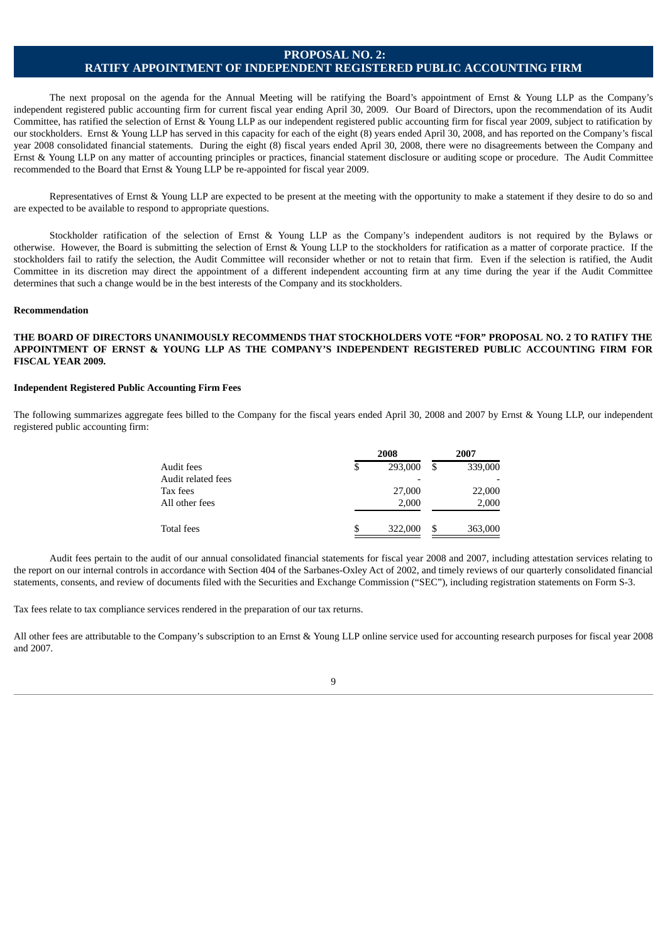# **PROPOSAL NO. 2:**

## **RATIFY APPOINTMENT OF INDEPENDENT REGISTERED PUBLIC ACCOUNTING FIRM**

The next proposal on the agenda for the Annual Meeting will be ratifying the Board's appointment of Ernst & Young LLP as the Company's independent registered public accounting firm for current fiscal year ending April 30, 2009. Our Board of Directors, upon the recommendation of its Audit Committee, has ratified the selection of Ernst & Young LLP as our independent registered public accounting firm for fiscal year 2009, subject to ratification by our stockholders. Ernst & Young LLP has served in this capacity for each of the eight (8) years ended April 30, 2008, and has reported on the Company's fiscal year 2008 consolidated financial statements. During the eight (8) fiscal years ended April 30, 2008, there were no disagreements between the Company and Ernst & Young LLP on any matter of accounting principles or practices, financial statement disclosure or auditing scope or procedure. The Audit Committee recommended to the Board that Ernst & Young LLP be re-appointed for fiscal year 2009.

Representatives of Ernst & Young LLP are expected to be present at the meeting with the opportunity to make a statement if they desire to do so and are expected to be available to respond to appropriate questions.

Stockholder ratification of the selection of Ernst & Young LLP as the Company's independent auditors is not required by the Bylaws or otherwise. However, the Board is submitting the selection of Ernst & Young LLP to the stockholders for ratification as a matter of corporate practice. If the stockholders fail to ratify the selection, the Audit Committee will reconsider whether or not to retain that firm. Even if the selection is ratified, the Audit Committee in its discretion may direct the appointment of a different independent accounting firm at any time during the year if the Audit Committee determines that such a change would be in the best interests of the Company and its stockholders.

#### **Recommendation**

## **THE BOARD OF DIRECTORS UNANIMOUSLY RECOMMENDS THAT STOCKHOLDERS VOTE "FOR" PROPOSAL NO. 2 TO RATIFY THE APPOINTMENT OF ERNST & YOUNG LLP AS THE COMPANY'S INDEPENDENT REGISTERED PUBLIC ACCOUNTING FIRM FOR FISCAL YEAR 2009.**

## **Independent Registered Public Accounting Firm Fees**

The following summarizes aggregate fees billed to the Company for the fiscal years ended April 30, 2008 and 2007 by Ernst & Young LLP, our independent registered public accounting firm:

|                    | 2008<br>2007 |         |    |         |  |
|--------------------|--------------|---------|----|---------|--|
| Audit fees         | \$           | 293,000 | \$ | 339,000 |  |
| Audit related fees |              |         |    |         |  |
| Tax fees           |              | 27,000  |    | 22,000  |  |
| All other fees     |              | 2,000   |    | 2,000   |  |
| Total fees         |              | 322,000 | \$ | 363,000 |  |

Audit fees pertain to the audit of our annual consolidated financial statements for fiscal year 2008 and 2007, including attestation services relating to the report on our internal controls in accordance with Section 404 of the Sarbanes-Oxley Act of 2002, and timely reviews of our quarterly consolidated financial statements, consents, and review of documents filed with the Securities and Exchange Commission ("SEC"), including registration statements on Form S-3.

Tax fees relate to tax compliance services rendered in the preparation of our tax returns.

All other fees are attributable to the Company's subscription to an Ernst & Young LLP online service used for accounting research purposes for fiscal year 2008 and 2007.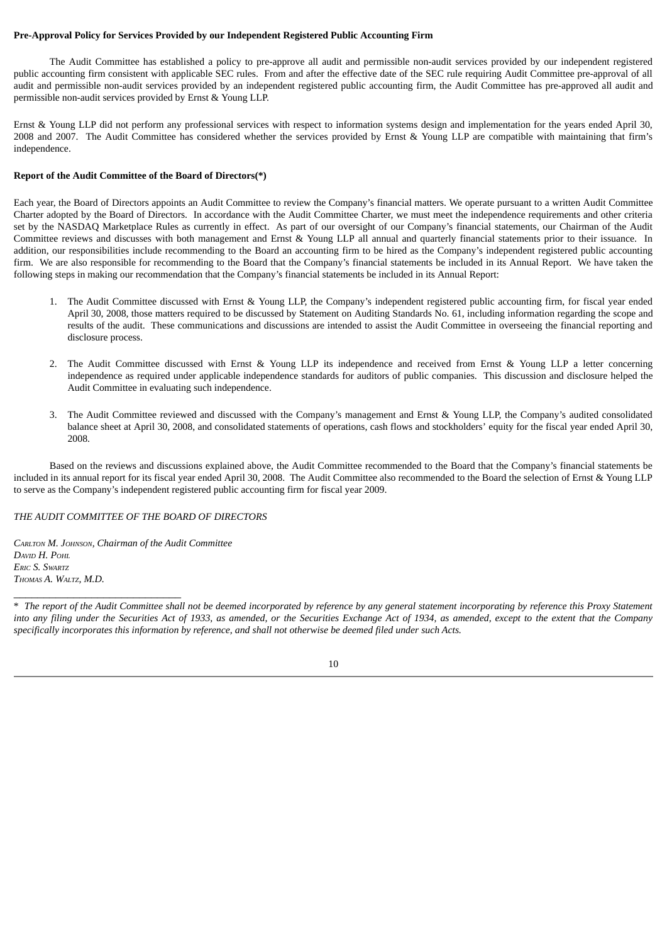## **Pre-Approval Policy for Services Provided by our Independent Registered Public Accounting Firm**

The Audit Committee has established a policy to pre-approve all audit and permissible non-audit services provided by our independent registered public accounting firm consistent with applicable SEC rules. From and after the effective date of the SEC rule requiring Audit Committee pre-approval of all audit and permissible non-audit services provided by an independent registered public accounting firm, the Audit Committee has pre-approved all audit and permissible non-audit services provided by Ernst & Young LLP.

Ernst & Young LLP did not perform any professional services with respect to information systems design and implementation for the years ended April 30, 2008 and 2007. The Audit Committee has considered whether the services provided by Ernst & Young LLP are compatible with maintaining that firm's independence.

#### **Report of the Audit Committee of the Board of Directors(\*)**

Each year, the Board of Directors appoints an Audit Committee to review the Company's financial matters. We operate pursuant to a written Audit Committee Charter adopted by the Board of Directors. In accordance with the Audit Committee Charter, we must meet the independence requirements and other criteria set by the NASDAQ Marketplace Rules as currently in effect. As part of our oversight of our Company's financial statements, our Chairman of the Audit Committee reviews and discusses with both management and Ernst & Young LLP all annual and quarterly financial statements prior to their issuance. In addition, our responsibilities include recommending to the Board an accounting firm to be hired as the Company's independent registered public accounting firm. We are also responsible for recommending to the Board that the Company's financial statements be included in its Annual Report. We have taken the following steps in making our recommendation that the Company's financial statements be included in its Annual Report:

- 1. The Audit Committee discussed with Ernst & Young LLP, the Company's independent registered public accounting firm, for fiscal year ended April 30, 2008, those matters required to be discussed by Statement on Auditing Standards No. 61, including information regarding the scope and results of the audit. These communications and discussions are intended to assist the Audit Committee in overseeing the financial reporting and disclosure process.
- 2. The Audit Committee discussed with Ernst & Young LLP its independence and received from Ernst & Young LLP a letter concerning independence as required under applicable independence standards for auditors of public companies. This discussion and disclosure helped the Audit Committee in evaluating such independence.
- 3. The Audit Committee reviewed and discussed with the Company's management and Ernst & Young LLP, the Company's audited consolidated balance sheet at April 30, 2008, and consolidated statements of operations, cash flows and stockholders' equity for the fiscal year ended April 30, 2008.

Based on the reviews and discussions explained above, the Audit Committee recommended to the Board that the Company's financial statements be included in its annual report for its fiscal year ended April 30, 2008. The Audit Committee also recommended to the Board the selection of Ernst & Young LLP to serve as the Company's independent registered public accounting firm for fiscal year 2009.

## *THE AUDIT COMMITTEE OF THE BOARD OF DIRECTORS*

*CARLTON M. JOHNSON, Chairman of the Audit Committee DAVID H. POHL ERIC S. SWARTZ THOMAS A. WALTZ, M.D.*

\_\_\_\_\_\_\_\_\_\_\_\_\_\_\_\_\_\_\_\_\_\_\_\_\_\_\_\_

<sup>\*</sup> The report of the Audit Committee shall not be deemed incorporated by reference by any general statement incorporating by reference this Proxy Statement into any filing under the Securities Act of 1933, as amended, or the Securities Exchange Act of 1934, as amended, except to the extent that the Company specifically incorporates this information by reference, and shall not otherwise be deemed filed under such Acts.

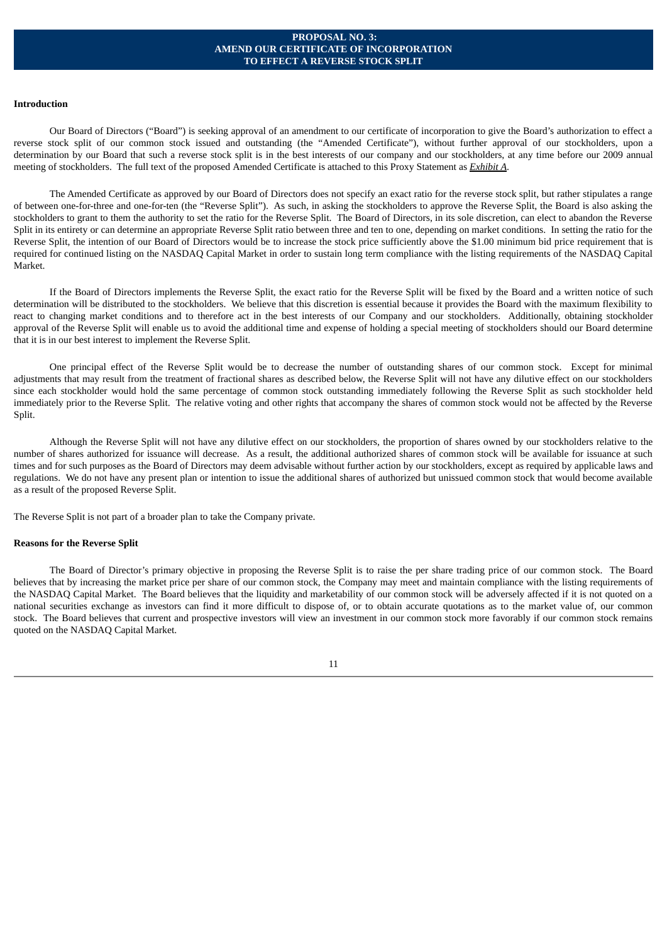## **PROPOSAL NO. 3: AMEND OUR CERTIFICATE OF INCORPORATION TO EFFECT A REVERSE STOCK SPLIT**

## **Introduction**

Our Board of Directors ("Board") is seeking approval of an amendment to our certificate of incorporation to give the Board's authorization to effect a reverse stock split of our common stock issued and outstanding (the "Amended Certificate"), without further approval of our stockholders, upon a determination by our Board that such a reverse stock split is in the best interests of our company and our stockholders, at any time before our 2009 annual meeting of stockholders. The full text of the proposed Amended Certificate is attached to this Proxy Statement as *Exhibit A*.

The Amended Certificate as approved by our Board of Directors does not specify an exact ratio for the reverse stock split, but rather stipulates a range of between one-for-three and one-for-ten (the "Reverse Split"). As such, in asking the stockholders to approve the Reverse Split, the Board is also asking the stockholders to grant to them the authority to set the ratio for the Reverse Split. The Board of Directors, in its sole discretion, can elect to abandon the Reverse Split in its entirety or can determine an appropriate Reverse Split ratio between three and ten to one, depending on market conditions. In setting the ratio for the Reverse Split, the intention of our Board of Directors would be to increase the stock price sufficiently above the \$1.00 minimum bid price requirement that is required for continued listing on the NASDAQ Capital Market in order to sustain long term compliance with the listing requirements of the NASDAQ Capital Market.

If the Board of Directors implements the Reverse Split, the exact ratio for the Reverse Split will be fixed by the Board and a written notice of such determination will be distributed to the stockholders. We believe that this discretion is essential because it provides the Board with the maximum flexibility to react to changing market conditions and to therefore act in the best interests of our Company and our stockholders. Additionally, obtaining stockholder approval of the Reverse Split will enable us to avoid the additional time and expense of holding a special meeting of stockholders should our Board determine that it is in our best interest to implement the Reverse Split.

One principal effect of the Reverse Split would be to decrease the number of outstanding shares of our common stock. Except for minimal adjustments that may result from the treatment of fractional shares as described below, the Reverse Split will not have any dilutive effect on our stockholders since each stockholder would hold the same percentage of common stock outstanding immediately following the Reverse Split as such stockholder held immediately prior to the Reverse Split. The relative voting and other rights that accompany the shares of common stock would not be affected by the Reverse Split.

Although the Reverse Split will not have any dilutive effect on our stockholders, the proportion of shares owned by our stockholders relative to the number of shares authorized for issuance will decrease. As a result, the additional authorized shares of common stock will be available for issuance at such times and for such purposes as the Board of Directors may deem advisable without further action by our stockholders, except as required by applicable laws and regulations. We do not have any present plan or intention to issue the additional shares of authorized but unissued common stock that would become available as a result of the proposed Reverse Split.

The Reverse Split is not part of a broader plan to take the Company private.

#### **Reasons for the Reverse Split**

The Board of Director's primary objective in proposing the Reverse Split is to raise the per share trading price of our common stock. The Board believes that by increasing the market price per share of our common stock, the Company may meet and maintain compliance with the listing requirements of the NASDAQ Capital Market. The Board believes that the liquidity and marketability of our common stock will be adversely affected if it is not quoted on a national securities exchange as investors can find it more difficult to dispose of, or to obtain accurate quotations as to the market value of, our common stock. The Board believes that current and prospective investors will view an investment in our common stock more favorably if our common stock remains quoted on the NASDAQ Capital Market.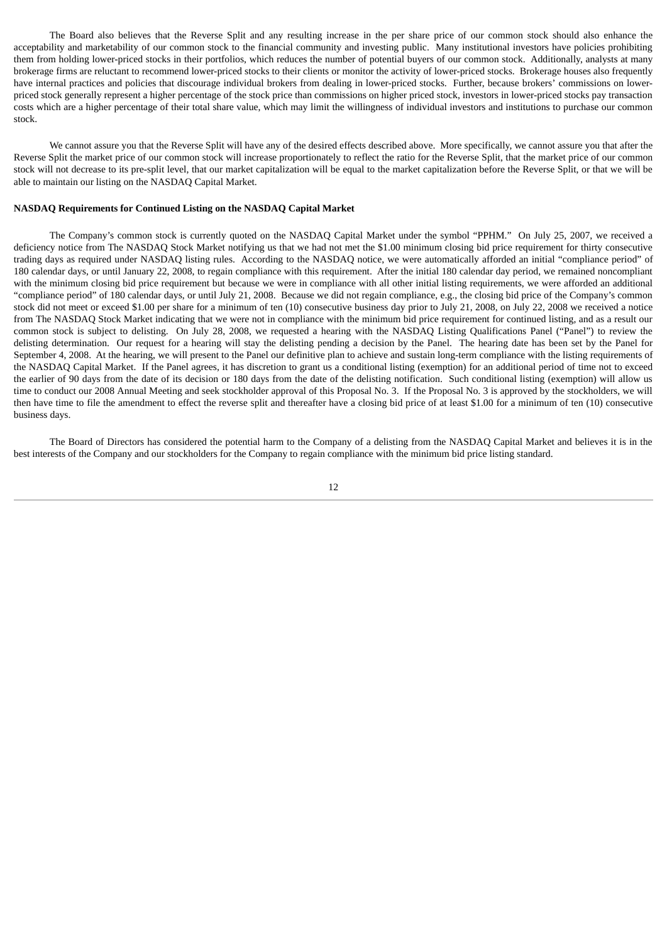The Board also believes that the Reverse Split and any resulting increase in the per share price of our common stock should also enhance the acceptability and marketability of our common stock to the financial community and investing public. Many institutional investors have policies prohibiting them from holding lower-priced stocks in their portfolios, which reduces the number of potential buyers of our common stock. Additionally, analysts at many brokerage firms are reluctant to recommend lower-priced stocks to their clients or monitor the activity of lower-priced stocks. Brokerage houses also frequently have internal practices and policies that discourage individual brokers from dealing in lower-priced stocks. Further, because brokers' commissions on lowerpriced stock generally represent a higher percentage of the stock price than commissions on higher priced stock, investors in lower-priced stocks pay transaction costs which are a higher percentage of their total share value, which may limit the willingness of individual investors and institutions to purchase our common stock.

We cannot assure you that the Reverse Split will have any of the desired effects described above. More specifically, we cannot assure you that after the Reverse Split the market price of our common stock will increase proportionately to reflect the ratio for the Reverse Split, that the market price of our common stock will not decrease to its pre-split level, that our market capitalization will be equal to the market capitalization before the Reverse Split, or that we will be able to maintain our listing on the NASDAQ Capital Market.

#### **NASDAQ Requirements for Continued Listing on the NASDAQ Capital Market**

The Company's common stock is currently quoted on the NASDAQ Capital Market under the symbol "PPHM." On July 25, 2007, we received a deficiency notice from The NASDAQ Stock Market notifying us that we had not met the \$1.00 minimum closing bid price requirement for thirty consecutive trading days as required under NASDAQ listing rules. According to the NASDAQ notice, we were automatically afforded an initial "compliance period" of 180 calendar days, or until January 22, 2008, to regain compliance with this requirement. After the initial 180 calendar day period, we remained noncompliant with the minimum closing bid price requirement but because we were in compliance with all other initial listing requirements, we were afforded an additional "compliance period" of 180 calendar days, or until July 21, 2008. Because we did not regain compliance, e.g., the closing bid price of the Company's common stock did not meet or exceed \$1.00 per share for a minimum of ten (10) consecutive business day prior to July 21, 2008, on July 22, 2008 we received a notice from The NASDAQ Stock Market indicating that we were not in compliance with the minimum bid price requirement for continued listing, and as a result our common stock is subject to delisting. On July 28, 2008, we requested a hearing with the NASDAQ Listing Qualifications Panel ("Panel") to review the delisting determination. Our request for a hearing will stay the delisting pending a decision by the Panel. The hearing date has been set by the Panel for September 4, 2008. At the hearing, we will present to the Panel our definitive plan to achieve and sustain long-term compliance with the listing requirements of the NASDAQ Capital Market. If the Panel agrees, it has discretion to grant us a conditional listing (exemption) for an additional period of time not to exceed the earlier of 90 days from the date of its decision or 180 days from the date of the delisting notification. Such conditional listing (exemption) will allow us time to conduct our 2008 Annual Meeting and seek stockholder approval of this Proposal No. 3. If the Proposal No. 3 is approved by the stockholders, we will then have time to file the amendment to effect the reverse split and thereafter have a closing bid price of at least \$1.00 for a minimum of ten (10) consecutive business days.

The Board of Directors has considered the potential harm to the Company of a delisting from the NASDAQ Capital Market and believes it is in the best interests of the Company and our stockholders for the Company to regain compliance with the minimum bid price listing standard.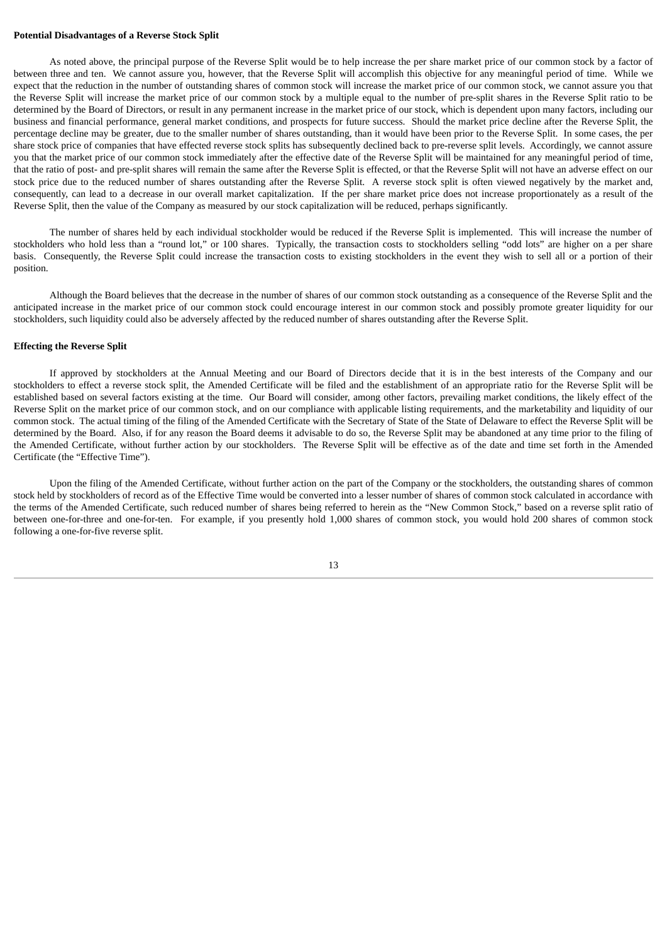#### **Potential Disadvantages of a Reverse Stock Split**

As noted above, the principal purpose of the Reverse Split would be to help increase the per share market price of our common stock by a factor of between three and ten. We cannot assure you, however, that the Reverse Split will accomplish this objective for any meaningful period of time. While we expect that the reduction in the number of outstanding shares of common stock will increase the market price of our common stock, we cannot assure you that the Reverse Split will increase the market price of our common stock by a multiple equal to the number of pre-split shares in the Reverse Split ratio to be determined by the Board of Directors, or result in any permanent increase in the market price of our stock, which is dependent upon many factors, including our business and financial performance, general market conditions, and prospects for future success. Should the market price decline after the Reverse Split, the percentage decline may be greater, due to the smaller number of shares outstanding, than it would have been prior to the Reverse Split. In some cases, the per share stock price of companies that have effected reverse stock splits has subsequently declined back to pre-reverse split levels. Accordingly, we cannot assure you that the market price of our common stock immediately after the effective date of the Reverse Split will be maintained for any meaningful period of time, that the ratio of post- and pre-split shares will remain the same after the Reverse Split is effected, or that the Reverse Split will not have an adverse effect on our stock price due to the reduced number of shares outstanding after the Reverse Split. A reverse stock split is often viewed negatively by the market and, consequently, can lead to a decrease in our overall market capitalization. If the per share market price does not increase proportionately as a result of the Reverse Split, then the value of the Company as measured by our stock capitalization will be reduced, perhaps significantly.

The number of shares held by each individual stockholder would be reduced if the Reverse Split is implemented. This will increase the number of stockholders who hold less than a "round lot," or 100 shares. Typically, the transaction costs to stockholders selling "odd lots" are higher on a per share basis. Consequently, the Reverse Split could increase the transaction costs to existing stockholders in the event they wish to sell all or a portion of their position.

Although the Board believes that the decrease in the number of shares of our common stock outstanding as a consequence of the Reverse Split and the anticipated increase in the market price of our common stock could encourage interest in our common stock and possibly promote greater liquidity for our stockholders, such liquidity could also be adversely affected by the reduced number of shares outstanding after the Reverse Split.

#### **Effecting the Reverse Split**

If approved by stockholders at the Annual Meeting and our Board of Directors decide that it is in the best interests of the Company and our stockholders to effect a reverse stock split, the Amended Certificate will be filed and the establishment of an appropriate ratio for the Reverse Split will be established based on several factors existing at the time. Our Board will consider, among other factors, prevailing market conditions, the likely effect of the Reverse Split on the market price of our common stock, and on our compliance with applicable listing requirements, and the marketability and liquidity of our common stock. The actual timing of the filing of the Amended Certificate with the Secretary of State of the State of Delaware to effect the Reverse Split will be determined by the Board. Also, if for any reason the Board deems it advisable to do so, the Reverse Split may be abandoned at any time prior to the filing of the Amended Certificate, without further action by our stockholders. The Reverse Split will be effective as of the date and time set forth in the Amended Certificate (the "Effective Time").

Upon the filing of the Amended Certificate, without further action on the part of the Company or the stockholders, the outstanding shares of common stock held by stockholders of record as of the Effective Time would be converted into a lesser number of shares of common stock calculated in accordance with the terms of the Amended Certificate, such reduced number of shares being referred to herein as the "New Common Stock," based on a reverse split ratio of between one-for-three and one-for-ten. For example, if you presently hold 1,000 shares of common stock, you would hold 200 shares of common stock following a one-for-five reverse split.

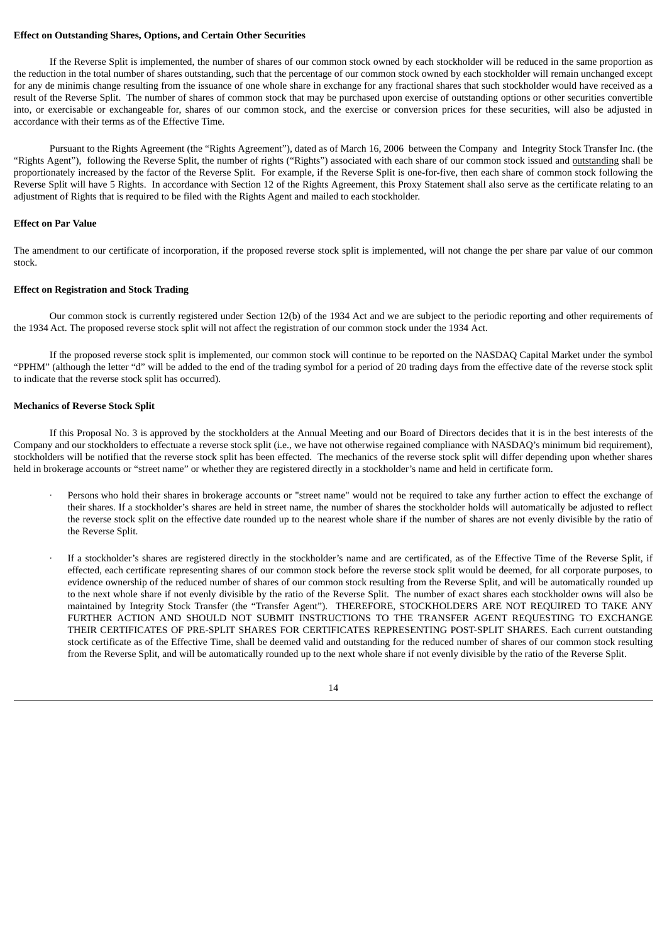## **Effect on Outstanding Shares, Options, and Certain Other Securities**

If the Reverse Split is implemented, the number of shares of our common stock owned by each stockholder will be reduced in the same proportion as the reduction in the total number of shares outstanding, such that the percentage of our common stock owned by each stockholder will remain unchanged except for any de minimis change resulting from the issuance of one whole share in exchange for any fractional shares that such stockholder would have received as a result of the Reverse Split. The number of shares of common stock that may be purchased upon exercise of outstanding options or other securities convertible into, or exercisable or exchangeable for, shares of our common stock, and the exercise or conversion prices for these securities, will also be adjusted in accordance with their terms as of the Effective Time.

Pursuant to the Rights Agreement (the "Rights Agreement"), dated as of March 16, 2006 between the Company and Integrity Stock Transfer Inc. (the "Rights Agent"), following the Reverse Split, the number of rights ("Rights") associated with each share of our common stock issued and outstanding shall be proportionately increased by the factor of the Reverse Split. For example, if the Reverse Split is one-for-five, then each share of common stock following the Reverse Split will have 5 Rights. In accordance with Section 12 of the Rights Agreement, this Proxy Statement shall also serve as the certificate relating to an adjustment of Rights that is required to be filed with the Rights Agent and mailed to each stockholder.

#### **Effect on Par Value**

The amendment to our certificate of incorporation, if the proposed reverse stock split is implemented, will not change the per share par value of our common stock.

## **Effect on Registration and Stock Trading**

Our common stock is currently registered under Section 12(b) of the 1934 Act and we are subject to the periodic reporting and other requirements of the 1934 Act. The proposed reverse stock split will not affect the registration of our common stock under the 1934 Act.

If the proposed reverse stock split is implemented, our common stock will continue to be reported on the NASDAQ Capital Market under the symbol "PPHM" (although the letter "d" will be added to the end of the trading symbol for a period of 20 trading days from the effective date of the reverse stock split to indicate that the reverse stock split has occurred).

#### **Mechanics of Reverse Stock Split**

If this Proposal No. 3 is approved by the stockholders at the Annual Meeting and our Board of Directors decides that it is in the best interests of the Company and our stockholders to effectuate a reverse stock split (i.e., we have not otherwise regained compliance with NASDAQ's minimum bid requirement), stockholders will be notified that the reverse stock split has been effected. The mechanics of the reverse stock split will differ depending upon whether shares held in brokerage accounts or "street name" or whether they are registered directly in a stockholder's name and held in certificate form.

- Persons who hold their shares in brokerage accounts or "street name" would not be required to take any further action to effect the exchange of their shares. If a stockholder's shares are held in street name, the number of shares the stockholder holds will automatically be adjusted to reflect the reverse stock split on the effective date rounded up to the nearest whole share if the number of shares are not evenly divisible by the ratio of the Reverse Split.
- If a stockholder's shares are registered directly in the stockholder's name and are certificated, as of the Effective Time of the Reverse Split, if effected, each certificate representing shares of our common stock before the reverse stock split would be deemed, for all corporate purposes, to evidence ownership of the reduced number of shares of our common stock resulting from the Reverse Split, and will be automatically rounded up to the next whole share if not evenly divisible by the ratio of the Reverse Split. The number of exact shares each stockholder owns will also be maintained by Integrity Stock Transfer (the "Transfer Agent"). THEREFORE, STOCKHOLDERS ARE NOT REQUIRED TO TAKE ANY FURTHER ACTION AND SHOULD NOT SUBMIT INSTRUCTIONS TO THE TRANSFER AGENT REQUESTING TO EXCHANGE THEIR CERTIFICATES OF PRE-SPLIT SHARES FOR CERTIFICATES REPRESENTING POST-SPLIT SHARES. Each current outstanding stock certificate as of the Effective Time, shall be deemed valid and outstanding for the reduced number of shares of our common stock resulting from the Reverse Split, and will be automatically rounded up to the next whole share if not evenly divisible by the ratio of the Reverse Split.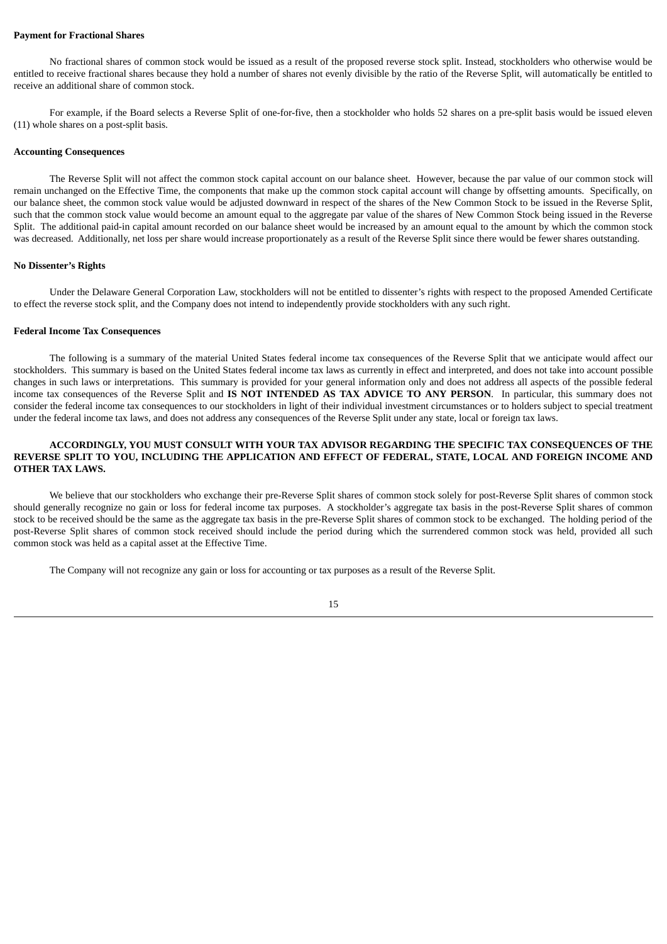#### **Payment for Fractional Shares**

No fractional shares of common stock would be issued as a result of the proposed reverse stock split. Instead, stockholders who otherwise would be entitled to receive fractional shares because they hold a number of shares not evenly divisible by the ratio of the Reverse Split, will automatically be entitled to receive an additional share of common stock.

For example, if the Board selects a Reverse Split of one-for-five, then a stockholder who holds 52 shares on a pre-split basis would be issued eleven (11) whole shares on a post-split basis.

#### **Accounting Consequences**

The Reverse Split will not affect the common stock capital account on our balance sheet. However, because the par value of our common stock will remain unchanged on the Effective Time, the components that make up the common stock capital account will change by offsetting amounts. Specifically, on our balance sheet, the common stock value would be adjusted downward in respect of the shares of the New Common Stock to be issued in the Reverse Split, such that the common stock value would become an amount equal to the aggregate par value of the shares of New Common Stock being issued in the Reverse Split. The additional paid-in capital amount recorded on our balance sheet would be increased by an amount equal to the amount by which the common stock was decreased. Additionally, net loss per share would increase proportionately as a result of the Reverse Split since there would be fewer shares outstanding.

## **No Dissenter's Rights**

Under the Delaware General Corporation Law, stockholders will not be entitled to dissenter's rights with respect to the proposed Amended Certificate to effect the reverse stock split, and the Company does not intend to independently provide stockholders with any such right.

#### **Federal Income Tax Consequences**

The following is a summary of the material United States federal income tax consequences of the Reverse Split that we anticipate would affect our stockholders. This summary is based on the United States federal income tax laws as currently in effect and interpreted, and does not take into account possible changes in such laws or interpretations. This summary is provided for your general information only and does not address all aspects of the possible federal income tax consequences of the Reverse Split and **IS NOT INTENDED AS TAX ADVICE TO ANY PERSON**. In particular, this summary does not consider the federal income tax consequences to our stockholders in light of their individual investment circumstances or to holders subject to special treatment under the federal income tax laws, and does not address any consequences of the Reverse Split under any state, local or foreign tax laws.

## **ACCORDINGLY, YOU MUST CONSULT WITH YOUR TAX ADVISOR REGARDING THE SPECIFIC TAX CONSEQUENCES OF THE** REVERSE SPLIT TO YOU, INCLUDING THE APPLICATION AND EFFECT OF FEDERAL, STATE, LOCAL AND FOREIGN INCOME AND **OTHER TAX LAWS.**

We believe that our stockholders who exchange their pre-Reverse Split shares of common stock solely for post-Reverse Split shares of common stock should generally recognize no gain or loss for federal income tax purposes. A stockholder's aggregate tax basis in the post-Reverse Split shares of common stock to be received should be the same as the aggregate tax basis in the pre-Reverse Split shares of common stock to be exchanged. The holding period of the post-Reverse Split shares of common stock received should include the period during which the surrendered common stock was held, provided all such common stock was held as a capital asset at the Effective Time.

The Company will not recognize any gain or loss for accounting or tax purposes as a result of the Reverse Split.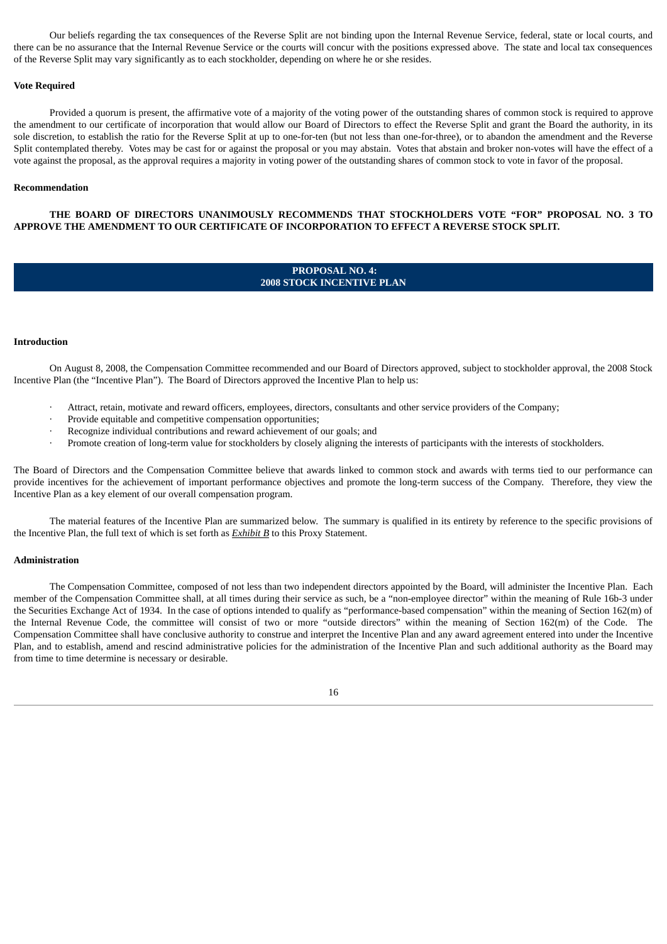Our beliefs regarding the tax consequences of the Reverse Split are not binding upon the Internal Revenue Service, federal, state or local courts, and there can be no assurance that the Internal Revenue Service or the courts will concur with the positions expressed above. The state and local tax consequences of the Reverse Split may vary significantly as to each stockholder, depending on where he or she resides.

#### **Vote Required**

Provided a quorum is present, the affirmative vote of a majority of the voting power of the outstanding shares of common stock is required to approve the amendment to our certificate of incorporation that would allow our Board of Directors to effect the Reverse Split and grant the Board the authority, in its sole discretion, to establish the ratio for the Reverse Split at up to one-for-ten (but not less than one-for-three), or to abandon the amendment and the Reverse Split contemplated thereby. Votes may be cast for or against the proposal or you may abstain. Votes that abstain and broker non-votes will have the effect of a vote against the proposal, as the approval requires a majority in voting power of the outstanding shares of common stock to vote in favor of the proposal.

#### **Recommendation**

**THE BOARD OF DIRECTORS UNANIMOUSLY RECOMMENDS THAT STOCKHOLDERS VOTE "FOR" PROPOSAL NO. 3 TO APPROVE THE AMENDMENT TO OUR CERTIFICATE OF INCORPORATION TO EFFECT A REVERSE STOCK SPLIT.**

## **PROPOSAL NO. 4: 2008 STOCK INCENTIVE PLAN**

#### **Introduction**

On August 8, 2008, the Compensation Committee recommended and our Board of Directors approved, subject to stockholder approval, the 2008 Stock Incentive Plan (the "Incentive Plan"). The Board of Directors approved the Incentive Plan to help us:

- · Attract, retain, motivate and reward officers, employees, directors, consultants and other service providers of the Company;
- Provide equitable and competitive compensation opportunities;
- · Recognize individual contributions and reward achievement of our goals; and
- · Promote creation of long-term value for stockholders by closely aligning the interests of participants with the interests of stockholders.

The Board of Directors and the Compensation Committee believe that awards linked to common stock and awards with terms tied to our performance can provide incentives for the achievement of important performance objectives and promote the long-term success of the Company. Therefore, they view the Incentive Plan as a key element of our overall compensation program.

The material features of the Incentive Plan are summarized below. The summary is qualified in its entirety by reference to the specific provisions of the Incentive Plan, the full text of which is set forth as *Exhibit B* to this Proxy Statement.

#### **Administration**

The Compensation Committee, composed of not less than two independent directors appointed by the Board, will administer the Incentive Plan. Each member of the Compensation Committee shall, at all times during their service as such, be a "non-employee director" within the meaning of Rule 16b-3 under the Securities Exchange Act of 1934. In the case of options intended to qualify as "performance-based compensation" within the meaning of Section 162(m) of the Internal Revenue Code, the committee will consist of two or more "outside directors" within the meaning of Section 162(m) of the Code. The Compensation Committee shall have conclusive authority to construe and interpret the Incentive Plan and any award agreement entered into under the Incentive Plan, and to establish, amend and rescind administrative policies for the administration of the Incentive Plan and such additional authority as the Board may from time to time determine is necessary or desirable.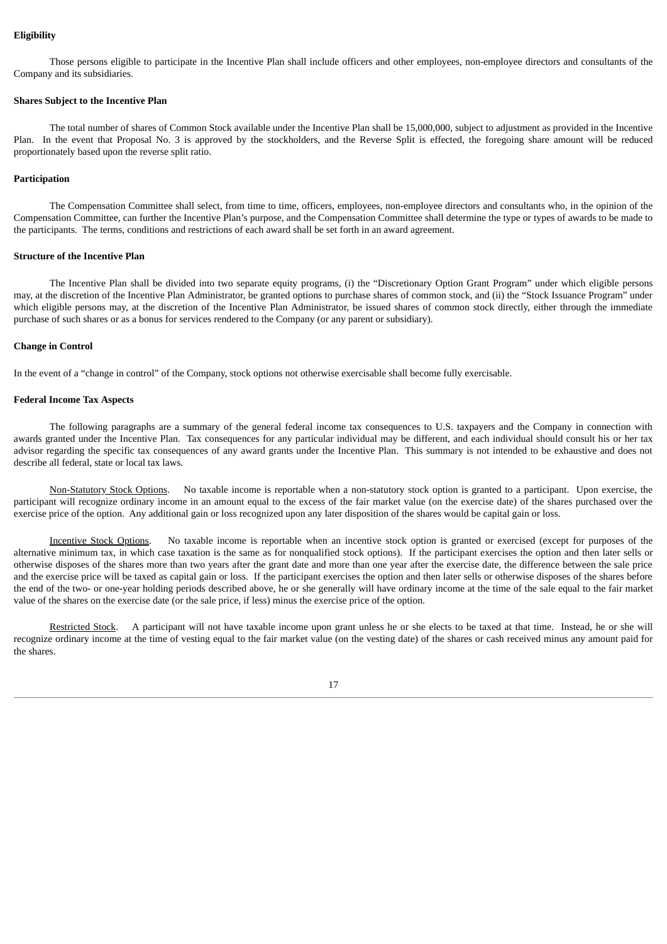## **Eligibility**

Those persons eligible to participate in the Incentive Plan shall include officers and other employees, non-employee directors and consultants of the Company and its subsidiaries.

#### **Shares Subject to the Incentive Plan**

The total number of shares of Common Stock available under the Incentive Plan shall be 15,000,000, subject to adjustment as provided in the Incentive Plan. In the event that Proposal No. 3 is approved by the stockholders, and the Reverse Split is effected, the foregoing share amount will be reduced proportionately based upon the reverse split ratio.

## **Participation**

The Compensation Committee shall select, from time to time, officers, employees, non-employee directors and consultants who, in the opinion of the Compensation Committee, can further the Incentive Plan's purpose, and the Compensation Committee shall determine the type or types of awards to be made to the participants. The terms, conditions and restrictions of each award shall be set forth in an award agreement.

#### **Structure of the Incentive Plan**

The Incentive Plan shall be divided into two separate equity programs, (i) the "Discretionary Option Grant Program" under which eligible persons may, at the discretion of the Incentive Plan Administrator, be granted options to purchase shares of common stock, and (ii) the "Stock Issuance Program" under which eligible persons may, at the discretion of the Incentive Plan Administrator, be issued shares of common stock directly, either through the immediate purchase of such shares or as a bonus for services rendered to the Company (or any parent or subsidiary).

#### **Change in Control**

In the event of a "change in control" of the Company, stock options not otherwise exercisable shall become fully exercisable.

## **Federal Income Tax Aspects**

The following paragraphs are a summary of the general federal income tax consequences to U.S. taxpayers and the Company in connection with awards granted under the Incentive Plan. Tax consequences for any particular individual may be different, and each individual should consult his or her tax advisor regarding the specific tax consequences of any award grants under the Incentive Plan. This summary is not intended to be exhaustive and does not describe all federal, state or local tax laws.

Non-Statutory Stock Options. No taxable income is reportable when a non-statutory stock option is granted to a participant. Upon exercise, the participant will recognize ordinary income in an amount equal to the excess of the fair market value (on the exercise date) of the shares purchased over the exercise price of the option. Any additional gain or loss recognized upon any later disposition of the shares would be capital gain or loss.

Incentive Stock Options. No taxable income is reportable when an incentive stock option is granted or exercised (except for purposes of the alternative minimum tax, in which case taxation is the same as for nonqualified stock options). If the participant exercises the option and then later sells or otherwise disposes of the shares more than two years after the grant date and more than one year after the exercise date, the difference between the sale price and the exercise price will be taxed as capital gain or loss. If the participant exercises the option and then later sells or otherwise disposes of the shares before the end of the two- or one-year holding periods described above, he or she generally will have ordinary income at the time of the sale equal to the fair market value of the shares on the exercise date (or the sale price, if less) minus the exercise price of the option.

Restricted Stock. A participant will not have taxable income upon grant unless he or she elects to be taxed at that time. Instead, he or she will recognize ordinary income at the time of vesting equal to the fair market value (on the vesting date) of the shares or cash received minus any amount paid for the shares.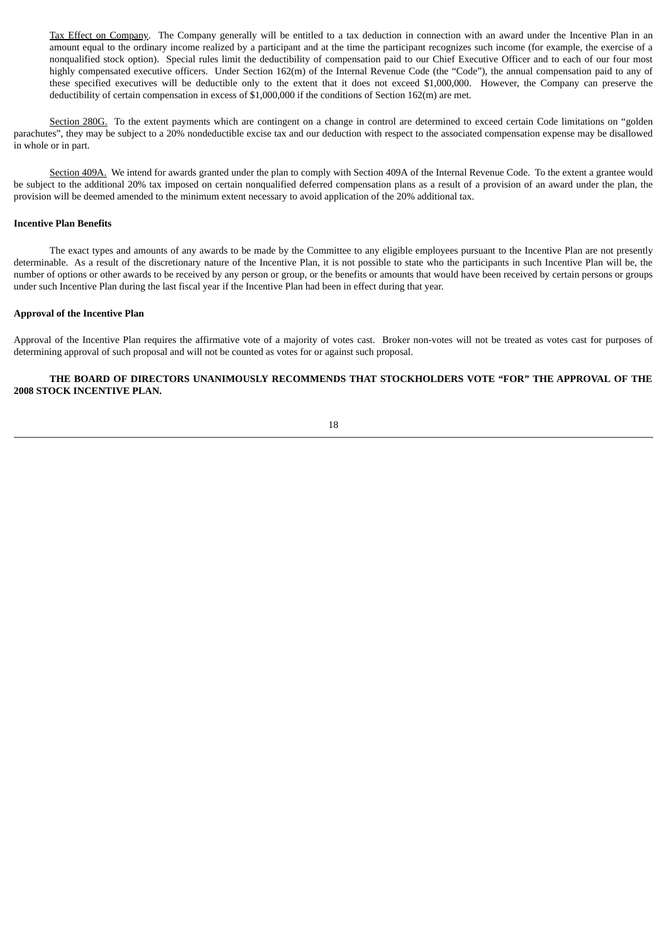Tax Effect on Company. The Company generally will be entitled to a tax deduction in connection with an award under the Incentive Plan in an amount equal to the ordinary income realized by a participant and at the time the participant recognizes such income (for example, the exercise of a nonqualified stock option). Special rules limit the deductibility of compensation paid to our Chief Executive Officer and to each of our four most highly compensated executive officers. Under Section 162(m) of the Internal Revenue Code (the "Code"), the annual compensation paid to any of these specified executives will be deductible only to the extent that it does not exceed \$1,000,000. However, the Company can preserve the deductibility of certain compensation in excess of \$1,000,000 if the conditions of Section 162(m) are met.

Section 280G. To the extent payments which are contingent on a change in control are determined to exceed certain Code limitations on "golden parachutes", they may be subject to a 20% nondeductible excise tax and our deduction with respect to the associated compensation expense may be disallowed in whole or in part.

Section 409A. We intend for awards granted under the plan to comply with Section 409A of the Internal Revenue Code. To the extent a grantee would be subject to the additional 20% tax imposed on certain nonqualified deferred compensation plans as a result of a provision of an award under the plan, the provision will be deemed amended to the minimum extent necessary to avoid application of the 20% additional tax.

#### **Incentive Plan Benefits**

The exact types and amounts of any awards to be made by the Committee to any eligible employees pursuant to the Incentive Plan are not presently determinable. As a result of the discretionary nature of the Incentive Plan, it is not possible to state who the participants in such Incentive Plan will be, the number of options or other awards to be received by any person or group, or the benefits or amounts that would have been received by certain persons or groups under such Incentive Plan during the last fiscal year if the Incentive Plan had been in effect during that year.

#### **Approval of the Incentive Plan**

Approval of the Incentive Plan requires the affirmative vote of a majority of votes cast. Broker non-votes will not be treated as votes cast for purposes of determining approval of such proposal and will not be counted as votes for or against such proposal.

## **THE BOARD OF DIRECTORS UNANIMOUSLY RECOMMENDS THAT STOCKHOLDERS VOTE "FOR" THE APPROVAL OF THE 2008 STOCK INCENTIVE PLAN.**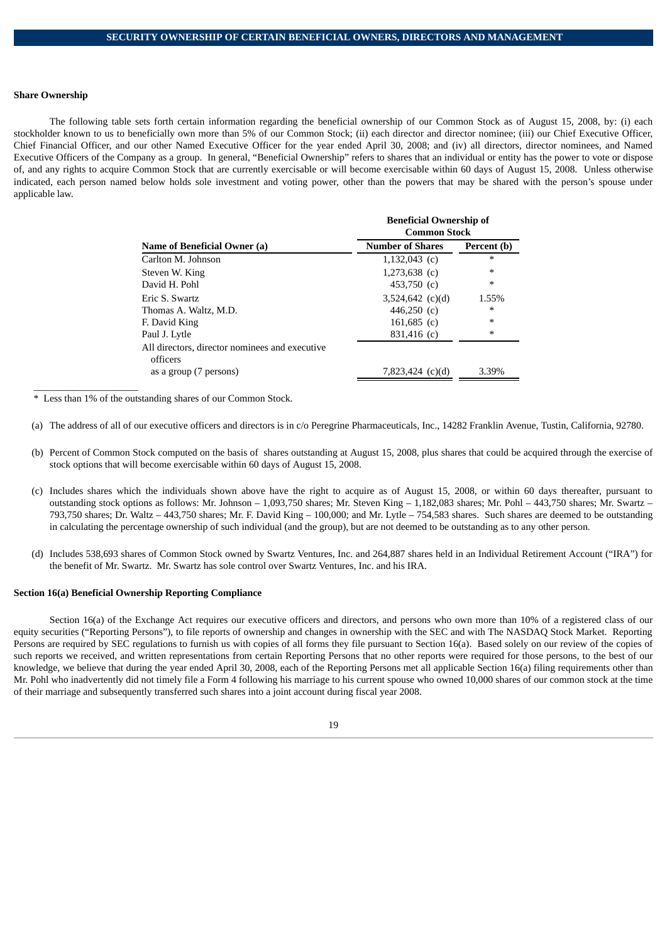## **Share Ownership**

The following table sets forth certain information regarding the beneficial ownership of our Common Stock as of August 15, 2008, by: (i) each stockholder known to us to beneficially own more than 5% of our Common Stock; (ii) each director and director nominee; (iii) our Chief Executive Officer, Chief Financial Officer, and our other Named Executive Officer for the year ended April 30, 2008; and (iv) all directors, director nominees, and Named Executive Officers of the Company as a group. In general, "Beneficial Ownership" refers to shares that an individual or entity has the power to vote or dispose of, and any rights to acquire Common Stock that are currently exercisable or will become exercisable within 60 days of August 15, 2008. Unless otherwise indicated, each person named below holds sole investment and voting power, other than the powers that may be shared with the person's spouse under applicable law.

|                                                | <b>Beneficial Ownership of</b><br><b>Common Stock</b> |             |  |  |
|------------------------------------------------|-------------------------------------------------------|-------------|--|--|
| Name of Beneficial Owner (a)                   | <b>Number of Shares</b>                               | Percent (b) |  |  |
| Carlton M. Johnson                             | $1,132,043$ (c)                                       | $\ast$      |  |  |
| Steven W. King                                 | $1,273,638$ (c)                                       | $\ast$      |  |  |
| David H. Pohl                                  | 453,750 $(c)$                                         | $\ast$      |  |  |
| Eric S. Swartz                                 | $3,524,642$ (c)(d)                                    | 1.55%       |  |  |
| Thomas A. Waltz, M.D.                          | 446,250 $(c)$                                         | *           |  |  |
| F. David King                                  | 161,685 $(c)$                                         | $\ast$      |  |  |
| Paul J. Lytle                                  | $831,416$ (c)                                         | $\ast$      |  |  |
| All directors, director nominees and executive |                                                       |             |  |  |
| officers                                       |                                                       |             |  |  |
| as a group (7 persons)                         | 7.823.424 (c)(d)                                      | 3.39%       |  |  |

\* Less than 1% of the outstanding shares of our Common Stock.

 $\frac{1}{2}$  , and the set of the set of the set of the set of the set of the set of the set of the set of the set of the set of the set of the set of the set of the set of the set of the set of the set of the set of the set

- (b) Percent of Common Stock computed on the basis of shares outstanding at August 15, 2008, plus shares that could be acquired through the exercise of stock options that will become exercisable within 60 days of August 15, 2008.
- (c) Includes shares which the individuals shown above have the right to acquire as of August 15, 2008, or within 60 days thereafter, pursuant to outstanding stock options as follows: Mr. Johnson – 1,093,750 shares; Mr. Steven King – 1,182,083 shares; Mr. Pohl – 443,750 shares; Mr. Swartz – 793,750 shares; Dr. Waltz – 443,750 shares; Mr. F. David King – 100,000; and Mr. Lytle – 754,583 shares. Such shares are deemed to be outstanding in calculating the percentage ownership of such individual (and the group), but are not deemed to be outstanding as to any other person.
- (d) Includes 538,693 shares of Common Stock owned by Swartz Ventures, Inc. and 264,887 shares held in an Individual Retirement Account ("IRA") for the benefit of Mr. Swartz. Mr. Swartz has sole control over Swartz Ventures, Inc. and his IRA.

#### **Section 16(a) Beneficial Ownership Reporting Compliance**

Section 16(a) of the Exchange Act requires our executive officers and directors, and persons who own more than 10% of a registered class of our equity securities ("Reporting Persons"), to file reports of ownership and changes in ownership with the SEC and with The NASDAQ Stock Market. Reporting Persons are required by SEC regulations to furnish us with copies of all forms they file pursuant to Section 16(a). Based solely on our review of the copies of such reports we received, and written representations from certain Reporting Persons that no other reports were required for those persons, to the best of our knowledge, we believe that during the year ended April 30, 2008, each of the Reporting Persons met all applicable Section 16(a) filing requirements other than Mr. Pohl who inadvertently did not timely file a Form 4 following his marriage to his current spouse who owned 10,000 shares of our common stock at the time of their marriage and subsequently transferred such shares into a joint account during fiscal year 2008.

<sup>(</sup>a) The address of all of our executive officers and directors is in c/o Peregrine Pharmaceuticals, Inc., 14282 Franklin Avenue, Tustin, California, 92780.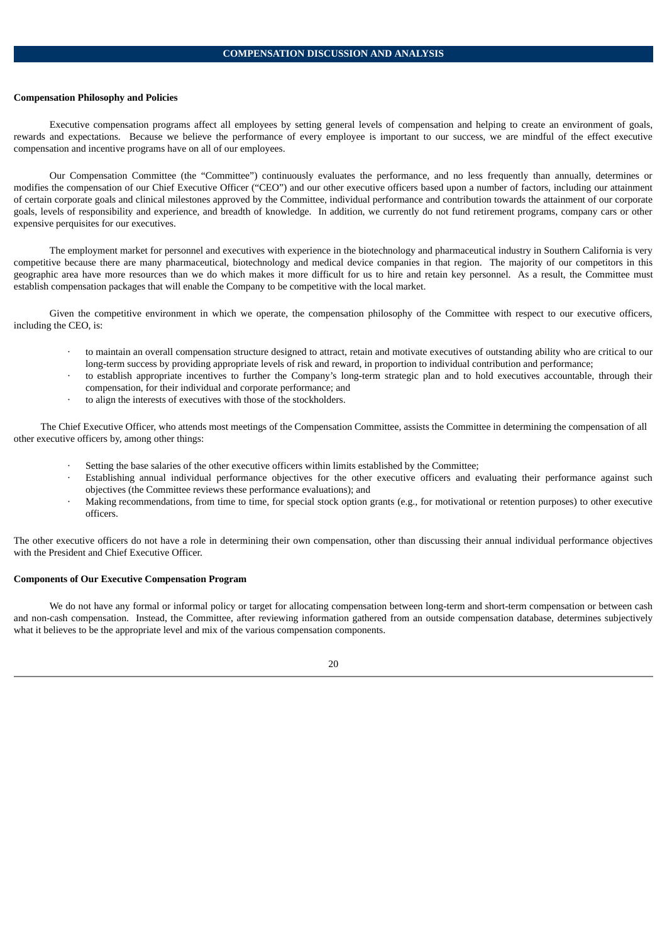## **Compensation Philosophy and Policies**

Executive compensation programs affect all employees by setting general levels of compensation and helping to create an environment of goals, rewards and expectations. Because we believe the performance of every employee is important to our success, we are mindful of the effect executive compensation and incentive programs have on all of our employees.

Our Compensation Committee (the "Committee") continuously evaluates the performance, and no less frequently than annually, determines or modifies the compensation of our Chief Executive Officer ("CEO") and our other executive officers based upon a number of factors, including our attainment of certain corporate goals and clinical milestones approved by the Committee, individual performance and contribution towards the attainment of our corporate goals, levels of responsibility and experience, and breadth of knowledge. In addition, we currently do not fund retirement programs, company cars or other expensive perquisites for our executives.

The employment market for personnel and executives with experience in the biotechnology and pharmaceutical industry in Southern California is very competitive because there are many pharmaceutical, biotechnology and medical device companies in that region. The majority of our competitors in this geographic area have more resources than we do which makes it more difficult for us to hire and retain key personnel. As a result, the Committee must establish compensation packages that will enable the Company to be competitive with the local market.

Given the competitive environment in which we operate, the compensation philosophy of the Committee with respect to our executive officers, including the CEO, is:

- · to maintain an overall compensation structure designed to attract, retain and motivate executives of outstanding ability who are critical to our long-term success by providing appropriate levels of risk and reward, in proportion to individual contribution and performance;
- to establish appropriate incentives to further the Company's long-term strategic plan and to hold executives accountable, through their compensation, for their individual and corporate performance; and
- to align the interests of executives with those of the stockholders.

The Chief Executive Officer, who attends most meetings of the Compensation Committee, assists the Committee in determining the compensation of all other executive officers by, among other things:

- Setting the base salaries of the other executive officers within limits established by the Committee;
- Establishing annual individual performance objectives for the other executive officers and evaluating their performance against such objectives (the Committee reviews these performance evaluations); and
- · Making recommendations, from time to time, for special stock option grants (e.g., for motivational or retention purposes) to other executive officers.

The other executive officers do not have a role in determining their own compensation, other than discussing their annual individual performance objectives with the President and Chief Executive Officer.

## **Components of Our Executive Compensation Program**

We do not have any formal or informal policy or target for allocating compensation between long-term and short-term compensation or between cash and non-cash compensation. Instead, the Committee, after reviewing information gathered from an outside compensation database, determines subjectively what it believes to be the appropriate level and mix of the various compensation components.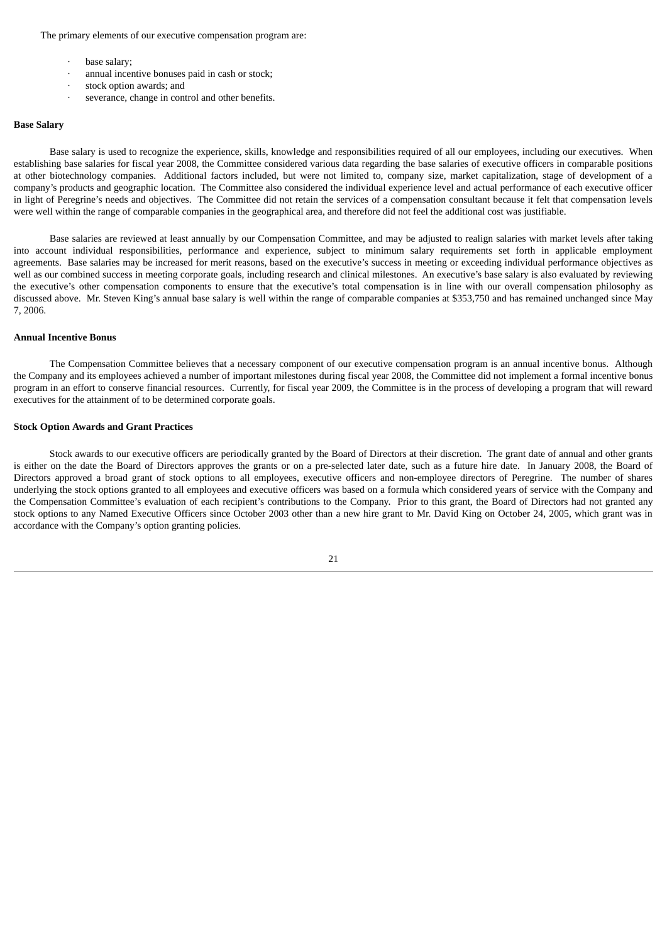The primary elements of our executive compensation program are:

- base salary;
- annual incentive bonuses paid in cash or stock;
- stock option awards; and
- severance, change in control and other benefits.

#### **Base Salary**

Base salary is used to recognize the experience, skills, knowledge and responsibilities required of all our employees, including our executives. When establishing base salaries for fiscal year 2008, the Committee considered various data regarding the base salaries of executive officers in comparable positions at other biotechnology companies. Additional factors included, but were not limited to, company size, market capitalization, stage of development of a company's products and geographic location. The Committee also considered the individual experience level and actual performance of each executive officer in light of Peregrine's needs and objectives. The Committee did not retain the services of a compensation consultant because it felt that compensation levels were well within the range of comparable companies in the geographical area, and therefore did not feel the additional cost was justifiable.

Base salaries are reviewed at least annually by our Compensation Committee, and may be adjusted to realign salaries with market levels after taking into account individual responsibilities, performance and experience, subject to minimum salary requirements set forth in applicable employment agreements. Base salaries may be increased for merit reasons, based on the executive's success in meeting or exceeding individual performance objectives as well as our combined success in meeting corporate goals, including research and clinical milestones. An executive's base salary is also evaluated by reviewing the executive's other compensation components to ensure that the executive's total compensation is in line with our overall compensation philosophy as discussed above. Mr. Steven King's annual base salary is well within the range of comparable companies at \$353,750 and has remained unchanged since May 7, 2006.

#### **Annual Incentive Bonus**

The Compensation Committee believes that a necessary component of our executive compensation program is an annual incentive bonus. Although the Company and its employees achieved a number of important milestones during fiscal year 2008, the Committee did not implement a formal incentive bonus program in an effort to conserve financial resources. Currently, for fiscal year 2009, the Committee is in the process of developing a program that will reward executives for the attainment of to be determined corporate goals.

#### **Stock Option Awards and Grant Practices**

Stock awards to our executive officers are periodically granted by the Board of Directors at their discretion. The grant date of annual and other grants is either on the date the Board of Directors approves the grants or on a pre-selected later date, such as a future hire date. In January 2008, the Board of Directors approved a broad grant of stock options to all employees, executive officers and non-employee directors of Peregrine. The number of shares underlying the stock options granted to all employees and executive officers was based on a formula which considered years of service with the Company and the Compensation Committee's evaluation of each recipient's contributions to the Company. Prior to this grant, the Board of Directors had not granted any stock options to any Named Executive Officers since October 2003 other than a new hire grant to Mr. David King on October 24, 2005, which grant was in accordance with the Company's option granting policies.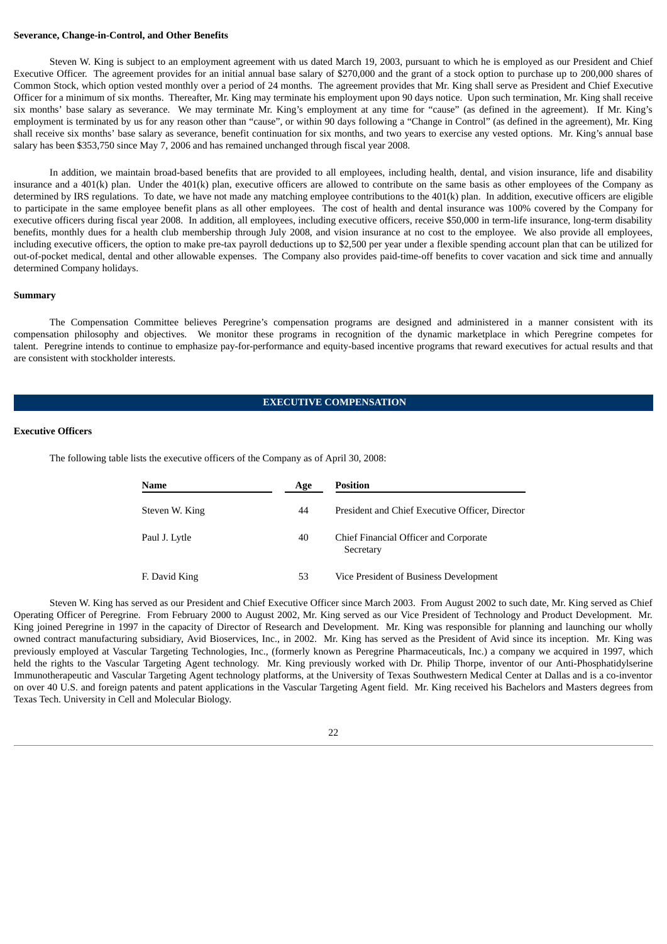#### **Severance, Change-in-Control, and Other Benefits**

Steven W. King is subject to an employment agreement with us dated March 19, 2003, pursuant to which he is employed as our President and Chief Executive Officer. The agreement provides for an initial annual base salary of \$270,000 and the grant of a stock option to purchase up to 200,000 shares of Common Stock, which option vested monthly over a period of 24 months. The agreement provides that Mr. King shall serve as President and Chief Executive Officer for a minimum of six months. Thereafter, Mr. King may terminate his employment upon 90 days notice. Upon such termination, Mr. King shall receive six months' base salary as severance. We may terminate Mr. King's employment at any time for "cause" (as defined in the agreement). If Mr. King's employment is terminated by us for any reason other than "cause", or within 90 days following a "Change in Control" (as defined in the agreement), Mr. King shall receive six months' base salary as severance, benefit continuation for six months, and two years to exercise any vested options. Mr. King's annual base salary has been \$353,750 since May 7, 2006 and has remained unchanged through fiscal year 2008.

In addition, we maintain broad-based benefits that are provided to all employees, including health, dental, and vision insurance, life and disability insurance and a 401(k) plan. Under the 401(k) plan, executive officers are allowed to contribute on the same basis as other employees of the Company as determined by IRS regulations. To date, we have not made any matching employee contributions to the 401(k) plan. In addition, executive officers are eligible to participate in the same employee benefit plans as all other employees. The cost of health and dental insurance was 100% covered by the Company for executive officers during fiscal year 2008. In addition, all employees, including executive officers, receive \$50,000 in term-life insurance, long-term disability benefits, monthly dues for a health club membership through July 2008, and vision insurance at no cost to the employee. We also provide all employees, including executive officers, the option to make pre-tax payroll deductions up to \$2,500 per year under a flexible spending account plan that can be utilized for out-of-pocket medical, dental and other allowable expenses. The Company also provides paid-time-off benefits to cover vacation and sick time and annually determined Company holidays.

#### **Summary**

The Compensation Committee believes Peregrine's compensation programs are designed and administered in a manner consistent with its compensation philosophy and objectives. We monitor these programs in recognition of the dynamic marketplace in which Peregrine competes for talent. Peregrine intends to continue to emphasize pay-for-performance and equity-based incentive programs that reward executives for actual results and that are consistent with stockholder interests.

## **EXECUTIVE COMPENSATION**

#### **Executive Officers**

The following table lists the executive officers of the Company as of April 30, 2008:

| Name           | Age | <b>Position</b>                                    |
|----------------|-----|----------------------------------------------------|
| Steven W. King | 44  | President and Chief Executive Officer, Director    |
| Paul J. Lytle  | 40  | Chief Financial Officer and Corporate<br>Secretary |
| F. David King  | 53  | Vice President of Business Development             |

Steven W. King has served as our President and Chief Executive Officer since March 2003. From August 2002 to such date, Mr. King served as Chief Operating Officer of Peregrine. From February 2000 to August 2002, Mr. King served as our Vice President of Technology and Product Development. Mr. King joined Peregrine in 1997 in the capacity of Director of Research and Development. Mr. King was responsible for planning and launching our wholly owned contract manufacturing subsidiary, Avid Bioservices, Inc., in 2002. Mr. King has served as the President of Avid since its inception. Mr. King was previously employed at Vascular Targeting Technologies, Inc., (formerly known as Peregrine Pharmaceuticals, Inc.) a company we acquired in 1997, which held the rights to the Vascular Targeting Agent technology. Mr. King previously worked with Dr. Philip Thorpe, inventor of our Anti-Phosphatidylserine Immunotherapeutic and Vascular Targeting Agent technology platforms, at the University of Texas Southwestern Medical Center at Dallas and is a co-inventor on over 40 U.S. and foreign patents and patent applications in the Vascular Targeting Agent field. Mr. King received his Bachelors and Masters degrees from Texas Tech. University in Cell and Molecular Biology.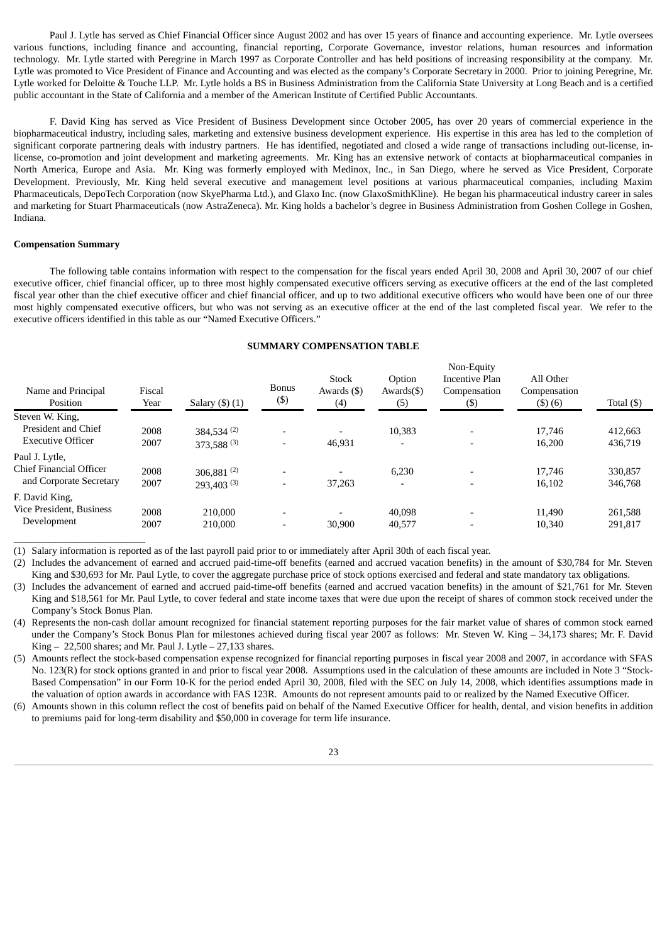Paul J. Lytle has served as Chief Financial Officer since August 2002 and has over 15 years of finance and accounting experience. Mr. Lytle oversees various functions, including finance and accounting, financial reporting, Corporate Governance, investor relations, human resources and information technology. Mr. Lytle started with Peregrine in March 1997 as Corporate Controller and has held positions of increasing responsibility at the company. Mr. Lytle was promoted to Vice President of Finance and Accounting and was elected as the company's Corporate Secretary in 2000. Prior to joining Peregrine, Mr. Lytle worked for Deloitte & Touche LLP. Mr. Lytle holds a BS in Business Administration from the California State University at Long Beach and is a certified public accountant in the State of California and a member of the American Institute of Certified Public Accountants.

F. David King has served as Vice President of Business Development since October 2005, has over 20 years of commercial experience in the biopharmaceutical industry, including sales, marketing and extensive business development experience. His expertise in this area has led to the completion of significant corporate partnering deals with industry partners. He has identified, negotiated and closed a wide range of transactions including out-license, inlicense, co-promotion and joint development and marketing agreements. Mr. King has an extensive network of contacts at biopharmaceutical companies in North America, Europe and Asia. Mr. King was formerly employed with Medinox, Inc., in San Diego, where he served as Vice President, Corporate Development. Previously, Mr. King held several executive and management level positions at various pharmaceutical companies, including Maxim Pharmaceuticals, DepoTech Corporation (now SkyePharma Ltd.), and Glaxo Inc. (now GlaxoSmithKline). He began his pharmaceutical industry career in sales and marketing for Stuart Pharmaceuticals (now AstraZeneca). Mr. King holds a bachelor's degree in Business Administration from Goshen College in Goshen, Indiana.

#### **Compensation Summary**

The following table contains information with respect to the compensation for the fiscal years ended April 30, 2008 and April 30, 2007 of our chief executive officer, chief financial officer, up to three most highly compensated executive officers serving as executive officers at the end of the last completed fiscal year other than the chief executive officer and chief financial officer, and up to two additional executive officers who would have been one of our three most highly compensated executive officers, but who was not serving as an executive officer at the end of the last completed fiscal year. We refer to the executive officers identified in this table as our "Named Executive Officers."

#### **SUMMARY COMPENSATION TABLE**

Non-Equity

| Name and Principal<br>Position | Fiscal<br>Year | Salary $($ \$ $)$ $(1)$ | <b>Bonus</b><br>$(\$)$   | <b>Stock</b><br>Awards $($ \$)<br>(4) | Option<br>$Awards(\$))$<br>(5) | $1$ vul-Lyulty<br><b>Incentive Plan</b><br>Compensation<br>$($ \$ | All Other<br>Compensation<br>$($ \$) $(6)$ | Total $($ \$ $)$ |
|--------------------------------|----------------|-------------------------|--------------------------|---------------------------------------|--------------------------------|-------------------------------------------------------------------|--------------------------------------------|------------------|
| Steven W. King,                |                |                         |                          |                                       |                                |                                                                   |                                            |                  |
| President and Chief            | 2008           | $384,534^{(2)}$         | $\overline{\phantom{0}}$ | $\overline{\phantom{0}}$              | 10,383                         | $\overline{\phantom{a}}$                                          | 17,746                                     | 412,663          |
| <b>Executive Officer</b>       | 2007           | 373,588 $^{(3)}$        | $\overline{\phantom{0}}$ | 46,931                                | $\overline{\phantom{a}}$       |                                                                   | 16,200                                     | 436,719          |
| Paul J. Lytle,                 |                |                         |                          |                                       |                                |                                                                   |                                            |                  |
| <b>Chief Financial Officer</b> | 2008           | 306,881 $(2)$           |                          | $\overline{\phantom{0}}$              | 6,230                          | $\overline{\phantom{0}}$                                          | 17.746                                     | 330,857          |
| and Corporate Secretary        | 2007           | $293,403^{(3)}$         | $\overline{\phantom{0}}$ | 37,263                                |                                |                                                                   | 16,102                                     | 346,768          |
| F. David King,                 |                |                         |                          |                                       |                                |                                                                   |                                            |                  |
| Vice President, Business       | 2008           | 210,000                 | $\overline{\phantom{0}}$ | $\overline{\phantom{0}}$              | 40.098                         | $\overline{\phantom{a}}$                                          | 11,490                                     | 261,588          |
| Development                    | 2007           | 210,000                 | $\overline{\phantom{0}}$ | 30,900                                | 40,577                         | $\overline{\phantom{0}}$                                          | 10,340                                     | 291,817          |
|                                |                |                         |                          |                                       |                                |                                                                   |                                            |                  |

(1) Salary information is reported as of the last payroll paid prior to or immediately after April 30th of each fiscal year.

(2) Includes the advancement of earned and accrued paid-time-off benefits (earned and accrued vacation benefits) in the amount of \$30,784 for Mr. Steven King and \$30,693 for Mr. Paul Lytle, to cover the aggregate purchase price of stock options exercised and federal and state mandatory tax obligations.

(3) Includes the advancement of earned and accrued paid-time-off benefits (earned and accrued vacation benefits) in the amount of \$21,761 for Mr. Steven King and \$18,561 for Mr. Paul Lytle, to cover federal and state income taxes that were due upon the receipt of shares of common stock received under the Company's Stock Bonus Plan.

(4) Represents the non-cash dollar amount recognized for financial statement reporting purposes for the fair market value of shares of common stock earned under the Company's Stock Bonus Plan for milestones achieved during fiscal year 2007 as follows: Mr. Steven W. King – 34,173 shares; Mr. F. David King  $-22,500$  shares; and Mr. Paul J. Lytle  $-27,133$  shares.

(5) Amounts reflect the stock-based compensation expense recognized for financial reporting purposes in fiscal year 2008 and 2007, in accordance with SFAS No. 123(R) for stock options granted in and prior to fiscal year 2008. Assumptions used in the calculation of these amounts are included in Note 3 "Stock-Based Compensation" in our Form 10-K for the period ended April 30, 2008, filed with the SEC on July 14, 2008, which identifies assumptions made in the valuation of option awards in accordance with FAS 123R. Amounts do not represent amounts paid to or realized by the Named Executive Officer.

(6) Amounts shown in this column reflect the cost of benefits paid on behalf of the Named Executive Officer for health, dental, and vision benefits in addition to premiums paid for long-term disability and \$50,000 in coverage for term life insurance.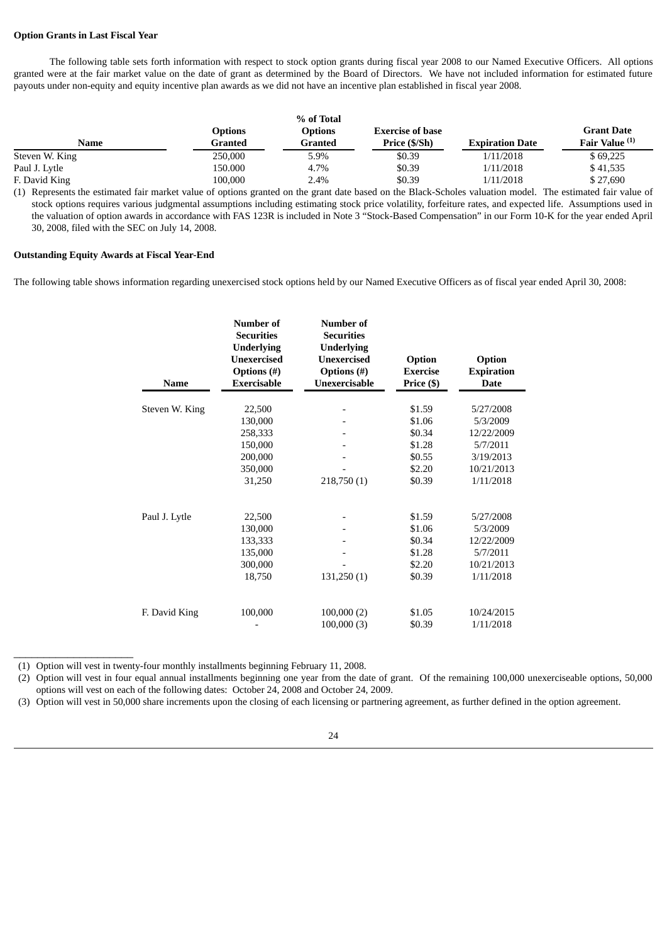## **Option Grants in Last Fiscal Year**

The following table sets forth information with respect to stock option grants during fiscal year 2008 to our Named Executive Officers. All options granted were at the fair market value on the date of grant as determined by the Board of Directors. We have not included information for estimated future payouts under non-equity and equity incentive plan awards as we did not have an incentive plan established in fiscal year 2008.

|                |         | % of Total     |                         |                        |                           |
|----------------|---------|----------------|-------------------------|------------------------|---------------------------|
|                | Options | <b>Options</b> | <b>Exercise of base</b> |                        | <b>Grant Date</b>         |
| Name           | Granted | Granted        | Price (\$/Sh)           | <b>Expiration Date</b> | Fair Value <sup>(1)</sup> |
| Steven W. King | 250,000 | 5.9%           | \$0.39                  | 1/11/2018              | \$69,225                  |
| Paul J. Lytle  | 150.000 | 4.7%           | \$0.39                  | 1/11/2018              | \$41,535                  |
| F. David King  | 100.000 | 2.4%           | \$0.39                  | 1/11/2018              | \$27.690                  |

(1) Represents the estimated fair market value of options granted on the grant date based on the Black-Scholes valuation model. The estimated fair value of stock options requires various judgmental assumptions including estimating stock price volatility, forfeiture rates, and expected life. Assumptions used in the valuation of option awards in accordance with FAS 123R is included in Note 3 "Stock-Based Compensation" in our Form 10-K for the year ended April 30, 2008, filed with the SEC on July 14, 2008.

#### **Outstanding Equity Awards at Fiscal Year-End**

\_\_\_\_\_\_\_\_\_\_\_\_\_\_\_\_\_\_\_\_

The following table shows information regarding unexercised stock options held by our Named Executive Officers as of fiscal year ended April 30, 2008:

| <b>Name</b>    | Number of<br><b>Securities</b><br><b>Underlying</b><br><b>Unexercised</b><br><b>Options</b> (#)<br><b>Exercisable</b> | Number of<br><b>Securities</b><br><b>Underlying</b><br><b>Unexercised</b><br><b>Options</b> (#)<br>Unexercisable | <b>Option</b><br><b>Exercise</b><br>Price (\$) | <b>Option</b><br><b>Expiration</b><br><b>Date</b> |
|----------------|-----------------------------------------------------------------------------------------------------------------------|------------------------------------------------------------------------------------------------------------------|------------------------------------------------|---------------------------------------------------|
| Steven W. King | 22,500                                                                                                                |                                                                                                                  | \$1.59                                         | 5/27/2008                                         |
|                | 130,000                                                                                                               |                                                                                                                  | \$1.06                                         | 5/3/2009                                          |
|                | 258,333                                                                                                               |                                                                                                                  | \$0.34                                         | 12/22/2009                                        |
|                | 150,000                                                                                                               |                                                                                                                  | \$1.28                                         | 5/7/2011                                          |
|                | 200,000                                                                                                               |                                                                                                                  | \$0.55                                         | 3/19/2013                                         |
|                | 350,000                                                                                                               |                                                                                                                  | \$2.20                                         | 10/21/2013                                        |
|                | 31,250                                                                                                                | 218,750 (1)                                                                                                      | \$0.39                                         | 1/11/2018                                         |
| Paul J. Lytle  | 22,500                                                                                                                |                                                                                                                  | \$1.59                                         | 5/27/2008                                         |
|                | 130,000                                                                                                               |                                                                                                                  | \$1.06                                         | 5/3/2009                                          |
|                | 133,333                                                                                                               |                                                                                                                  | \$0.34                                         | 12/22/2009                                        |
|                | 135,000                                                                                                               |                                                                                                                  | \$1.28                                         | 5/7/2011                                          |
|                | 300,000                                                                                                               |                                                                                                                  | \$2.20                                         | 10/21/2013                                        |
|                | 18,750                                                                                                                | 131,250(1)                                                                                                       | \$0.39                                         | 1/11/2018                                         |
| F. David King  | 100,000                                                                                                               | 100,000(2)<br>100,000(3)                                                                                         | \$1.05<br>\$0.39                               | 10/24/2015<br>1/11/2018                           |
|                |                                                                                                                       |                                                                                                                  |                                                |                                                   |

<sup>(1)</sup> Option will vest in twenty-four monthly installments beginning February 11, 2008.

<sup>(2)</sup> Option will vest in four equal annual installments beginning one year from the date of grant. Of the remaining 100,000 unexerciseable options, 50,000 options will vest on each of the following dates: October 24, 2008 and October 24, 2009.

<sup>(3)</sup> Option will vest in 50,000 share increments upon the closing of each licensing or partnering agreement, as further defined in the option agreement.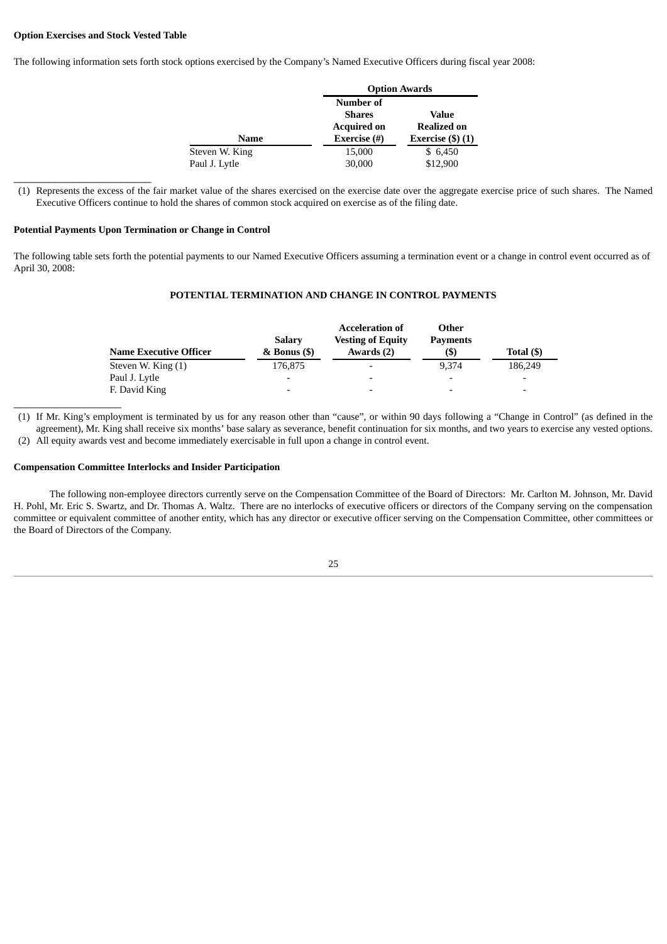## **Option Exercises and Stock Vested Table**

\_\_\_\_\_\_\_\_\_\_\_\_\_\_\_\_\_\_\_\_\_\_\_

\_\_\_\_\_\_\_\_\_\_\_\_\_\_\_\_\_\_

The following information sets forth stock options exercised by the Company's Named Executive Officers during fiscal year 2008:

|                |                                                                  | <b>Option Awards</b>                                 |  |  |  |
|----------------|------------------------------------------------------------------|------------------------------------------------------|--|--|--|
| Name           | Number of<br><b>Shares</b><br><b>Acquired on</b><br>Exercise (#) | Value<br><b>Realized on</b><br>Exercise $(\$)$ $(1)$ |  |  |  |
| Steven W. King | 15,000                                                           | \$6,450                                              |  |  |  |
| Paul J. Lytle  | 30,000                                                           | \$12,900                                             |  |  |  |
|                |                                                                  |                                                      |  |  |  |

(1) Represents the excess of the fair market value of the shares exercised on the exercise date over the aggregate exercise price of such shares. The Named Executive Officers continue to hold the shares of common stock acquired on exercise as of the filing date.

#### **Potential Payments Upon Termination or Change in Control**

The following table sets forth the potential payments to our Named Executive Officers assuming a termination event or a change in control event occurred as of April 30, 2008:

## **POTENTIAL TERMINATION AND CHANGE IN CONTROL PAYMENTS**

|                               | <b>Salary</b>            | <b>Acceleration of</b><br><b>Vesting of Equity</b> | Other<br><b>Payments</b> |                          |
|-------------------------------|--------------------------|----------------------------------------------------|--------------------------|--------------------------|
| <b>Name Executive Officer</b> | & Bonus (\$)             | Awards (2)                                         | (\$)                     | Total (\$)               |
| Steven W. King (1)            | 176,875                  | -                                                  | 9.374                    | 186,249                  |
| Paul J. Lytle                 | $\overline{\phantom{0}}$ | -                                                  | $\overline{\phantom{0}}$ | $\overline{\phantom{a}}$ |
| F. David King                 | $\overline{\phantom{0}}$ | -                                                  | $\overline{\phantom{0}}$ | $\overline{\phantom{0}}$ |

(1) If Mr. King's employment is terminated by us for any reason other than "cause", or within 90 days following a "Change in Control" (as defined in the agreement), Mr. King shall receive six months' base salary as severance, benefit continuation for six months, and two years to exercise any vested options. (2) All equity awards vest and become immediately exercisable in full upon a change in control event.

#### **Compensation Committee Interlocks and Insider Participation**

The following non-employee directors currently serve on the Compensation Committee of the Board of Directors: Mr. Carlton M. Johnson, Mr. David H. Pohl, Mr. Eric S. Swartz, and Dr. Thomas A. Waltz. There are no interlocks of executive officers or directors of the Company serving on the compensation committee or equivalent committee of another entity, which has any director or executive officer serving on the Compensation Committee, other committees or the Board of Directors of the Company.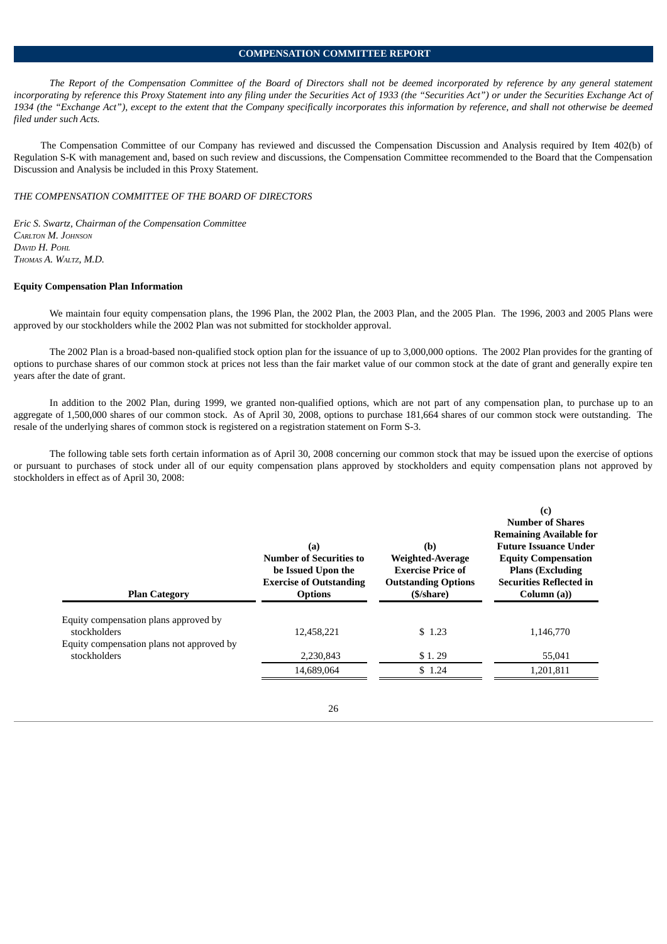## **COMPENSATION COMMITTEE REPORT**

The Report of the Compensation Committee of the Board of Directors shall not be deemed incorporated by reference by any general statement incorporating by reference this Proxy Statement into any filing under the Securities Act of 1933 (the "Securities Act") or under the Securities Exchange Act of 1934 (the "Exchange Act"), except to the extent that the Company specifically incorporates this information by reference, and shall not otherwise be deemed *filed under such Acts.*

The Compensation Committee of our Company has reviewed and discussed the Compensation Discussion and Analysis required by Item 402(b) of Regulation S-K with management and, based on such review and discussions, the Compensation Committee recommended to the Board that the Compensation Discussion and Analysis be included in this Proxy Statement.

#### *THE COMPENSATION COMMITTEE OF THE BOARD OF DIRECTORS*

*Eric S. Swartz, Chairman of the Compensation Committee CARLTON M. JOHNSON*  $D_{AVID}$   $H$ <sub> $P_{OHI}$ </sub> *THOMAS A. WALTZ, M.D.*

## **Equity Compensation Plan Information**

We maintain four equity compensation plans, the 1996 Plan, the 2002 Plan, the 2003 Plan, and the 2005 Plan. The 1996, 2003 and 2005 Plans were approved by our stockholders while the 2002 Plan was not submitted for stockholder approval.

The 2002 Plan is a broad-based non-qualified stock option plan for the issuance of up to 3,000,000 options. The 2002 Plan provides for the granting of options to purchase shares of our common stock at prices not less than the fair market value of our common stock at the date of grant and generally expire ten years after the date of grant.

In addition to the 2002 Plan, during 1999, we granted non-qualified options, which are not part of any compensation plan, to purchase up to an aggregate of 1,500,000 shares of our common stock. As of April 30, 2008, options to purchase 181,664 shares of our common stock were outstanding. The resale of the underlying shares of common stock is registered on a registration statement on Form S-3.

The following table sets forth certain information as of April 30, 2008 concerning our common stock that may be issued upon the exercise of options or pursuant to purchases of stock under all of our equity compensation plans approved by stockholders and equity compensation plans not approved by stockholders in effect as of April 30, 2008:

| <b>Plan Category</b>                                                                               | (a)<br><b>Number of Securities to</b><br>be Issued Upon the<br><b>Exercise of Outstanding</b><br><b>Options</b> | (b)<br>Weighted-Average<br><b>Exercise Price of</b><br><b>Outstanding Options</b><br>(\$/share) | (c)<br><b>Number of Shares</b><br><b>Remaining Available for</b><br><b>Future Issuance Under</b><br><b>Equity Compensation</b><br><b>Plans (Excluding</b><br><b>Securities Reflected in</b><br>Column (a)) |
|----------------------------------------------------------------------------------------------------|-----------------------------------------------------------------------------------------------------------------|-------------------------------------------------------------------------------------------------|------------------------------------------------------------------------------------------------------------------------------------------------------------------------------------------------------------|
| Equity compensation plans approved by<br>stockholders<br>Equity compensation plans not approved by | 12.458.221                                                                                                      | \$1.23                                                                                          | 1,146,770                                                                                                                                                                                                  |
| stockholders                                                                                       | 2.230.843                                                                                                       | \$1.29                                                                                          | 55,041                                                                                                                                                                                                     |
|                                                                                                    | 14.689.064                                                                                                      | \$1.24                                                                                          | 1,201,811                                                                                                                                                                                                  |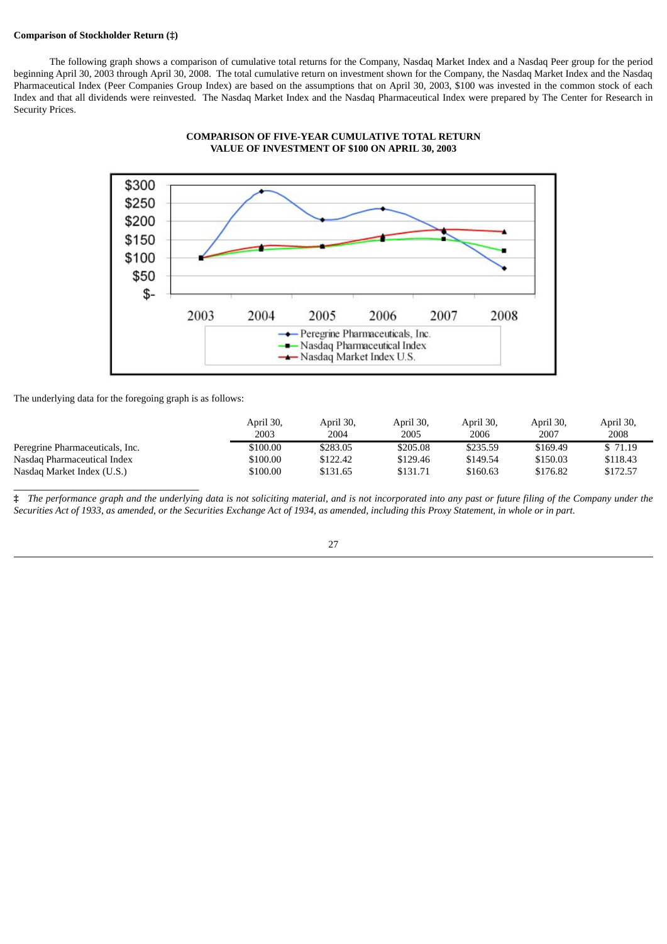## **Comparison of Stockholder Return (‡)**

The following graph shows a comparison of cumulative total returns for the Company, Nasdaq Market Index and a Nasdaq Peer group for the period beginning April 30, 2003 through April 30, 2008. The total cumulative return on investment shown for the Company, the Nasdaq Market Index and the Nasdaq Pharmaceutical Index (Peer Companies Group Index) are based on the assumptions that on April 30, 2003, \$100 was invested in the common stock of each Index and that all dividends were reinvested. The Nasdaq Market Index and the Nasdaq Pharmaceutical Index were prepared by The Center for Research in Security Prices.





The underlying data for the foregoing graph is as follows:

|                                 | April 30,<br>2003 | April 30,<br>2004 | April 30,<br>2005 | April 30,<br>2006 | April 30,<br>2007 | April 30,<br>2008 |
|---------------------------------|-------------------|-------------------|-------------------|-------------------|-------------------|-------------------|
| Peregrine Pharmaceuticals, Inc. | \$100.00          | \$283.05          | \$205.08          | \$235.59          | \$169.49          | \$ 71.19          |
| Nasdaq Pharmaceutical Index     | \$100.00          | \$122.42          | \$129.46          | \$149.54          | \$150.03          | \$118.43          |
| Nasdag Market Index (U.S.)      | \$100.00          | \$131.65          | \$131.71          | \$160.63          | \$176.82          | \$172.57          |
|                                 |                   |                   |                   |                   |                   |                   |

# The performance graph and the underlying data is not soliciting material, and is not incorporated into any past or future filing of the Company under the Securities Act of 1933, as amended, or the Securities Exchange Act of 1934, as amended, including this Proxy Statement, in whole or in part.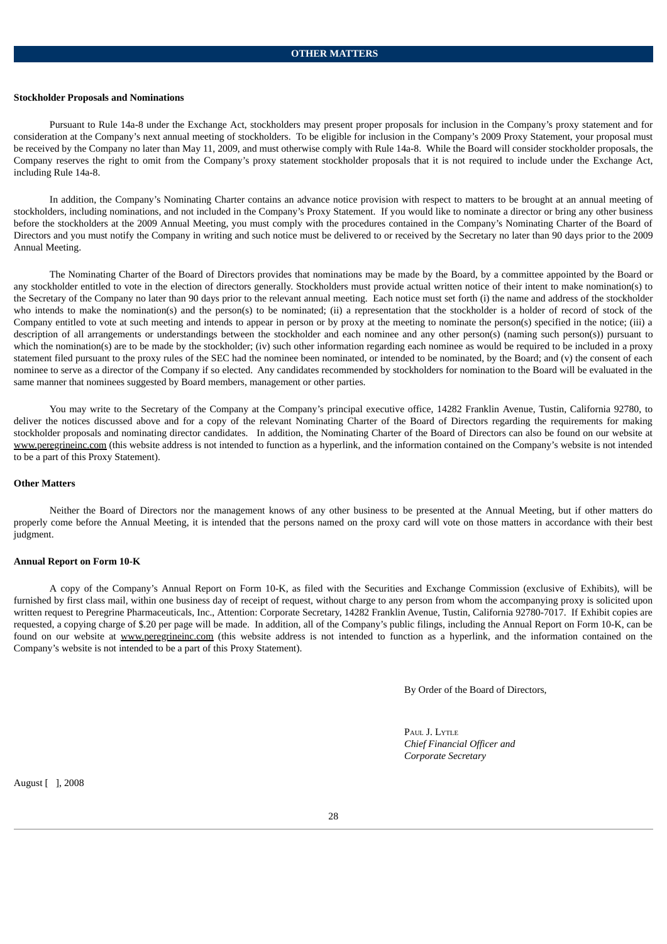#### **Stockholder Proposals and Nominations**

Pursuant to Rule 14a-8 under the Exchange Act, stockholders may present proper proposals for inclusion in the Company's proxy statement and for consideration at the Company's next annual meeting of stockholders. To be eligible for inclusion in the Company's 2009 Proxy Statement, your proposal must be received by the Company no later than May 11, 2009, and must otherwise comply with Rule 14a-8. While the Board will consider stockholder proposals, the Company reserves the right to omit from the Company's proxy statement stockholder proposals that it is not required to include under the Exchange Act, including Rule 14a-8.

In addition, the Company's Nominating Charter contains an advance notice provision with respect to matters to be brought at an annual meeting of stockholders, including nominations, and not included in the Company's Proxy Statement. If you would like to nominate a director or bring any other business before the stockholders at the 2009 Annual Meeting, you must comply with the procedures contained in the Company's Nominating Charter of the Board of Directors and you must notify the Company in writing and such notice must be delivered to or received by the Secretary no later than 90 days prior to the 2009 Annual Meeting.

The Nominating Charter of the Board of Directors provides that nominations may be made by the Board, by a committee appointed by the Board or any stockholder entitled to vote in the election of directors generally. Stockholders must provide actual written notice of their intent to make nomination(s) to the Secretary of the Company no later than 90 days prior to the relevant annual meeting. Each notice must set forth (i) the name and address of the stockholder who intends to make the nomination(s) and the person(s) to be nominated; (ii) a representation that the stockholder is a holder of record of stock of the Company entitled to vote at such meeting and intends to appear in person or by proxy at the meeting to nominate the person(s) specified in the notice; (iii) a description of all arrangements or understandings between the stockholder and each nominee and any other person(s) (naming such person(s)) pursuant to which the nomination(s) are to be made by the stockholder; (iv) such other information regarding each nominee as would be required to be included in a proxy statement filed pursuant to the proxy rules of the SEC had the nominee been nominated, or intended to be nominated, by the Board; and (v) the consent of each nominee to serve as a director of the Company if so elected. Any candidates recommended by stockholders for nomination to the Board will be evaluated in the same manner that nominees suggested by Board members, management or other parties.

You may write to the Secretary of the Company at the Company's principal executive office, 14282 Franklin Avenue, Tustin, California 92780, to deliver the notices discussed above and for a copy of the relevant Nominating Charter of the Board of Directors regarding the requirements for making stockholder proposals and nominating director candidates. In addition, the Nominating Charter of the Board of Directors can also be found on our website at www.peregrineinc.com (this website address is not intended to function as a hyperlink, and the information contained on the Company's website is not intended to be a part of this Proxy Statement).

#### **Other Matters**

Neither the Board of Directors nor the management knows of any other business to be presented at the Annual Meeting, but if other matters do properly come before the Annual Meeting, it is intended that the persons named on the proxy card will vote on those matters in accordance with their best judgment.

#### **Annual Report on Form 10-K**

A copy of the Company's Annual Report on Form 10-K, as filed with the Securities and Exchange Commission (exclusive of Exhibits), will be furnished by first class mail, within one business day of receipt of request, without charge to any person from whom the accompanying proxy is solicited upon written request to Peregrine Pharmaceuticals, Inc., Attention: Corporate Secretary, 14282 Franklin Avenue, Tustin, California 92780-7017. If Exhibit copies are requested, a copying charge of \$.20 per page will be made. In addition, all of the Company's public filings, including the Annual Report on Form 10-K, can be found on our website at www.peregrineinc.com (this website address is not intended to function as a hyperlink, and the information contained on the Company's website is not intended to be a part of this Proxy Statement).

By Order of the Board of Directors,

PAUL J. LYTLE *Chief Financial Officer and Corporate Secretary*

August [ ], 2008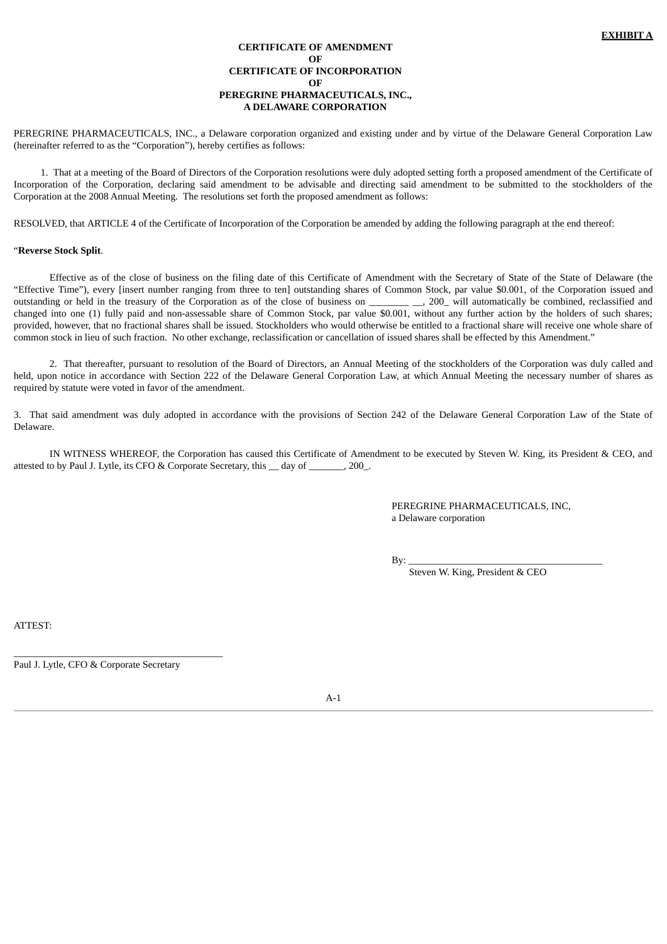## **CERTIFICATE OF AMENDMENT OF CERTIFICATE OF INCORPORATION OF PEREGRINE PHARMACEUTICALS, INC., A DELAWARE CORPORATION**

PEREGRINE PHARMACEUTICALS, INC., a Delaware corporation organized and existing under and by virtue of the Delaware General Corporation Law (hereinafter referred to as the "Corporation"), hereby certifies as follows:

1. That at a meeting of the Board of Directors of the Corporation resolutions were duly adopted setting forth a proposed amendment of the Certificate of Incorporation of the Corporation, declaring said amendment to be advisable and directing said amendment to be submitted to the stockholders of the Corporation at the 2008 Annual Meeting. The resolutions set forth the proposed amendment as follows:

RESOLVED, that ARTICLE 4 of the Certificate of Incorporation of the Corporation be amended by adding the following paragraph at the end thereof:

#### "**Reverse Stock Split**.

Effective as of the close of business on the filing date of this Certificate of Amendment with the Secretary of State of the State of Delaware (the "Effective Time"), every [insert number ranging from three to ten] outstanding shares of Common Stock, par value \$0.001, of the Corporation issued and outstanding or held in the treasury of the Corporation as of the close of business on \_\_\_\_\_\_\_\_ \_\_, 200\_ will automatically be combined, reclassified and changed into one (1) fully paid and non-assessable share of Common Stock, par value \$0.001, without any further action by the holders of such shares; provided, however, that no fractional shares shall be issued. Stockholders who would otherwise be entitled to a fractional share will receive one whole share of common stock in lieu of such fraction. No other exchange, reclassification or cancellation of issued shares shall be effected by this Amendment."

2. That thereafter, pursuant to resolution of the Board of Directors, an Annual Meeting of the stockholders of the Corporation was duly called and held, upon notice in accordance with Section 222 of the Delaware General Corporation Law, at which Annual Meeting the necessary number of shares as required by statute were voted in favor of the amendment.

3. That said amendment was duly adopted in accordance with the provisions of Section 242 of the Delaware General Corporation Law of the State of Delaware.

IN WITNESS WHEREOF, the Corporation has caused this Certificate of Amendment to be executed by Steven W. King, its President & CEO, and attested to by Paul J. Lytle, its CFO & Corporate Secretary, this \_\_ day of \_\_\_\_\_\_\_, 200\_.

> PEREGRINE PHARMACEUTICALS, INC, a Delaware corporation

By: \_\_\_\_\_\_\_\_\_\_\_\_\_\_\_\_\_\_\_\_\_\_\_\_\_\_\_\_\_\_\_\_\_\_\_\_\_\_\_

Steven W. King, President & CEO

ATTEST:

Paul J. Lytle, CFO & Corporate Secretary

\_\_\_\_\_\_\_\_\_\_\_\_\_\_\_\_\_\_\_\_\_\_\_\_\_\_\_\_\_\_\_\_\_\_\_\_\_\_\_\_\_\_

A-1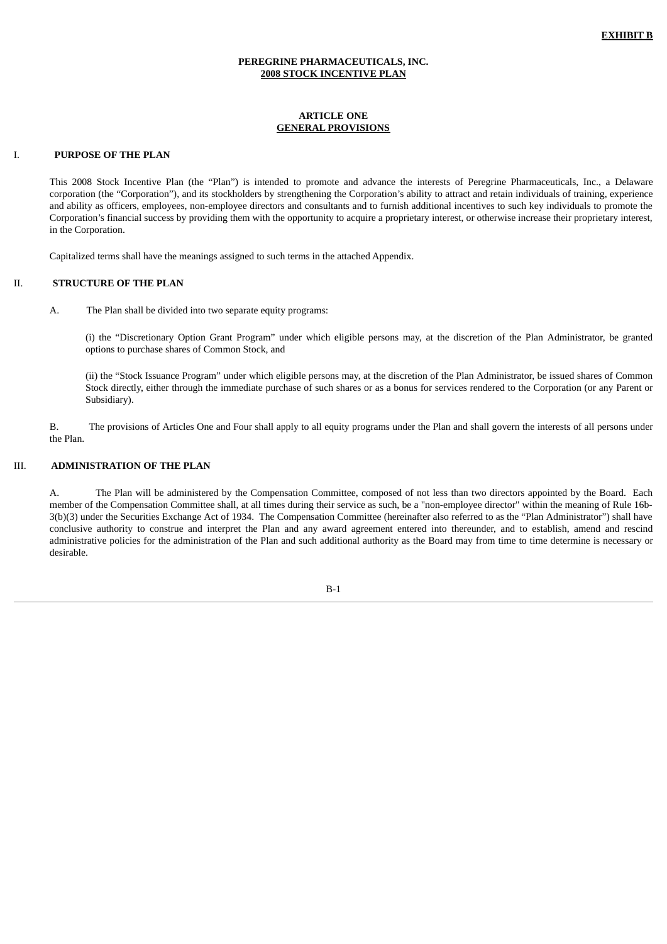#### **PEREGRINE PHARMACEUTICALS, INC. 2008 STOCK INCENTIVE PLAN**

## **ARTICLE ONE GENERAL PROVISIONS**

## I. **PURPOSE OF THE PLAN**

This 2008 Stock Incentive Plan (the "Plan") is intended to promote and advance the interests of Peregrine Pharmaceuticals, Inc., a Delaware corporation (the "Corporation"), and its stockholders by strengthening the Corporation's ability to attract and retain individuals of training, experience and ability as officers, employees, non-employee directors and consultants and to furnish additional incentives to such key individuals to promote the Corporation's financial success by providing them with the opportunity to acquire a proprietary interest, or otherwise increase their proprietary interest, in the Corporation.

Capitalized terms shall have the meanings assigned to such terms in the attached Appendix.

## II. **STRUCTURE OF THE PLAN**

A. The Plan shall be divided into two separate equity programs:

(i) the "Discretionary Option Grant Program" under which eligible persons may, at the discretion of the Plan Administrator, be granted options to purchase shares of Common Stock, and

(ii) the "Stock Issuance Program" under which eligible persons may, at the discretion of the Plan Administrator, be issued shares of Common Stock directly, either through the immediate purchase of such shares or as a bonus for services rendered to the Corporation (or any Parent or Subsidiary).

B. The provisions of Articles One and Four shall apply to all equity programs under the Plan and shall govern the interests of all persons under the Plan.

## III. **ADMINISTRATION OF THE PLAN**

A. The Plan will be administered by the Compensation Committee, composed of not less than two directors appointed by the Board. Each member of the Compensation Committee shall, at all times during their service as such, be a "non-employee director" within the meaning of Rule 16b-3(b)(3) under the Securities Exchange Act of 1934. The Compensation Committee (hereinafter also referred to as the "Plan Administrator") shall have conclusive authority to construe and interpret the Plan and any award agreement entered into thereunder, and to establish, amend and rescind administrative policies for the administration of the Plan and such additional authority as the Board may from time to time determine is necessary or desirable.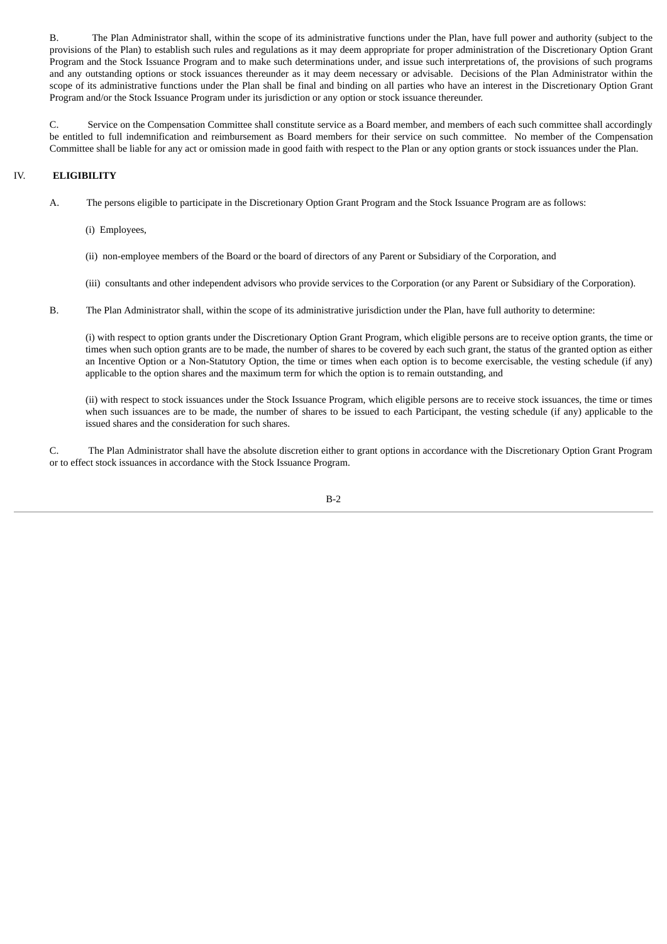B. The Plan Administrator shall, within the scope of its administrative functions under the Plan, have full power and authority (subject to the provisions of the Plan) to establish such rules and regulations as it may deem appropriate for proper administration of the Discretionary Option Grant Program and the Stock Issuance Program and to make such determinations under, and issue such interpretations of, the provisions of such programs and any outstanding options or stock issuances thereunder as it may deem necessary or advisable. Decisions of the Plan Administrator within the scope of its administrative functions under the Plan shall be final and binding on all parties who have an interest in the Discretionary Option Grant Program and/or the Stock Issuance Program under its jurisdiction or any option or stock issuance thereunder.

C. Service on the Compensation Committee shall constitute service as a Board member, and members of each such committee shall accordingly be entitled to full indemnification and reimbursement as Board members for their service on such committee. No member of the Compensation Committee shall be liable for any act or omission made in good faith with respect to the Plan or any option grants or stock issuances under the Plan.

## IV. **ELIGIBILITY**

- A. The persons eligible to participate in the Discretionary Option Grant Program and the Stock Issuance Program are as follows:
	- (i) Employees,
	- (ii) non-employee members of the Board or the board of directors of any Parent or Subsidiary of the Corporation, and
	- (iii) consultants and other independent advisors who provide services to the Corporation (or any Parent or Subsidiary of the Corporation).
- B. The Plan Administrator shall, within the scope of its administrative jurisdiction under the Plan, have full authority to determine:

(i) with respect to option grants under the Discretionary Option Grant Program, which eligible persons are to receive option grants, the time or times when such option grants are to be made, the number of shares to be covered by each such grant, the status of the granted option as either an Incentive Option or a Non-Statutory Option, the time or times when each option is to become exercisable, the vesting schedule (if any) applicable to the option shares and the maximum term for which the option is to remain outstanding, and

(ii) with respect to stock issuances under the Stock Issuance Program, which eligible persons are to receive stock issuances, the time or times when such issuances are to be made, the number of shares to be issued to each Participant, the vesting schedule (if any) applicable to the issued shares and the consideration for such shares.

C. The Plan Administrator shall have the absolute discretion either to grant options in accordance with the Discretionary Option Grant Program or to effect stock issuances in accordance with the Stock Issuance Program.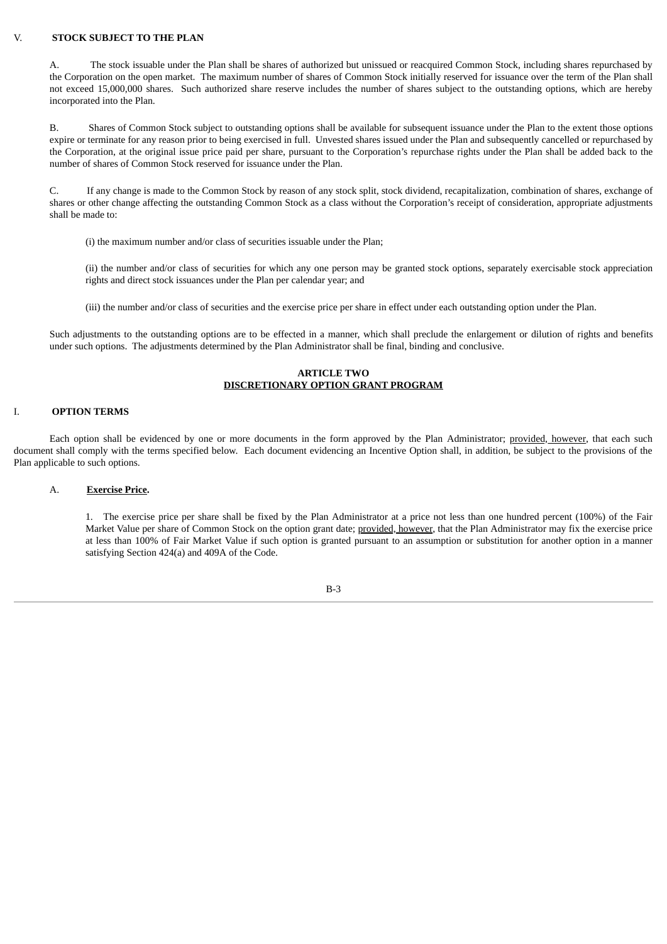## V. **STOCK SUBJECT TO THE PLAN**

A. The stock issuable under the Plan shall be shares of authorized but unissued or reacquired Common Stock, including shares repurchased by the Corporation on the open market. The maximum number of shares of Common Stock initially reserved for issuance over the term of the Plan shall not exceed 15,000,000 shares. Such authorized share reserve includes the number of shares subject to the outstanding options, which are hereby incorporated into the Plan.

B. Shares of Common Stock subject to outstanding options shall be available for subsequent issuance under the Plan to the extent those options expire or terminate for any reason prior to being exercised in full. Unvested shares issued under the Plan and subsequently cancelled or repurchased by the Corporation, at the original issue price paid per share, pursuant to the Corporation's repurchase rights under the Plan shall be added back to the number of shares of Common Stock reserved for issuance under the Plan.

C. If any change is made to the Common Stock by reason of any stock split, stock dividend, recapitalization, combination of shares, exchange of shares or other change affecting the outstanding Common Stock as a class without the Corporation's receipt of consideration, appropriate adjustments shall be made to:

(i) the maximum number and/or class of securities issuable under the Plan;

(ii) the number and/or class of securities for which any one person may be granted stock options, separately exercisable stock appreciation rights and direct stock issuances under the Plan per calendar year; and

(iii) the number and/or class of securities and the exercise price per share in effect under each outstanding option under the Plan.

Such adjustments to the outstanding options are to be effected in a manner, which shall preclude the enlargement or dilution of rights and benefits under such options. The adjustments determined by the Plan Administrator shall be final, binding and conclusive.

## **ARTICLE TWO DISCRETIONARY OPTION GRANT PROGRAM**

## I. **OPTION TERMS**

Each option shall be evidenced by one or more documents in the form approved by the Plan Administrator; provided, however, that each such document shall comply with the terms specified below. Each document evidencing an Incentive Option shall, in addition, be subject to the provisions of the Plan applicable to such options.

#### A. **Exercise Price.**

1. The exercise price per share shall be fixed by the Plan Administrator at a price not less than one hundred percent (100%) of the Fair Market Value per share of Common Stock on the option grant date; provided, however, that the Plan Administrator may fix the exercise price at less than 100% of Fair Market Value if such option is granted pursuant to an assumption or substitution for another option in a manner satisfying Section 424(a) and 409A of the Code.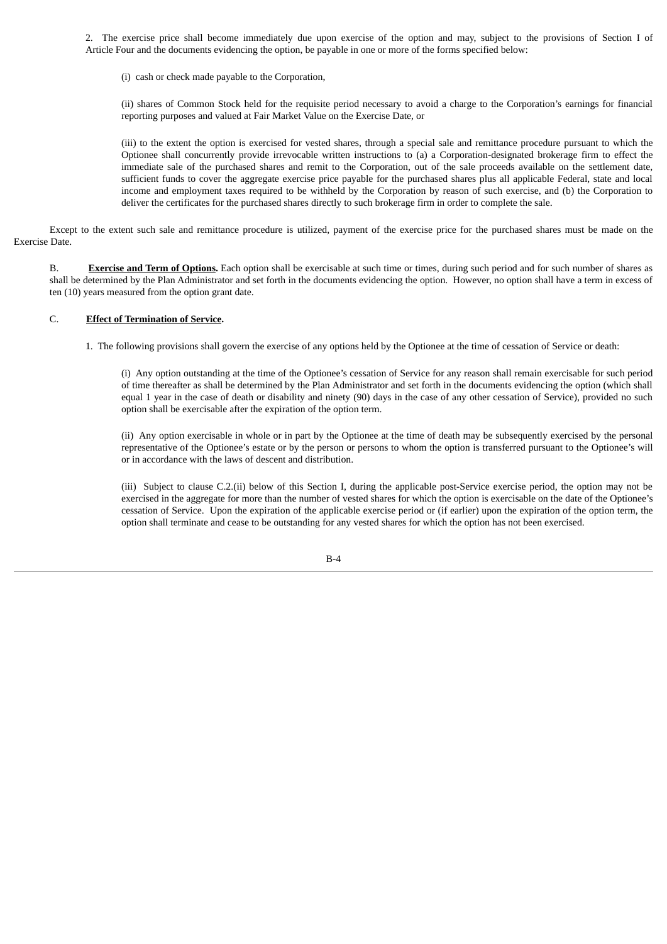2. The exercise price shall become immediately due upon exercise of the option and may, subject to the provisions of Section I of Article Four and the documents evidencing the option, be payable in one or more of the forms specified below:

(i) cash or check made payable to the Corporation,

(ii) shares of Common Stock held for the requisite period necessary to avoid a charge to the Corporation's earnings for financial reporting purposes and valued at Fair Market Value on the Exercise Date, or

(iii) to the extent the option is exercised for vested shares, through a special sale and remittance procedure pursuant to which the Optionee shall concurrently provide irrevocable written instructions to (a) a Corporation-designated brokerage firm to effect the immediate sale of the purchased shares and remit to the Corporation, out of the sale proceeds available on the settlement date, sufficient funds to cover the aggregate exercise price payable for the purchased shares plus all applicable Federal, state and local income and employment taxes required to be withheld by the Corporation by reason of such exercise, and (b) the Corporation to deliver the certificates for the purchased shares directly to such brokerage firm in order to complete the sale.

Except to the extent such sale and remittance procedure is utilized, payment of the exercise price for the purchased shares must be made on the Exercise Date.

B. **Exercise and Term of Options.** Each option shall be exercisable at such time or times, during such period and for such number of shares as shall be determined by the Plan Administrator and set forth in the documents evidencing the option. However, no option shall have a term in excess of ten (10) years measured from the option grant date.

## C. **Effect of Termination of Service.**

1. The following provisions shall govern the exercise of any options held by the Optionee at the time of cessation of Service or death:

(i) Any option outstanding at the time of the Optionee's cessation of Service for any reason shall remain exercisable for such period of time thereafter as shall be determined by the Plan Administrator and set forth in the documents evidencing the option (which shall equal 1 year in the case of death or disability and ninety (90) days in the case of any other cessation of Service), provided no such option shall be exercisable after the expiration of the option term.

(ii) Any option exercisable in whole or in part by the Optionee at the time of death may be subsequently exercised by the personal representative of the Optionee's estate or by the person or persons to whom the option is transferred pursuant to the Optionee's will or in accordance with the laws of descent and distribution.

(iii) Subject to clause C.2.(ii) below of this Section I, during the applicable post-Service exercise period, the option may not be exercised in the aggregate for more than the number of vested shares for which the option is exercisable on the date of the Optionee's cessation of Service. Upon the expiration of the applicable exercise period or (if earlier) upon the expiration of the option term, the option shall terminate and cease to be outstanding for any vested shares for which the option has not been exercised.

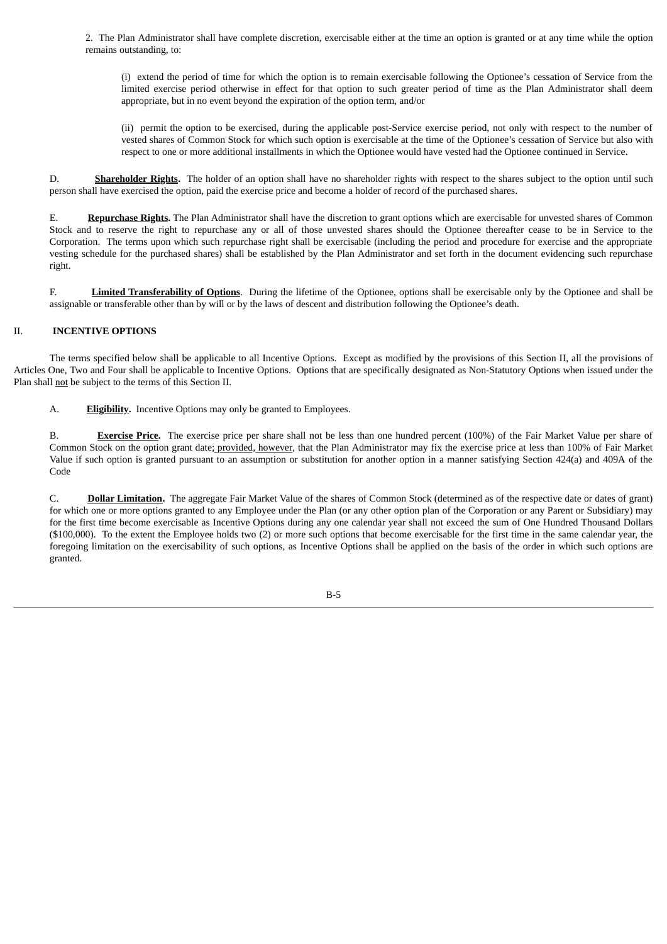2. The Plan Administrator shall have complete discretion, exercisable either at the time an option is granted or at any time while the option remains outstanding, to:

(i) extend the period of time for which the option is to remain exercisable following the Optionee's cessation of Service from the limited exercise period otherwise in effect for that option to such greater period of time as the Plan Administrator shall deem appropriate, but in no event beyond the expiration of the option term, and/or

(ii) permit the option to be exercised, during the applicable post-Service exercise period, not only with respect to the number of vested shares of Common Stock for which such option is exercisable at the time of the Optionee's cessation of Service but also with respect to one or more additional installments in which the Optionee would have vested had the Optionee continued in Service.

D. **Shareholder Rights.** The holder of an option shall have no shareholder rights with respect to the shares subject to the option until such person shall have exercised the option, paid the exercise price and become a holder of record of the purchased shares.

E. **Repurchase Rights.** The Plan Administrator shall have the discretion to grant options which are exercisable for unvested shares of Common Stock and to reserve the right to repurchase any or all of those unvested shares should the Optionee thereafter cease to be in Service to the Corporation. The terms upon which such repurchase right shall be exercisable (including the period and procedure for exercise and the appropriate vesting schedule for the purchased shares) shall be established by the Plan Administrator and set forth in the document evidencing such repurchase right.

F. **Limited Transferability of Options**. During the lifetime of the Optionee, options shall be exercisable only by the Optionee and shall be assignable or transferable other than by will or by the laws of descent and distribution following the Optionee's death.

## II. **INCENTIVE OPTIONS**

The terms specified below shall be applicable to all Incentive Options. Except as modified by the provisions of this Section II, all the provisions of Articles One, Two and Four shall be applicable to Incentive Options. Options that are specifically designated as Non-Statutory Options when issued under the Plan shall not be subject to the terms of this Section II.

A. **Eligibility.** Incentive Options may only be granted to Employees.

B. **Exercise Price.** The exercise price per share shall not be less than one hundred percent (100%) of the Fair Market Value per share of Common Stock on the option grant date; provided, however, that the Plan Administrator may fix the exercise price at less than 100% of Fair Market Value if such option is granted pursuant to an assumption or substitution for another option in a manner satisfying Section 424(a) and 409A of the Code

C. **Dollar Limitation.** The aggregate Fair Market Value of the shares of Common Stock (determined as of the respective date or dates of grant) for which one or more options granted to any Employee under the Plan (or any other option plan of the Corporation or any Parent or Subsidiary) may for the first time become exercisable as Incentive Options during any one calendar year shall not exceed the sum of One Hundred Thousand Dollars (\$100,000). To the extent the Employee holds two (2) or more such options that become exercisable for the first time in the same calendar year, the foregoing limitation on the exercisability of such options, as Incentive Options shall be applied on the basis of the order in which such options are granted.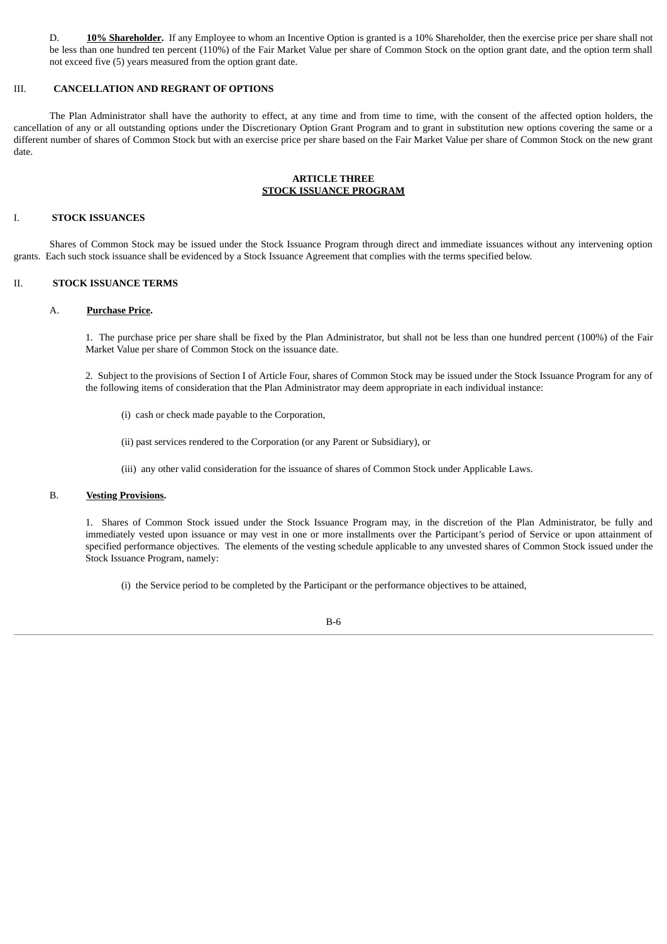D. **10% Shareholder.** If any Employee to whom an Incentive Option is granted is a 10% Shareholder, then the exercise price per share shall not be less than one hundred ten percent (110%) of the Fair Market Value per share of Common Stock on the option grant date, and the option term shall not exceed five (5) years measured from the option grant date.

#### III. **CANCELLATION AND REGRANT OF OPTIONS**

The Plan Administrator shall have the authority to effect, at any time and from time to time, with the consent of the affected option holders, the cancellation of any or all outstanding options under the Discretionary Option Grant Program and to grant in substitution new options covering the same or a different number of shares of Common Stock but with an exercise price per share based on the Fair Market Value per share of Common Stock on the new grant date.

## **ARTICLE THREE STOCK ISSUANCE PROGRAM**

## I. **STOCK ISSUANCES**

Shares of Common Stock may be issued under the Stock Issuance Program through direct and immediate issuances without any intervening option grants. Each such stock issuance shall be evidenced by a Stock Issuance Agreement that complies with the terms specified below.

#### II. **STOCK ISSUANCE TERMS**

#### A. **Purchase Price.**

1. The purchase price per share shall be fixed by the Plan Administrator, but shall not be less than one hundred percent (100%) of the Fair Market Value per share of Common Stock on the issuance date.

2. Subject to the provisions of Section I of Article Four, shares of Common Stock may be issued under the Stock Issuance Program for any of the following items of consideration that the Plan Administrator may deem appropriate in each individual instance:

- (i) cash or check made payable to the Corporation,
- (ii) past services rendered to the Corporation (or any Parent or Subsidiary), or
- (iii) any other valid consideration for the issuance of shares of Common Stock under Applicable Laws.

#### B. **Vesting Provisions.**

1. Shares of Common Stock issued under the Stock Issuance Program may, in the discretion of the Plan Administrator, be fully and immediately vested upon issuance or may vest in one or more installments over the Participant's period of Service or upon attainment of specified performance objectives. The elements of the vesting schedule applicable to any unvested shares of Common Stock issued under the Stock Issuance Program, namely:

(i) the Service period to be completed by the Participant or the performance objectives to be attained,

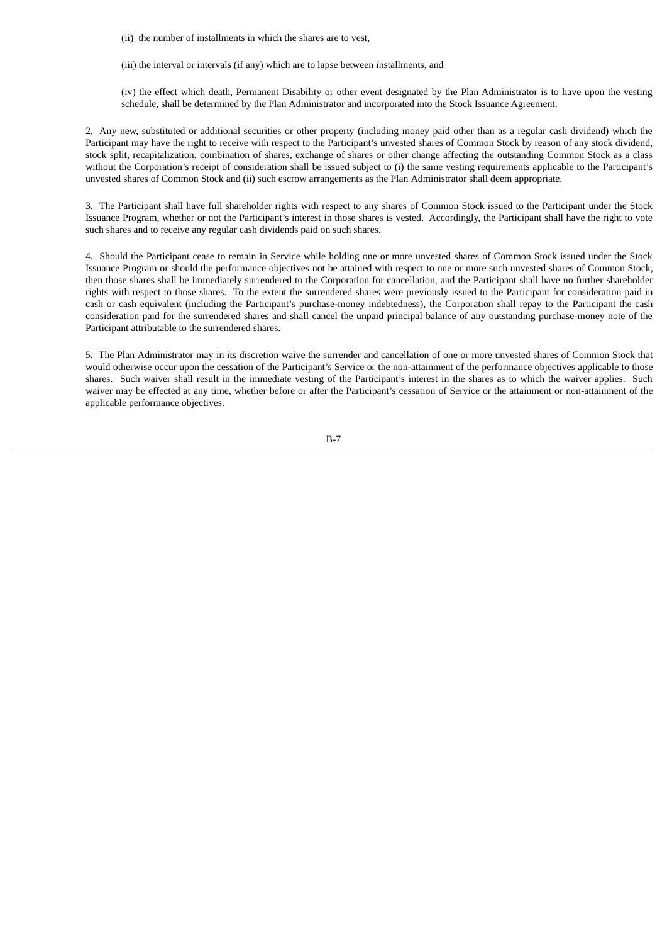(ii) the number of installments in which the shares are to vest,

(iii) the interval or intervals (if any) which are to lapse between installments, and

(iv) the effect which death, Permanent Disability or other event designated by the Plan Administrator is to have upon the vesting schedule, shall be determined by the Plan Administrator and incorporated into the Stock Issuance Agreement.

2. Any new, substituted or additional securities or other property (including money paid other than as a regular cash dividend) which the Participant may have the right to receive with respect to the Participant's unvested shares of Common Stock by reason of any stock dividend, stock split, recapitalization, combination of shares, exchange of shares or other change affecting the outstanding Common Stock as a class without the Corporation's receipt of consideration shall be issued subject to (i) the same vesting requirements applicable to the Participant's unvested shares of Common Stock and (ii) such escrow arrangements as the Plan Administrator shall deem appropriate.

3. The Participant shall have full shareholder rights with respect to any shares of Common Stock issued to the Participant under the Stock Issuance Program, whether or not the Participant's interest in those shares is vested. Accordingly, the Participant shall have the right to vote such shares and to receive any regular cash dividends paid on such shares.

4. Should the Participant cease to remain in Service while holding one or more unvested shares of Common Stock issued under the Stock Issuance Program or should the performance objectives not be attained with respect to one or more such unvested shares of Common Stock, then those shares shall be immediately surrendered to the Corporation for cancellation, and the Participant shall have no further shareholder rights with respect to those shares. To the extent the surrendered shares were previously issued to the Participant for consideration paid in cash or cash equivalent (including the Participant's purchase-money indebtedness), the Corporation shall repay to the Participant the cash consideration paid for the surrendered shares and shall cancel the unpaid principal balance of any outstanding purchase-money note of the Participant attributable to the surrendered shares.

5. The Plan Administrator may in its discretion waive the surrender and cancellation of one or more unvested shares of Common Stock that would otherwise occur upon the cessation of the Participant's Service or the non-attainment of the performance objectives applicable to those shares. Such waiver shall result in the immediate vesting of the Participant's interest in the shares as to which the waiver applies. Such waiver may be effected at any time, whether before or after the Participant's cessation of Service or the attainment or non-attainment of the applicable performance objectives.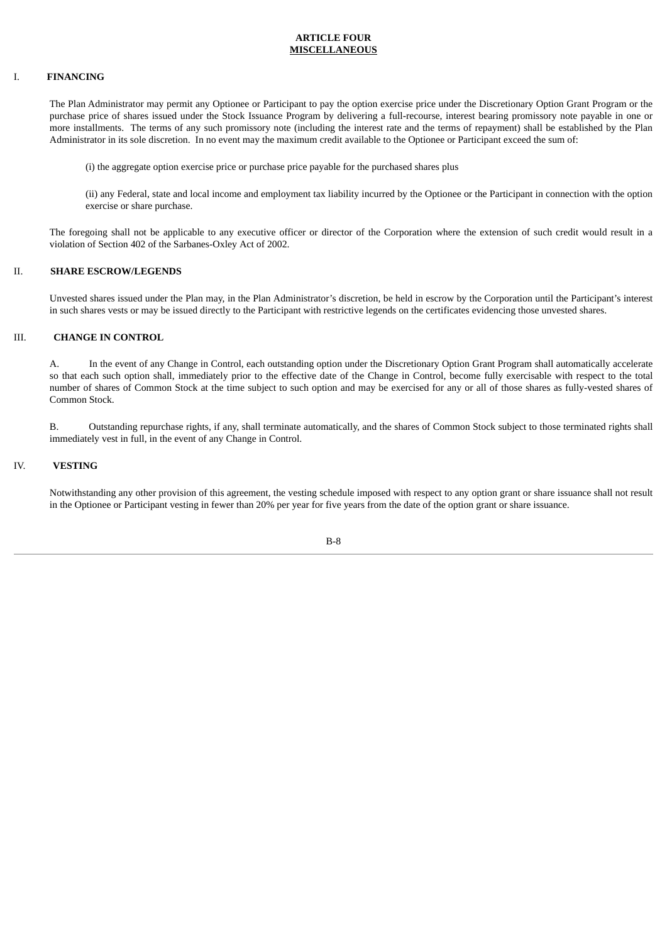## **ARTICLE FOUR MISCELLANEOUS**

## I. **FINANCING**

The Plan Administrator may permit any Optionee or Participant to pay the option exercise price under the Discretionary Option Grant Program or the purchase price of shares issued under the Stock Issuance Program by delivering a full-recourse, interest bearing promissory note payable in one or more installments. The terms of any such promissory note (including the interest rate and the terms of repayment) shall be established by the Plan Administrator in its sole discretion. In no event may the maximum credit available to the Optionee or Participant exceed the sum of:

(i) the aggregate option exercise price or purchase price payable for the purchased shares plus

(ii) any Federal, state and local income and employment tax liability incurred by the Optionee or the Participant in connection with the option exercise or share purchase.

The foregoing shall not be applicable to any executive officer or director of the Corporation where the extension of such credit would result in a violation of Section 402 of the Sarbanes-Oxley Act of 2002.

## II. **SHARE ESCROW/LEGENDS**

Unvested shares issued under the Plan may, in the Plan Administrator's discretion, be held in escrow by the Corporation until the Participant's interest in such shares vests or may be issued directly to the Participant with restrictive legends on the certificates evidencing those unvested shares.

## III. **CHANGE IN CONTROL**

A. In the event of any Change in Control, each outstanding option under the Discretionary Option Grant Program shall automatically accelerate so that each such option shall, immediately prior to the effective date of the Change in Control, become fully exercisable with respect to the total number of shares of Common Stock at the time subject to such option and may be exercised for any or all of those shares as fully-vested shares of Common Stock.

B. Outstanding repurchase rights, if any, shall terminate automatically, and the shares of Common Stock subject to those terminated rights shall immediately vest in full, in the event of any Change in Control.

## IV. **VESTING**

Notwithstanding any other provision of this agreement, the vesting schedule imposed with respect to any option grant or share issuance shall not result in the Optionee or Participant vesting in fewer than 20% per year for five years from the date of the option grant or share issuance.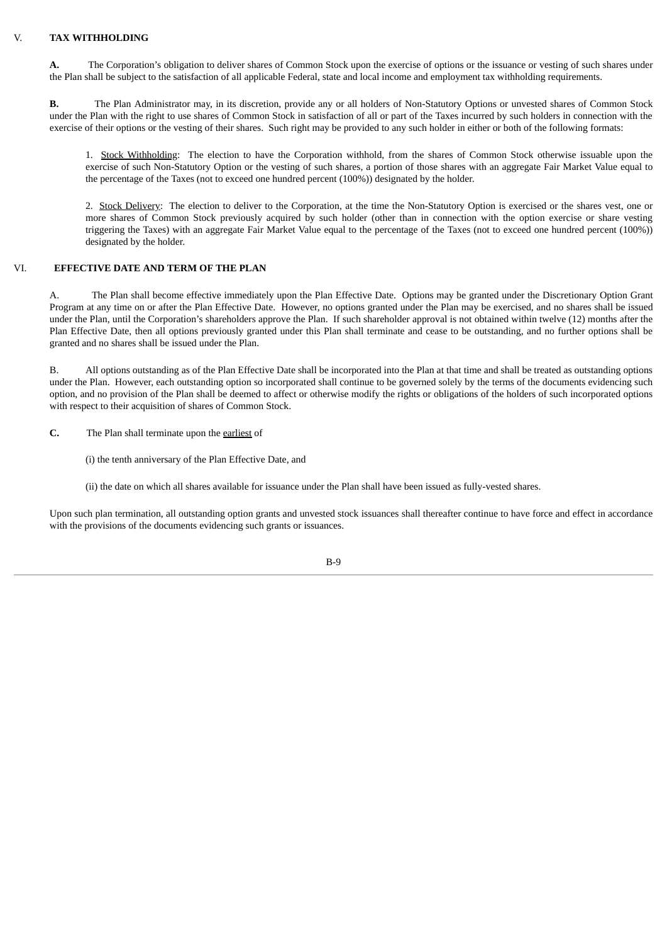## V. **TAX WITHHOLDING**

**A.** The Corporation's obligation to deliver shares of Common Stock upon the exercise of options or the issuance or vesting of such shares under the Plan shall be subject to the satisfaction of all applicable Federal, state and local income and employment tax withholding requirements.

**B.** The Plan Administrator may, in its discretion, provide any or all holders of Non-Statutory Options or unvested shares of Common Stock under the Plan with the right to use shares of Common Stock in satisfaction of all or part of the Taxes incurred by such holders in connection with the exercise of their options or the vesting of their shares. Such right may be provided to any such holder in either or both of the following formats:

1. Stock Withholding: The election to have the Corporation withhold, from the shares of Common Stock otherwise issuable upon the exercise of such Non-Statutory Option or the vesting of such shares, a portion of those shares with an aggregate Fair Market Value equal to the percentage of the Taxes (not to exceed one hundred percent (100%)) designated by the holder.

2. Stock Delivery: The election to deliver to the Corporation, at the time the Non-Statutory Option is exercised or the shares vest, one or more shares of Common Stock previously acquired by such holder (other than in connection with the option exercise or share vesting triggering the Taxes) with an aggregate Fair Market Value equal to the percentage of the Taxes (not to exceed one hundred percent (100%)) designated by the holder.

## VI. **EFFECTIVE DATE AND TERM OF THE PLAN**

A. The Plan shall become effective immediately upon the Plan Effective Date. Options may be granted under the Discretionary Option Grant Program at any time on or after the Plan Effective Date. However, no options granted under the Plan may be exercised, and no shares shall be issued under the Plan, until the Corporation's shareholders approve the Plan. If such shareholder approval is not obtained within twelve (12) months after the Plan Effective Date, then all options previously granted under this Plan shall terminate and cease to be outstanding, and no further options shall be granted and no shares shall be issued under the Plan.

B. All options outstanding as of the Plan Effective Date shall be incorporated into the Plan at that time and shall be treated as outstanding options under the Plan. However, each outstanding option so incorporated shall continue to be governed solely by the terms of the documents evidencing such option, and no provision of the Plan shall be deemed to affect or otherwise modify the rights or obligations of the holders of such incorporated options with respect to their acquisition of shares of Common Stock.

- **C.** The Plan shall terminate upon the earliest of
	- (i) the tenth anniversary of the Plan Effective Date, and
	- (ii) the date on which all shares available for issuance under the Plan shall have been issued as fully-vested shares.

Upon such plan termination, all outstanding option grants and unvested stock issuances shall thereafter continue to have force and effect in accordance with the provisions of the documents evidencing such grants or issuances.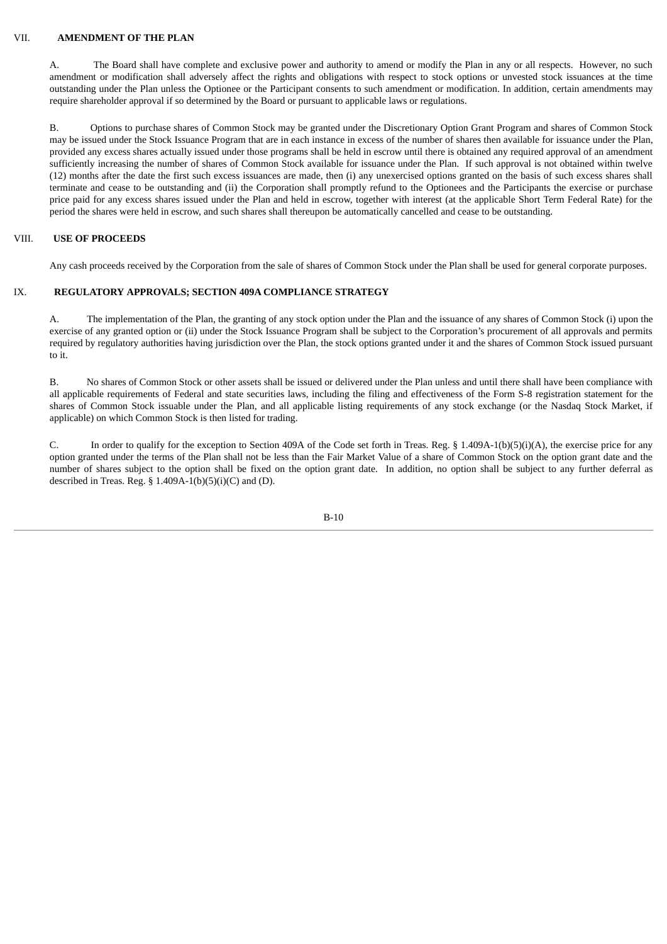## VII. **AMENDMENT OF THE PLAN**

A. The Board shall have complete and exclusive power and authority to amend or modify the Plan in any or all respects. However, no such amendment or modification shall adversely affect the rights and obligations with respect to stock options or unvested stock issuances at the time outstanding under the Plan unless the Optionee or the Participant consents to such amendment or modification. In addition, certain amendments may require shareholder approval if so determined by the Board or pursuant to applicable laws or regulations.

B. Options to purchase shares of Common Stock may be granted under the Discretionary Option Grant Program and shares of Common Stock may be issued under the Stock Issuance Program that are in each instance in excess of the number of shares then available for issuance under the Plan, provided any excess shares actually issued under those programs shall be held in escrow until there is obtained any required approval of an amendment sufficiently increasing the number of shares of Common Stock available for issuance under the Plan. If such approval is not obtained within twelve (12) months after the date the first such excess issuances are made, then (i) any unexercised options granted on the basis of such excess shares shall terminate and cease to be outstanding and (ii) the Corporation shall promptly refund to the Optionees and the Participants the exercise or purchase price paid for any excess shares issued under the Plan and held in escrow, together with interest (at the applicable Short Term Federal Rate) for the period the shares were held in escrow, and such shares shall thereupon be automatically cancelled and cease to be outstanding.

## VIII. **USE OF PROCEEDS**

Any cash proceeds received by the Corporation from the sale of shares of Common Stock under the Plan shall be used for general corporate purposes.

## IX. **REGULATORY APPROVALS; SECTION 409A COMPLIANCE STRATEGY**

A. The implementation of the Plan, the granting of any stock option under the Plan and the issuance of any shares of Common Stock (i) upon the exercise of any granted option or (ii) under the Stock Issuance Program shall be subject to the Corporation's procurement of all approvals and permits required by regulatory authorities having jurisdiction over the Plan, the stock options granted under it and the shares of Common Stock issued pursuant to it.

B. No shares of Common Stock or other assets shall be issued or delivered under the Plan unless and until there shall have been compliance with all applicable requirements of Federal and state securities laws, including the filing and effectiveness of the Form S-8 registration statement for the shares of Common Stock issuable under the Plan, and all applicable listing requirements of any stock exchange (or the Nasdaq Stock Market, if applicable) on which Common Stock is then listed for trading.

C. In order to qualify for the exception to Section 409A of the Code set forth in Treas. Reg. § 1.409A-1(b)(5)(i)(A), the exercise price for any option granted under the terms of the Plan shall not be less than the Fair Market Value of a share of Common Stock on the option grant date and the number of shares subject to the option shall be fixed on the option grant date. In addition, no option shall be subject to any further deferral as described in Treas. Reg. §  $1.409A-1(b)(5)(i)(C)$  and (D).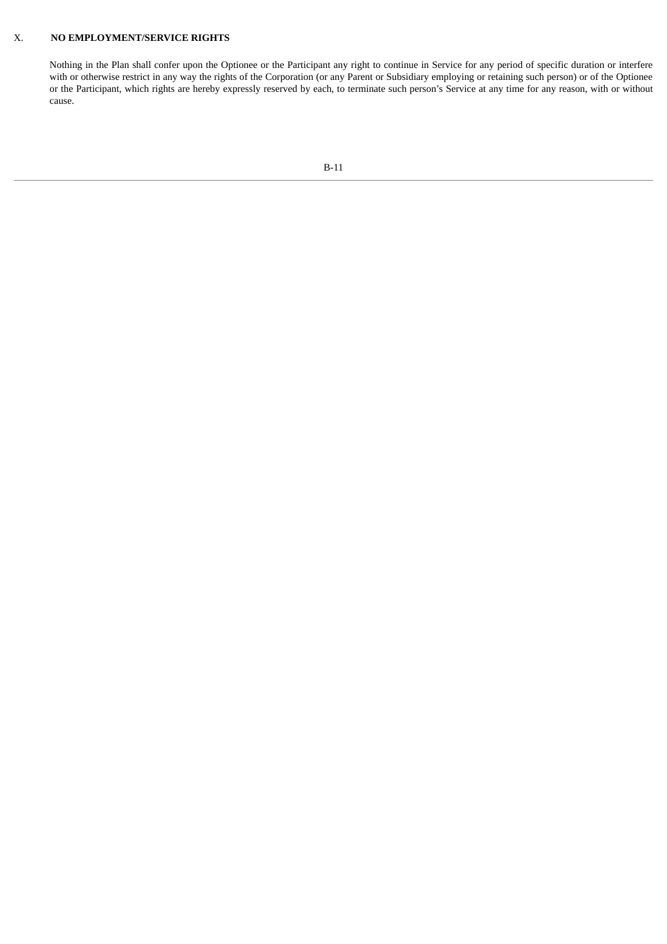## X. **NO EMPLOYMENT/SERVICE RIGHTS**

Nothing in the Plan shall confer upon the Optionee or the Participant any right to continue in Service for any period of specific duration or interfere with or otherwise restrict in any way the rights of the Corporation (or any Parent or Subsidiary employing or retaining such person) or of the Optionee or the Participant, which rights are hereby expressly reserved by each, to terminate such person's Service at any time for any reason, with or without cause.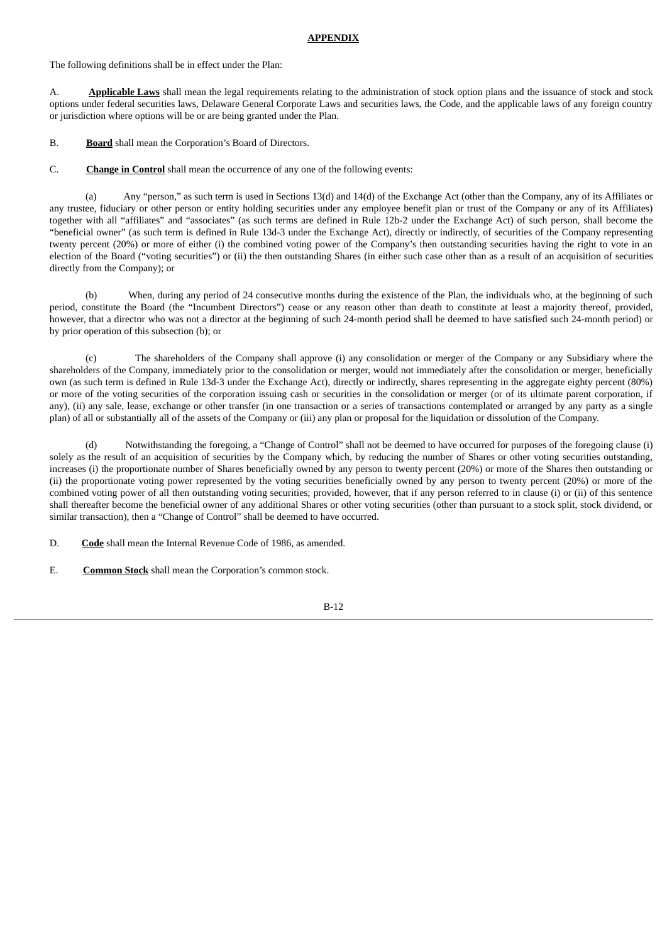## **APPENDIX**

The following definitions shall be in effect under the Plan:

A. **Applicable Laws** shall mean the legal requirements relating to the administration of stock option plans and the issuance of stock and stock options under federal securities laws, Delaware General Corporate Laws and securities laws, the Code, and the applicable laws of any foreign country or jurisdiction where options will be or are being granted under the Plan.

B. **Board** shall mean the Corporation's Board of Directors.

C. **Change in Control** shall mean the occurrence of any one of the following events:

(a) Any "person," as such term is used in Sections 13(d) and 14(d) of the Exchange Act (other than the Company, any of its Affiliates or any trustee, fiduciary or other person or entity holding securities under any employee benefit plan or trust of the Company or any of its Affiliates) together with all "affiliates" and "associates" (as such terms are defined in Rule 12b-2 under the Exchange Act) of such person, shall become the "beneficial owner" (as such term is defined in Rule 13d-3 under the Exchange Act), directly or indirectly, of securities of the Company representing twenty percent (20%) or more of either (i) the combined voting power of the Company's then outstanding securities having the right to vote in an election of the Board ("voting securities") or (ii) the then outstanding Shares (in either such case other than as a result of an acquisition of securities directly from the Company); or

(b) When, during any period of 24 consecutive months during the existence of the Plan, the individuals who, at the beginning of such period, constitute the Board (the "Incumbent Directors") cease or any reason other than death to constitute at least a majority thereof, provided, however, that a director who was not a director at the beginning of such 24-month period shall be deemed to have satisfied such 24-month period) or by prior operation of this subsection (b); or

(c) The shareholders of the Company shall approve (i) any consolidation or merger of the Company or any Subsidiary where the shareholders of the Company, immediately prior to the consolidation or merger, would not immediately after the consolidation or merger, beneficially own (as such term is defined in Rule 13d-3 under the Exchange Act), directly or indirectly, shares representing in the aggregate eighty percent (80%) or more of the voting securities of the corporation issuing cash or securities in the consolidation or merger (or of its ultimate parent corporation, if any), (ii) any sale, lease, exchange or other transfer (in one transaction or a series of transactions contemplated or arranged by any party as a single plan) of all or substantially all of the assets of the Company or (iii) any plan or proposal for the liquidation or dissolution of the Company.

(d) Notwithstanding the foregoing, a "Change of Control" shall not be deemed to have occurred for purposes of the foregoing clause (i) solely as the result of an acquisition of securities by the Company which, by reducing the number of Shares or other voting securities outstanding, increases (i) the proportionate number of Shares beneficially owned by any person to twenty percent (20%) or more of the Shares then outstanding or (ii) the proportionate voting power represented by the voting securities beneficially owned by any person to twenty percent (20%) or more of the combined voting power of all then outstanding voting securities; provided, however, that if any person referred to in clause (i) or (ii) of this sentence shall thereafter become the beneficial owner of any additional Shares or other voting securities (other than pursuant to a stock split, stock dividend, or similar transaction), then a "Change of Control" shall be deemed to have occurred.

D. **Code** shall mean the Internal Revenue Code of 1986, as amended.

E. **Common Stock** shall mean the Corporation's common stock.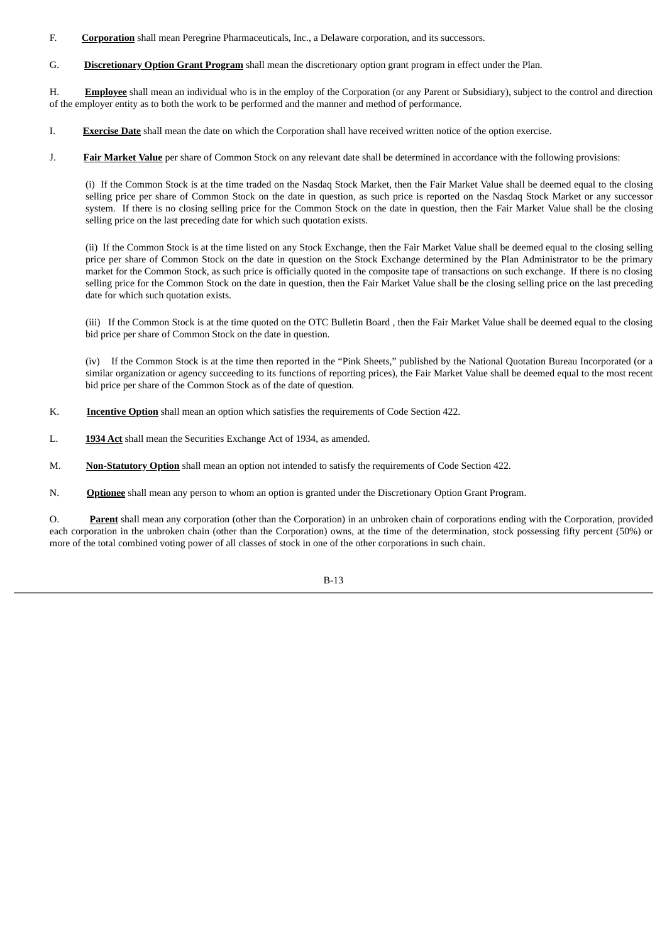- F. **Corporation** shall mean Peregrine Pharmaceuticals, Inc., a Delaware corporation, and its successors.
- G. **Discretionary Option Grant Program** shall mean the discretionary option grant program in effect under the Plan.

H. **Employee** shall mean an individual who is in the employ of the Corporation (or any Parent or Subsidiary), subject to the control and direction of the employer entity as to both the work to be performed and the manner and method of performance.

- I. **Exercise Date** shall mean the date on which the Corporation shall have received written notice of the option exercise.
- J. **Fair Market Value** per share of Common Stock on any relevant date shall be determined in accordance with the following provisions:

(i) If the Common Stock is at the time traded on the Nasdaq Stock Market, then the Fair Market Value shall be deemed equal to the closing selling price per share of Common Stock on the date in question, as such price is reported on the Nasdaq Stock Market or any successor system. If there is no closing selling price for the Common Stock on the date in question, then the Fair Market Value shall be the closing selling price on the last preceding date for which such quotation exists.

(ii) If the Common Stock is at the time listed on any Stock Exchange, then the Fair Market Value shall be deemed equal to the closing selling price per share of Common Stock on the date in question on the Stock Exchange determined by the Plan Administrator to be the primary market for the Common Stock, as such price is officially quoted in the composite tape of transactions on such exchange. If there is no closing selling price for the Common Stock on the date in question, then the Fair Market Value shall be the closing selling price on the last preceding date for which such quotation exists.

(iii) If the Common Stock is at the time quoted on the OTC Bulletin Board , then the Fair Market Value shall be deemed equal to the closing bid price per share of Common Stock on the date in question.

(iv) If the Common Stock is at the time then reported in the "Pink Sheets," published by the National Quotation Bureau Incorporated (or a similar organization or agency succeeding to its functions of reporting prices), the Fair Market Value shall be deemed equal to the most recent bid price per share of the Common Stock as of the date of question.

- K. **Incentive Option** shall mean an option which satisfies the requirements of Code Section 422.
- L. **1934 Act** shall mean the Securities Exchange Act of 1934, as amended.
- M. **Non-Statutory Option** shall mean an option not intended to satisfy the requirements of Code Section 422.

N. **Optionee** shall mean any person to whom an option is granted under the Discretionary Option Grant Program.

O. **Parent** shall mean any corporation (other than the Corporation) in an unbroken chain of corporations ending with the Corporation, provided each corporation in the unbroken chain (other than the Corporation) owns, at the time of the determination, stock possessing fifty percent (50%) or more of the total combined voting power of all classes of stock in one of the other corporations in such chain.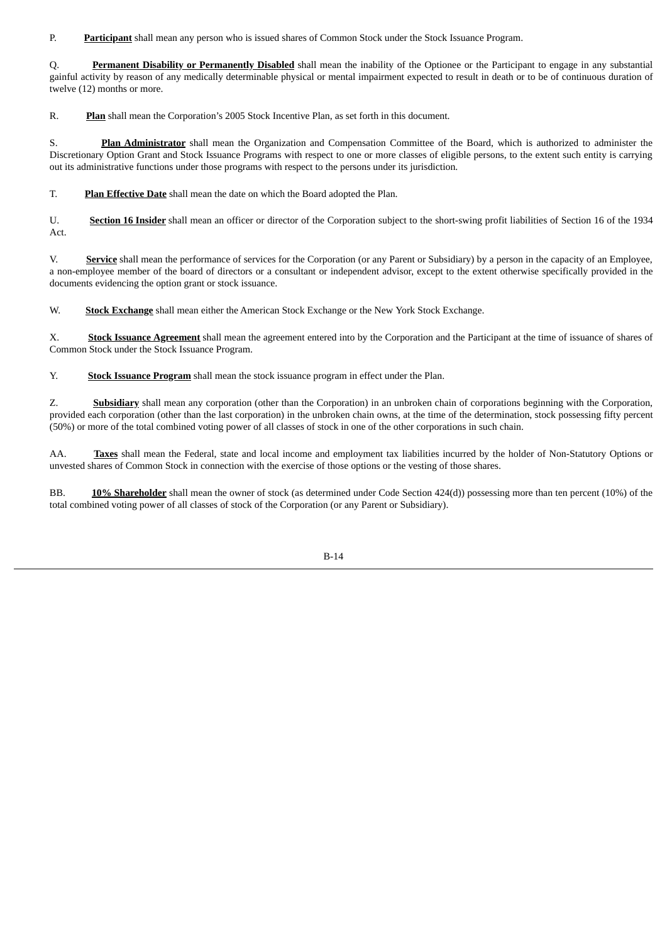P. **Participant** shall mean any person who is issued shares of Common Stock under the Stock Issuance Program.

Q. **Permanent Disability or Permanently Disabled** shall mean the inability of the Optionee or the Participant to engage in any substantial gainful activity by reason of any medically determinable physical or mental impairment expected to result in death or to be of continuous duration of twelve (12) months or more.

R. **Plan** shall mean the Corporation's 2005 Stock Incentive Plan, as set forth in this document.

S. **Plan Administrator** shall mean the Organization and Compensation Committee of the Board, which is authorized to administer the Discretionary Option Grant and Stock Issuance Programs with respect to one or more classes of eligible persons, to the extent such entity is carrying out its administrative functions under those programs with respect to the persons under its jurisdiction.

T. **Plan Effective Date** shall mean the date on which the Board adopted the Plan.

U. **Section 16 Insider** shall mean an officer or director of the Corporation subject to the short-swing profit liabilities of Section 16 of the 1934 Act.

V. **Service** shall mean the performance of services for the Corporation (or any Parent or Subsidiary) by a person in the capacity of an Employee, a non-employee member of the board of directors or a consultant or independent advisor, except to the extent otherwise specifically provided in the documents evidencing the option grant or stock issuance.

W. **Stock Exchange** shall mean either the American Stock Exchange or the New York Stock Exchange.

X. **Stock Issuance Agreement** shall mean the agreement entered into by the Corporation and the Participant at the time of issuance of shares of Common Stock under the Stock Issuance Program.

Y. **Stock Issuance Program** shall mean the stock issuance program in effect under the Plan.

Z. **Subsidiary** shall mean any corporation (other than the Corporation) in an unbroken chain of corporations beginning with the Corporation, provided each corporation (other than the last corporation) in the unbroken chain owns, at the time of the determination, stock possessing fifty percent (50%) or more of the total combined voting power of all classes of stock in one of the other corporations in such chain.

AA. **Taxes** shall mean the Federal, state and local income and employment tax liabilities incurred by the holder of Non-Statutory Options or unvested shares of Common Stock in connection with the exercise of those options or the vesting of those shares.

BB. **10% Shareholder** shall mean the owner of stock (as determined under Code Section 424(d)) possessing more than ten percent (10%) of the total combined voting power of all classes of stock of the Corporation (or any Parent or Subsidiary).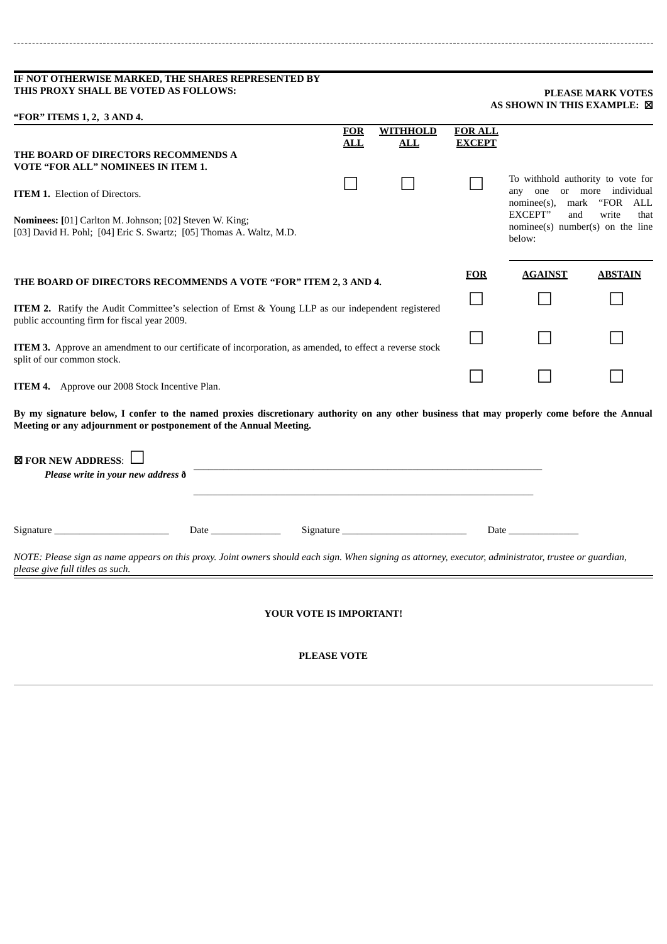| IF NOT OTHERWISE MARKED, THE SHARES REPRESENTED BY<br>THIS PROXY SHALL BE VOTED AS FOLLOWS:                                                                                                                      |                   |                               |                                 |                                                                                                       | <b>PLEASE MARK VOTES</b> |  |
|------------------------------------------------------------------------------------------------------------------------------------------------------------------------------------------------------------------|-------------------|-------------------------------|---------------------------------|-------------------------------------------------------------------------------------------------------|--------------------------|--|
| "FOR" ITEMS 1, 2, 3 AND 4.                                                                                                                                                                                       |                   |                               |                                 | AS SHOWN IN THIS EXAMPLE: 図                                                                           |                          |  |
|                                                                                                                                                                                                                  | <b>FOR</b><br>ALL | <b>WITHHOLD</b><br><b>ALL</b> | <b>FOR ALL</b><br><b>EXCEPT</b> |                                                                                                       |                          |  |
| THE BOARD OF DIRECTORS RECOMMENDS A<br>VOTE "FOR ALL" NOMINEES IN ITEM 1.                                                                                                                                        |                   |                               |                                 |                                                                                                       |                          |  |
| <b>ITEM 1. Election of Directors.</b>                                                                                                                                                                            |                   |                               |                                 | To withhold authority to vote for<br>any one or more individual<br>nominee(s),<br>mark<br>"FOR<br>ALL |                          |  |
| <b>Nominees:</b> [01] Carlton M. Johnson; [02] Steven W. King;<br>[03] David H. Pohl; [04] Eric S. Swartz; [05] Thomas A. Waltz, M.D.                                                                            |                   |                               |                                 | EXCEPT"<br>and<br>write<br>that<br>$n$ nominee(s) number(s) on the line<br>below:                     |                          |  |
| THE BOARD OF DIRECTORS RECOMMENDS A VOTE "FOR" ITEM 2, 3 AND 4.                                                                                                                                                  |                   |                               | <b>FOR</b>                      | <b>AGAINST</b>                                                                                        | <b>ABSTAIN</b>           |  |
| ITEM 2. Ratify the Audit Committee's selection of Ernst & Young LLP as our independent registered<br>public accounting firm for fiscal year 2009.                                                                |                   |                               |                                 |                                                                                                       |                          |  |
| ITEM 3. Approve an amendment to our certificate of incorporation, as amended, to effect a reverse stock<br>split of our common stock.                                                                            |                   |                               |                                 |                                                                                                       |                          |  |
| ITEM 4. Approve our 2008 Stock Incentive Plan.                                                                                                                                                                   |                   |                               |                                 |                                                                                                       |                          |  |
| By my signature below, I confer to the named proxies discretionary authority on any other business that may properly come before the Annual<br>Meeting or any adjournment or postponement of the Annual Meeting. |                   |                               |                                 |                                                                                                       |                          |  |
| <b>SEOR NEW ADDRESS:</b><br>Please write in your new address $\delta$                                                                                                                                            |                   |                               |                                 |                                                                                                       |                          |  |
|                                                                                                                                                                                                                  |                   |                               |                                 | Date                                                                                                  |                          |  |
| NOTE: Please sign as name appears on this proxy. Joint owners should each sign. When signing as attorney, executor, administrator, trustee or guardian,                                                          |                   |                               |                                 |                                                                                                       |                          |  |

*please give full titles as such.*

 $-$ 

## **YOUR VOTE IS IMPORTANT!**

## **PLEASE VOTE**